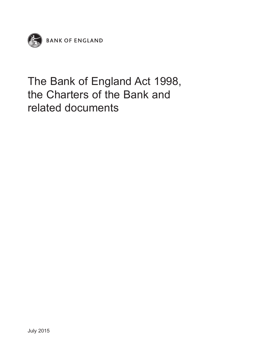

# The Bank of England Act 1998, the Charters of the Bank and related documents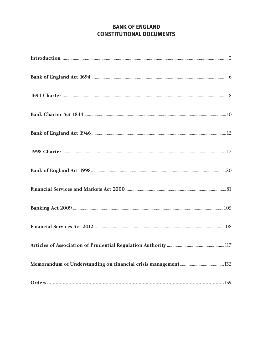## **BANK OF ENGLAND CONSTITUTIONAL DOCUMENTS**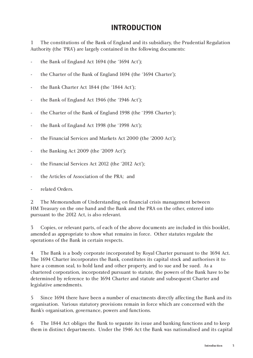## **INTRODUCTION**

1 The constitutions of the Bank of England and its subsidiary, the Prudential Regulation Authority (the 'PRA') are largely contained in the following documents:

- the Bank of England Act 1694 (the '1694 Act');
- the Charter of the Bank of England 1694 (the '1694 Charter');
- the Bank Charter Act 1844 (the '1844 Act');
- the Bank of England Act 1946 (the '1946 Act');
- the Charter of the Bank of England 1998 (the '1998 Charter');
- the Bank of England Act 1998 (the '1998 Act');
- the Financial Services and Markets Act 2000 (the '2000 Act');
- the Banking Act 2009 (the '2009 Act');
- the Financial Services Act 2012 (the '2012 Act');
- the Articles of Association of the PRA: and
- related Orders.

2 The Memorandum of Understanding on financial crisis management between HM Treasury on the one hand and the Bank and the PRA on the other, entered into pursuant to the 2012 Act, is also relevant.

3 Copies, or relevant parts, of each of the above documents are included in this booklet, amended as appropriate to show what remains in force. Other statutes regulate the operations of the Bank in certain respects.

4 The Bank is a body corporate incorporated by Royal Charter pursuant to the 1694 Act. The 1694 Charter incorporates the Bank, constitutes its capital stock and authorises it to have a common seal, to hold land and other property, and to sue and be sued. As a chartered corporation, incorporated pursuant to statute, the powers of the Bank have to be determined by reference to the 1694 Charter and statute and subsequent Charter and legislative amendments.

5 Since 1694 there have been a number of enactments directly affecting the Bank and its organisation. Various statutory provisions remain in force which are concerned with the Bank's organisation, governance, powers and functions.

6 The 1844 Act obliges the Bank to separate its issue and banking functions and to keep them in distinct departments. Under the 1946 Act the Bank was nationalised and its capital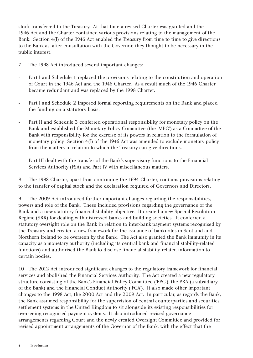stock transferred to the Treasury. At that time a revised Charter was granted and the 1946 Act and the Charter contained various provisions relating to the management of the Bank. Section 4(l) of the 1946 Act enabled the Treasury from time to time to give directions to the Bank as, after consultation with the Governor, they thought to be necessary in the public interest.

- 7 The 1998 Act introduced several important changes:
- Part I and Schedule 1 replaced the provisions relating to the constitution and operation of Court in the 1946 Act and the 1946 Charter. As a result much of the 1946 Charter became redundant and was replaced by the 1998 Charter.
- Part I and Schedule 2 imposed formal reporting requirements on the Bank and placed the funding on a statutory basis.
- Part II and Schedule 3 conferred operational responsibility for monetary policy on the Bank and established the Monetary Policy Committee (the 'MPC') as a Committee of the Bank with responsibility for the exercise of its powers in relation to the formulation of monetary policy. Section 4(l) of the 1946 Act was amended to exclude monetary policy from the matters in relation to which the Treasury can give directions.
- Part III dealt with the transfer of the Bank's supervisory functions to the Financial Services Authority (FSA) and Part IV with miscellaneous matters.

8 The 1998 Charter, apart from continuing the 1694 Charter, contains provisions relating to the transfer of capital stock and the declaration required of Governors and Directors.

9 The 2009 Act introduced further important changes regarding the responsibilities, powers and role of the Bank. These included provisions regarding the governance of the Bank and a new statutory financial stability objective. It created a new Special Resolution Regime (SRR) for dealing with distressed banks and building societies. It conferred a statutory oversight role on the Bank in relation to inter-bank payment systems recognised by the Treasury and created a new framework for the issuance of banknotes in Scotland and Northern Ireland to be overseen by the Bank. The Act also granted the Bank immunity in its capacity as a monetary authority (including its central bank and financial stability-related functions) and authorised the Bank to disclose financial stability-related information to certain bodies.

10 The 2012 Act introduced significant changes to the regulatory framework for financial services and abolished the Financial Services Authority. The Act created a new regulatory structure consisting of the Bank's Financial Policy Committee ('FPC'), the PRA (a subsidiary of the Bank) and the Financial Conduct Authority ('FCA'). It also made other important changes to the 1998 Act, the 2000 Act and the 2009 Act. In particular, as regards the Bank, the Bank assumed responsibility for the supervision of central counterparties and securities settlement systems in the United Kingdom to sit alongside its existing responsibilities for overseeing recognised payment systems. It also introduced revised governance arrangements regarding Court and the newly created Oversight Committee and provided for revised appointment arrangements of the Governor of the Bank, with the effect that the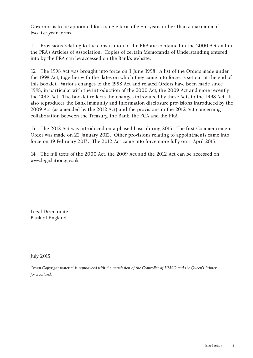Governor is to be appointed for a single term of eight years rather than a maximum of two five-year terms.

11 Provisions relating to the constitution of the PRA are contained in the 2000 Act and in the PRA's Articles of Association. Copies of certain Memoranda of Understanding entered into by the PRA can be accessed on the Bank's website.

12 The 1998 Act was brought into force on 1 June 1998. A list of the Orders made under the 1998 Act, together with the dates on which they came into force, is set out at the end of this booklet. Various changes to the 1998 Act and related Orders have been made since 1998, in particular with the introduction of the 2000 Act, the 2009 Act and more recently the 2012 Act. The booklet reflects the changes introduced by these Acts to the 1998 Act. It also reproduces the Bank immunity and information disclosure provisions introduced by the 2009 Act (as amended by the 2012 Act) and the provisions in the 2012 Act concerning collaboration between the Treasury, the Bank, the FCA and the PRA.

13 The 2012 Act was introduced on a phased basis during 2013. The first Commencement Order was made on 23 January 2013. Other provisions relating to appointments came into force on 19 February 2013. The 2012 Act came into force more fully on 1 April 2013.

14 The full texts of the 2000 Act, the 2009 Act and the 2012 Act can be accessed on: www.legislation.gov.uk.

Legal Directorate Bank of England

July 2015

Crown Copyright material is reproduced with the permission of the Controller of HMSO and the Queen's Printer *for Scotland.*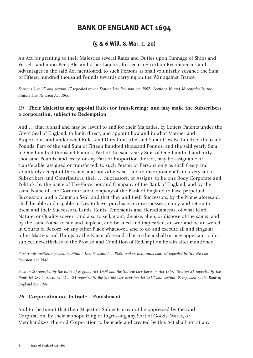## **BANK OF ENGLAND ACT 1694**

## **(5 & 6 Will. & Mar. c. 20)**

An Act for granting to their Majesties several Rates and Duties upon Tunnage of Ships and Vessels, and upon Beer, Ale, and other Liquors, for securing certain Recompences and Advantages in the said Act mentioned, to such Persons as shall voluntarily advance the Sum of Fifteen hundred thousand Pounds towards carrying on the War against France.

Sections 1 to 15 and section 17 repealed by the Statute Law Revision Act 1867. Sections 16 and 18 repealed by the *Statute Law Revision Act 1966.*

#### **19 Their Majesties may appoint Rules for transferring: and may make the Subscribers a corporation, subject to Redemption**

And … that it shall and may be lawful to and for their Majesties, by Letters Patents under the Great Seal of England, to limit, direct, and appoint how and in what Manner and Proportions and under what Rules and Directions, the said Sum of Twelve hundred thousand Pounds, Part of the said Sum of Fifteen hundred thousand Pounds, and the said yearly Sum of One hundred thousand Pounds, Part of the said yearly Sum of One hundred and forty thousand Pounds, and every, or any Part or Proportion thereof, may be assignable or transferable, assigned or transferred, to such Person or Persons only as shall freely and voluntarily accept of the same, and not otherwise; and to incorporate all and every such Subscribers and Contributors, their … Successors, or Assigns, to be one Body Corporate and Politick, by the name of The Governor and Company of the Bank of England, and by the same Name of The Governor and Company of the Bank of England to have perpetual Succession, and a Common Seal, and that they and their Successors, by the Name aforesaid, shall be able and capable in Law to have, purchase, receive, possess, enjoy, and retain to them and their Successors, Lands, Rents, Tenements and Hereditaments, of what Kind, Nature, or Quality soever; and also to sell, grant, demise, alien, or dispose of the same; and by the same Name to sue and implead, and be sued and impleaded, answer and be answered in Courts of Record, or any other Place whatsover, and to do and execute all and singular other Matters and Things by the Name aforesaid, that to them shall or may appertain to do; subject nevertheless to the Proviso and Condition of Redemption herein after mentioned.

First words omitted repealed by Statute Law Revision Act 1888, and second words omitted repealed by Statute Law *Revision Act 1948.*

Section 20 repealed by the Bank of England Act 1708 and the Statute Law Revision Act 1867. Section 21 repealed by the Bank Act 1892. Sections 22 to 24 repealed by the Statute Law Revision Act 1867 and section 25 repealed by the Bank of *England Act 1946.*

#### **26 Corporation not to trade – Punishment**

And to the Intent that their Majesties Subjects may not be oppressed by the said Corporation, by their monopolizing or ingrossing any Sort of Goods, Wares, or Merchandizes, the said Corporation to be made and created by this Act shall not at any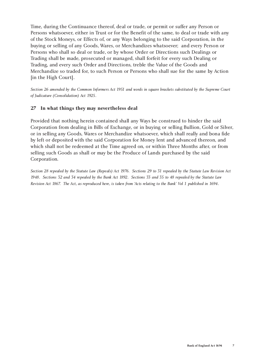Time, during the Continuance thereof, deal or trade, or permit or suffer any Person or Persons whatsoever, either in Trust or for the Benefit of the same, to deal or trade with any of the Stock Moneys, or Effects of, or any Ways belonging to the said Corporation, in the buying or selling of any Goods, Wares, or Merchandizes whatsoever; and every Person or Persons who shall so deal or trade, or by whose Order or Directions such Dealings or Trading shall be made, prosecuted or managed, shall forfeit for every such Dealing or Trading, and every such Order and Directions, treble the Value of the Goods and Merchandize so traded for, to such Person or Persons who shall sue for the same by Action [in the High Court].

Section 26 amended by the Common Informers Act 1951 and words in square brackets substituted by the Supreme Court *of Judicature (Consolidation) Act 1925.*

#### **27 In what things they may nevertheless deal**

Provided that nothing herein contained shall any Ways be construed to hinder the said Corporation from dealing in Bills of Exchange, or in buying or selling Bullion, Gold or Silver, or in selling any Goods, Wares or Merchandize whatsoever, which shall really and bona fide by left or deposited with the said Corporation for Money lent and advanced thereon, and which shall not be redeemed at the Time agreed on, or within Three Months after, or from selling such Goods as shall or may be the Produce of Lands purchased by the said Corporation.

Section 28 repealed by the Statute Law (Repeals) Act 1976. Sections 29 to 31 repealed by the Statute Law Revision Act 1948. Sections 32 and 34 repealed by the Bank Act 1892. Sections 33 and 35 to 48 repealed by the Statute Law Revision Act 1867. The Act, as reproduced here, is taken from 'Acts relating to the Bank' Vol 1 published in 1694.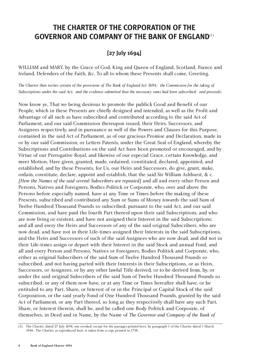## **THE CHARTER OF THE CORPORATION OF THE GOVERNOR AND COMPANY OF THE BANK OF ENGLAND**(1)

## **[27 July 1694]**

WILLIAM and MARY, by the Grace of God, King and Queen of England, Scotland, France and Ireland, Defenders of the Faith, &c. To all to whom these Presents shall come, Greeting.

The Charter then recites certain of the provisions of The Bank of England Act 1694; the Commission for the taking of Subscriptions under the said Act: and the evidence submitted that the necessary sums had been subscribed: and proceeds:

Now know ye, That we being desirous to promote the publick Good and Benefit of our People, which in these Presents are chiefly designed and intended, as well as the Profit and Advantage of all such as have subscribed and contributed according to the said Act of Parliament, and our said Commission thereupon issued, their Heirs, Successors, and Assignees respectively, and in pursuance as well of the Powers and Clauses for this Purpose, contained in the said Act of Parliament, as of our gracious Promise and Declaration, made in or by our said Commission, or Letters Patents, under the Great Seal of England, whereby the Subscriptions and Contributions on the said Act have been promoted or encouraged, and by Virtue of our Prerogative Royal, and likewise of our especial Grace, certain Knowledge, and meer Motion, Have given, granted, made, ordained, constituted, declared, appointed, and established, and by these Presents, for Us, our Heirs and Successors, do give, grant, make, ordain, constitute, declare, appoint and establish, that the said Sir William Ashhurst, & c. *[Here the Names of the said several Subscribers are repeated]* and all and every other Person and Persons, Natives and Foreigners, Bodies Politick or Corporate, who, over and above the Persons before especially named, have at any Time or Times before the making of these Presents, subscribed and contributed any Sum or Sums of Money towards the said Sum of Twelve Hundred Thousand Pounds so subscribed, pursuant to the said Act, and our said Commission, and have paid the fourth Part thereof upon their said Subscriptions, and who are now living or existent, and have not assigned their Interest in the said Subscriptions; and all and every the Heirs and Successors of any of the said original Subscribers, who are now dead, and have not in their Life-times assigned their Interests in the said Subscriptions, and the Heirs and Successors of such of the said Assignees who are now dead, and did not in their Life-times assign or depart with their Interest in the said Stock and annual Fond, and all and every Person and Persons, Natives or Foreigners, Bodies Politick and Corporate, who, either as original Subscribers of the said Sum of Twelve Hundred Thousand Pounds so subscribed, and not having parted with their Interests in their Subscriptions, or as Heirs, Successors, or Assignees, or by any other lawful Title derived, or to be derived from, by, or under the said original Subscribers of the said Sum of Twelve Hundred Thousand Pounds so subscribed, or any of them now have, or at any Time or Times hereafter shall have, or be entituled to any Part, Share, or Interest of or in the Principal or Capital Stock of the said Corporation, or the said yearly Fond of One Hundred Thousand Pounds, granted by the said Act of Parliament, or any Part thereof, so long as they respectively shall have any such Part, Share, or Interest therein, shall be, and be called one Body Politick and Corporate, of themselves, in Deed and in Name, by the Name of *The Governor and Company of the Bank of*

<sup>(1)</sup> The Charter, dated 27 July 1694, was revoked, except for the passages printed here, by paragraph 1 of the Charter dated 1 March 1946. The Charter, as reproduced here, is taken from a copy printed in 1758.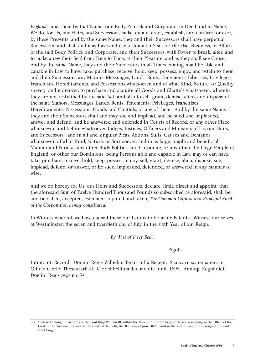*England*; and them by that Name, one Body Politick and Corporate, in Deed and in Name, We do, for Us, our Heirs, and Successors, make, create, erect, establish, and confirm for ever, by these Presents, and by the same Name, they and their Successors shall have perpetual Succession, and shall and may have and use a Common Seal, for the Use, Business, or Affairs of the said Body Politick and Corporate, and their Successors, with Power to break, alter, and to make anew their Seal from Time to Time, at their Pleasure, and as they shall see Cause. And by the same Name, they and their Successors in all Times coming, shall be able and capable in Law, to have, take, purchase, receive, hold, keep, possess, enjoy, and retain to them and their Successors, any Manors, Messuages, Lands, Rents, Tenements, Liberties, Privileges, Franchises, Hereditaments, and Possessions whatsoever, and of what Kind, Nature, or Quality soever; and moreover, to purchase and acquire all Goods and Chattels whatsoever, wherein they are not restrained by the said Act, and also to sell, grant, demise, alien, and dispose of the same Manors, Messuages, Lands, Rents, Tenements, Privileges, Franchises, Hereditaments, Possessions, Goods and Chattels, or any of them. And by the same Name, they and their Successors shall and may sue and implead, and be sued and impleaded, answer and defend, and be answered and defended in Courts of Record, or any other Place whatsoever, and before whatsoever Judges, Justices, Officers and Ministers of Us, our Heirs, and Successors; and in all and singular Pleas, Actions, Suits, Causes and Demands whatsoever, of what Kind, Nature, or Sort soever, and in as large, ample and beneficial Manner and Form as any other Body Politick and Corporate, or any other the Liege People of England, or other our Dominions, being Persons able and capable in Law, may or can have, take, purchase, receive, hold, keep, possess, enjoy, sell, grant, demise, alien, dispose, sue, implead, defend, or answer, or be sued, impleaded, defended, or answered in any manner of wise,

And we do hereby for Us, our Heirs and Successors, declare, limit, direct and appoint, that the aforesaid Sum of Twelve Hundred Thousand Pounds so subscribed as aforesaid, shall be, and be called, accepted, esteemed, reputed and taken, *The Common Capital and Principal Stock of the Corporation hereby constituted*.

In Witness whereof, we have caused these our Letters to be made Patents. Witness our selves at Westminster, the seven and twentieth day of July, in the sixth Year of our Reign.

*By Writ of Privy Seal,*

Pigott.

Intrat. int. Record. Domini Regis Willielmi Tertii, infra Recept. Scaccarii ss. remanen. in Officio Clerici Thesaurarii al. Clerici Pellium decimo die Junii, 1695. Annoq; Regni dicti Domini Regis septimo. (2)

<sup>(2)</sup> "Entered among the Records of the Lord King William III, within the Receipt of the Exchequer; to wit, remaining in the Office of the Clerk of the Treasurer, otherwise the Clerk of the Pells, the 10th day of June, 1695. And in the seventh year of the reign of the said Lord King."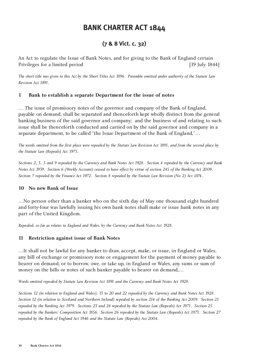## **BANK CHARTER ACT 1844**

## **(7 & 8 Vict. c. 32)**

An Act to regulate the Issue of Bank Notes, and for giving to the Bank of England certain Privileges for a limited period [19 July 1844]

The short title was given to this Act by the Short Titles Act 1896. Preamble omitted under authority of the Statute Law *Revision Act 1891.*

#### **1 Bank to establish a separate Department for the issue of notes**

… The issue of promissory notes of the governor and company of the Bank of England, payable on demand, shall be separated and thenceforth kept wholly distinct from the general banking business of the said governor and company; and the business of and relating to such issue shall be thenceforth conducted and carried on by the said governor and company in a separate department, to be called "the Issue Department of the Bank of England,"…

The words omitted from the first place were repealed by the Statute Law Revision Act 1891, and from the second place by *the Statute Law (Repeals) Act 1973.*

Sections 2, 3, 5 and 9 repealed by the Currency and Bank Notes Act 1928. Section 4 repealed by the Currency and Bank Notes Act 1939. Section 6 (Weekly Account) ceased to have effect by virtue of section 245 of the Banking Act 2009. Section 7 repealed by the Finance Act 1972. Section 8 repealed by the Statute Law Revision (No 2) Act 1874.

#### **10 No new Bank of Issue**

…No person other than a banker who on the sixth day of May one thousand eight hundred and forty-four was lawfully issuing his own bank notes shall make or issue bank notes in any part of the United Kingdom.

*Repealed, so far as relates to England and Wales, by the Currency and Bank Notes Act 1928.*

#### **11 Restriction against issue of Bank Notes**

…It shall not be lawful for any banker to draw, accept, make, or issue, in England or Wales, any bill of exchange or promissory note or engagement for the payment of money payable to bearer on demand, or to borrow, owe, or take up, in England or Wales, any sums or sum of money on the bills or notes of such banker payable to bearer on demand,…

*Words omitted repealed by Statute Law Revision Act 1891 and the Currency and Bank Notes Act 1928.*

Sections 12 (in relation to England and Wales), 13 to 20 and 22 repealed by the Currency and Bank Notes Act 1928. Section 12 (in relation to Scotland and Northern Ireland) repealed by section 214 of the Banking Act 2009. Section 21 repealed by the Banking Act 1979. Sections 23 and 24 repealed by the Statute Law (Repeals) Act 1971. Section 25 repealed by the Bankers' Composition Act 1856. Section 26 repealed by the Statute Law (Repeals) Act 1973. Section 27 *repealed by the Bank of England Act 1946 and the Statute Law (Repeals) Act 2004.*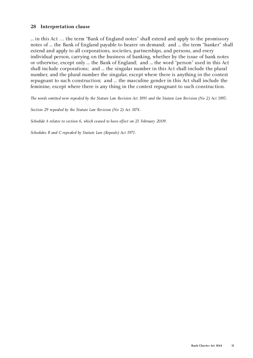#### **28 Interpretation clause**

... in this Act … the term "Bank of England notes" shall extend and apply to the promissory notes of ... the Bank of England payable to bearer on demand; and ... the term "banker" shall extend and apply to all corporations, societies, partnerships, and persons, and every individual person, carrying on the business of banking, whether by the issue of bank notes or otherwise, except only ... the Bank of England; and ... the word "person" used in this Act shall include corporations; and ... the singular number in this Act shall include the plural number, and the plural number the singular, except where there is anything in the context repugnant to such construction; and ... the masculine gender in this Act shall include the feminine, except where there is any thing in the context repugnant to such construction.

The words omitted were repealed by the Statute Law Revision Act 1891 and the Statute Law Revision (No 2) Act 1893.

*Section 29 repealed by the Statute Law Revision (No 2) Act 1874.*

*Schedule A relates to section 6, which ceased to have effect on 21 February 2009.*

*Schedules B and C repealed by Statute Law (Repeals) Act 1971.*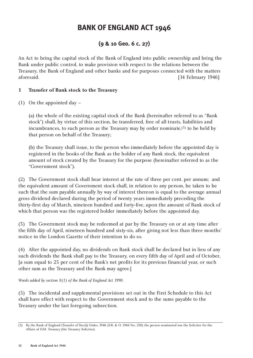## **BANK OF ENGLAND ACT 1946**

## **(9 & 10 Geo. 6 c. 27)**

An Act to bring the capital stock of the Bank of England into public ownership and bring the Bank under public control, to make provision with respect to the relations between the Treasury, the Bank of England and other banks and for purposes connected with the matters aforesaid. [14 February 1946]

#### **1 Transfer of Bank stock to the Treasury**

(1) On the appointed day –

(a) the whole of the existing capital stock of the Bank (hereinafter referred to as "Bank stock") shall, by virtue of this section, be transferred, free of all trusts, liabilities and incumbrances, to such person as the Treasury may by order nominate,<sup>(3)</sup> to be held by that person on behalf of the Treasury;

(b) the Treasury shall issue, to the person who immediately before the appointed day is registered in the books of the Bank as the holder of any Bank stock, the equivalent amount of stock created by the Treasury for the purpose (hereinafter referred to as the "Government stock").

(2) The Government stock shall bear interest at the rate of three per cent. per annum; and the equivalent amount of Government stock shall, in relation to any person, be taken to be such that the sum payable annually by way of interest thereon is equal to the average annual gross dividend declared during the period of twenty years immediately preceding the thirty-first day of March, nineteen hundred and forty-five, upon the amount of Bank stock of which that person was the registered holder immediately before the appointed day.

(3) The Government stock may be redeemed at par by the Treasury on or at any time after the fifth day of April, nineteen hundred and sixty-six, after giving not less than three months' notice in the London Gazette of their intention to do so.

(4) After the appointed day, no dividends on Bank stock shall be declared but in lieu of any such dividends the Bank shall pay to the Treasury, on every fifth day of April and of October, [a sum equal to 25 per cent of the Bank's net profits for its previous financial year, or such other sum as the Treasury and the Bank may agree.]

*Words added by section 8(1) of the Bank of England Act 1998.*

(5) The incidental and supplemental provisions set out in the First Schedule to this Act shall have effect with respect to the Government stock and to the sums payable to the Treasury under the last foregoing subsection.

<sup>(3)</sup> By the Bank of England (Transfer of Stock) Order, 1946 (S.R. & O. 1946 No. 238) the person nominated was the Solicitor for the Affairs of H.M. Treasury (the Treasury Solicitor).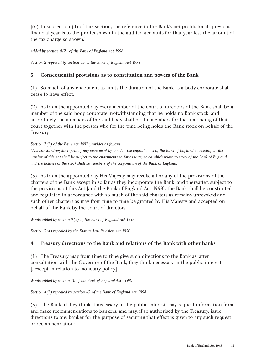[(6) In subsection (4) of this section, the reference to the Bank's net profits for its previous financial year is to the profits shown in the audited accounts for that year less the amount of the tax charge so shown.]

*Added by section 8(2) of the Bank of England Act 1998.*

*Section 2 repealed by section 43 of the Bank of England Act 1998.*

#### **3 Consequential provisions as to constitution and powers of the Bank**

(1) So much of any enactment as limits the duration of the Bank as a body corporate shall cease to have effect.

(2) As from the appointed day every member of the court of directors of the Bank shall be a member of the said body corporate, notwithstanding that he holds no Bank stock, and accordingly the members of the said body shall be the members for the time being of that court together with the person who for the time being holds the Bank stock on behalf of the Treasury.

#### *Section 7(2) of the Bank Act 1892 provides as follows:*

"Notwithstanding the repeal of any enactment by this Act the capital stock of the Bank of England as existing at the passing of this Act shall be subject to the enactments so far as unrepealed which relate to stock of the Bank of England, *and the holders of the stock shall be members of the corporation of the Bank of England."*

(3) As from the appointed day His Majesty may revoke all or any of the provisions of the charters of the Bank except in so far as they incorporate the Bank, and thereafter, subject to the provisions of this Act [and the Bank of England Act 1998], the Bank shall be constituted and regulated in accordance with so much of the said charters as remains unrevoked and such other charters as may from time to time be granted by His Majesty and accepted on behalf of the Bank by the court of directors.

*Words added by section 9(3) of the Bank of England Act 1998.*

*Section 3(4) repealed by the Statute Law Revision Act 1950.*

#### **4 Treasury directions to the Bank and relations of the Bank with other banks**

(1) The Treasury may from time to time give such directions to the Bank as, after consultation with the Governor of the Bank, they think necessary in the public interest [, except in relation to monetary policy].

*Words added by section 10 of the Bank of England Act 1998.*

*Section 4(2) repealed by section 43 of the Bank of England Act 1998.*

(3) The Bank, if they think it necessary in the public interest, may request information from and make recommendations to bankers, and may, if so authorised by the Treasury, issue directions to any banker for the purpose of securing that effect is given to any such request or recommendation: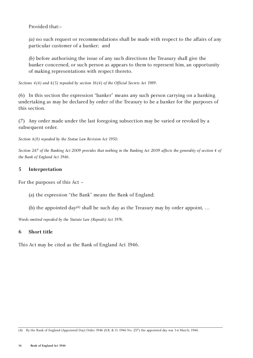Provided that:–

*(a)* no such request or recommendations shall be made with respect to the affairs of any particular customer of a banker; and

*(b)* before authorising the issue of any such directions the Treasury shall give the banker concerned, or such person as appears to them to represent him, an opportunity of making representations with respect thereto.

*Sections 4(4) and 4(5) repealed by section 16(4) of the Official Secrets Act 1989.*

(6) In this section the expression "banker" means any such person carrying on a banking undertaking as may be declared by order of the Treasury to be a banker for the purposes of this section.

(7) Any order made under the last foregoing subsection may be varied or revoked by a subsequent order.

*Section 4(8) repealed by the Statue Law Revision Act 1950.*

Section 247 of the Banking Act 2009 provides that nothing in the Banking Act 2009 affects the generality of section 4 of *the Bank of England Act 1946.*

#### **5 Interpretation**

For the purposes of this Act –

- (a) the expression "the Bank" means the Bank of England;
- (b) the appointed day<sup>(4)</sup> shall be such day as the Treasury may by order appoint, ...

*Words omitted repealed by the Statute Law (Repeals) Act 1976.*

#### **6 Short title**

This Act may be cited as the Bank of England Act 1946.

<sup>(4)</sup> By the Bank of England (Appointed Day) Order 1946 (S.R. & O. 1946 No. 237) the appointed day was 1st March, 1946.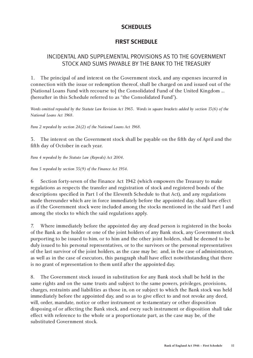## **SCHEDULES**

## **FIRST SCHEDULE**

### INCIDENTAL AND SUPPLEMENTAL PROVISIONS AS TO THE GOVERNMENT STOCK AND SUMS PAYABLE BY THE BANK TO THE TREASURY

1. The principal of and interest on the Government stock, and any expenses incurred in connection with the issue or redemption thereof, shall be charged on and issued out of the [National Loans Fund with recourse to] the Consolidated Fund of the United Kingdom ... (hereafter in this Schedule referred to as "the Consolidated Fund").

Words omitted repealed by the Statute Law Revision Act 1963. Words in square brackets added by section 13(6) of the *National Loans Act 1968.*

*Para 2 repealed by section 24(2) of the National Loans Act 1968.*

3. The interest on the Government stock shall be payable on the fifth day of April and the fifth day of October in each year.

*Para 4 repealed by the Statute Law (Repeals) Act 2004.*

*Para 5 repealed by section 35(9) of the Finance Act 1954.*

6 Section forty-seven of the Finance Act 1942 (which empowers the Treasury to make regulations as respects the transfer and registration of stock and registered bonds of the descriptions specified in Part I of the Eleventh Schedule to that Act), and any regulations made thereunder which are in force immediately before the appointed day, shall have effect as if the Government stock were included among the stocks mentioned in the said Part I and among the stocks to which the said regulations apply.

7. Where immediately before the appointed day any dead person is registered in the books of the Bank as the holder or one of the joint holders of any Bank stock, any Government stock purporting to be issued to him, or to him and the other joint holders, shall be deemed to be duly issued to his personal representatives, or to the survivors or the personal representatives of the last survivor of the joint holders, as the case may be; and, in the case of administrators, as well as in the case of executors, this paragraph shall have effect notwithstanding that there is no grant of representation to them until after the appointed day.

8. The Government stock issued in substitution for any Bank stock shall be held in the same rights and on the same trusts and subject to the same powers, privileges, provisions, charges, restraints and liabilities as those in, on or subject to which the Bank stock was held immediately before the appointed day, and so as to give effect to and not revoke any deed, will, order, mandate, notice or other instrument or testamentary or other disposition disposing of or affecting the Bank stock, and every such instrument or disposition shall take effect with reference to the whole or a proportionate part, as the case may be, of the substituted Government stock.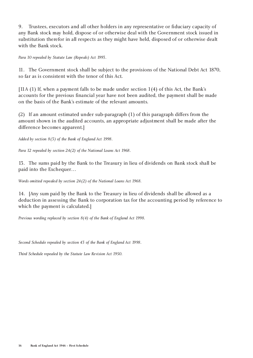9. Trustees, executors and all other holders in any representative or fiduciary capacity of any Bank stock may hold, dispose of or otherwise deal with the Government stock issued in substitution therefor in all respects as they might have held, disposed of or otherwise dealt with the Bank stock.

*Para 10 repealed by Statute Law (Repeals) Act 1993.*

11. The Government stock shall be subject to the provisions of the National Debt Act 1870, so far as is consistent with the tenor of this Act.

[11A (1) If, when a payment falls to be made under section 1(4) of this Act, the Bank's accounts for the previous financial year have not been audited, the payment shall be made on the basis of the Bank's estimate of the relevant amounts.

(2) If an amount estimated under sub-paragraph (1) of this paragraph differs from the amount shown in the audited accounts, an appropriate adjustment shall be made after the difference becomes apparent.]

*Added by section 8(3) of the Bank of England Act 1998.*

*Para 12 repealed by section 24(2) of the National Loans Act 1968.*

13. The sums paid by the Bank to the Treasury in lieu of dividends on Bank stock shall be paid into the Exchequer…

*Words omitted repealed by section 24(2) of the National Loans Act 1968.*

14. [Any sum paid by the Bank to the Treasury in lieu of dividends shall be allowed as a deduction in assessing the Bank to corporation tax for the accounting period by reference to which the payment is calculated.]

*Previous wording replaced by section 8(4) of the Bank of England Act 1998.*

*Second Schedule repealed by section 43 of the Bank of England Act 1998.*

*Third Schedule repealed by the Statute Law Revision Act 1950.*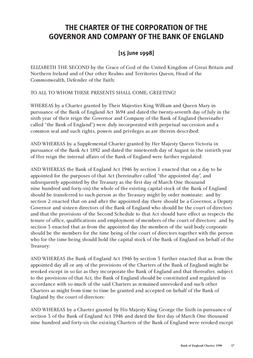## **THE CHARTER OF THE CORPORATION OF THE GOVERNOR AND COMPANY OF THE BANK OF ENGLAND**

## **[15 June 1998]**

ELIZABETH THE SECOND by the Grace of God of the United Kingdom of Great Britain and Northern Ireland and of Our other Realms and Territories Queen, Head of the Commonwealth, Defender of the Faith:

TO ALL TO WHOM THESE PRESENTS SHALL COME, GREETING!

WHEREAS by a Charter granted by Their Majesties King William and Queen Mary in pursuance of the Bank of England Act 1694 and dated the twenty-seventh day of July in the sixth year of their reign the Governor and Company of the Bank of England (hereinafter called "the Bank of England") were duly incorporated with perpetual succession and a common seal and such rights, powers and privileges as are therein described:

AND WHEREAS by a Supplemental Charter granted by Her Majesty Queen Victoria in pursuance of the Bank Act 1892 and dated the nineteenth day of August in the sixtieth year of Her reign the internal affairs of the Bank of England were further regulated:

AND WHEREAS the Bank of England Act 1946 by section 1 enacted that on a day to be appointed for the purposes of that Act (hereinafter called "the appointed day", and subsequently appointed by the Treasury as the first day of March One thousand nine hundred and forty-six) the whole of the existing capital stock of the Bank of England should be transferred to such person as the Treasury might by order nominate: and by section 2 enacted that on and after the appointed day there should be a Governor, a Deputy Governor and sixteen directors of the Bank of England who should be the court of directors and that the provisions of the Second Schedule to that Act should have effect as respects the tenure of office, qualifications and employment of members of the court of directors: and by section 3 enacted that as from the appointed day the members of the said body corporate should be the members for the time being of the court of directors together with the person who for the time being should hold the capital stock of the Bank of England on behalf of the Treasury:

AND WHEREAS the Bank of England Act 1946 by section 3 further enacted that as from the appointed day all or any of the provisions of the Charters of the Bank of England might be revoked except in so far as they incorporate the Bank of England and that thereafter, subject to the provisions of that Act, the Bank of England should be constituted and regulated in accordance with so much of the said Charters as remained unrevoked and such other Charters as might from time to time be granted and accepted on behalf of the Bank of England by the court of directors:

AND WHEREAS by a Charter granted by His Majesty King George the Sixth in pursuance of section 3 of the Bank of England Act 1946 and dated the first day of March One thousand nine hundred and forty-six the existing Charters of the Bank of England were revoked except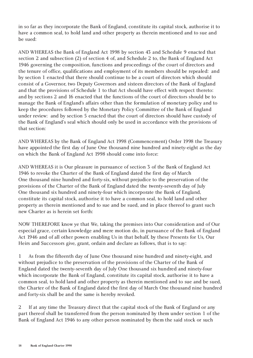in so far as they incorporate the Bank of England, constitute its capital stock, authorise it to have a common seal, to hold land and other property as therein mentioned and to sue and be sued:

AND WHEREAS the Bank of England Act 1998 by section 43 and Schedule 9 enacted that section 2 and subsection (2) of section 4 of, and Schedule 2 to, the Bank of England Act 1946 governing the composition, functions and proceedings of the court of directors and the tenure of office, qualifications and employment of its members should be repealed: and by section 1 enacted that there should continue to be a court of directors which should consist of a Governor, two Deputy Governors and sixteen directors of the Bank of England and that the provisions of Schedule 1 to that Act should have effect with respect thereto: and by sections 2 and 16 enacted that the functions of the court of directors should be to manage the Bank of England's affairs other than the formulation of monetary policy and to keep the procedures followed by the Monetary Policy Committee of the Bank of England under review: and by section 5 enacted that the court of directors should have custody of the Bank of England's seal which should only be used in accordance with the provisions of that section:

AND WHEREAS by the Bank of England Act 1998 (Commencement) Order 1998 the Treasury have appointed the first day of June One thousand nine hundred and ninety-eight as the day on which the Bank of England Act 1998 should come into force:

AND WHEREAS it is Our pleasure in pursuance of section 3 of the Bank of England Act 1946 to revoke the Charter of the Bank of England dated the first day of March One thousand nine hundred and forty-six, without prejudice to the preservation of the provisions of the Charter of the Bank of England dated the twenty-seventh day of July One thousand six hundred and ninety-four which incorporate the Bank of England, constitute its capital stock, authorise it to have a common seal, to hold land and other property as therein mentioned and to sue and be sued, and in place thereof to grant such new Charter as is herein set forth:

NOW THEREFORE know ye that We, taking the premises into Our consideration and of Our especial grace, certain knowledge and mere motion do, in pursuance of the Bank of England Act 1946 and of all other powers enabling Us in that behalf, by these Presents for Us, Our Heirs and Successors give, grant, ordain and declare as follows, that is to say:

1 As from the fifteenth day of June One thousand nine hundred and ninety-eight, and without prejudice to the preservation of the provisions of the Charter of the Bank of England dated the twenty-seventh day of July One thousand six hundred and ninety-four which incorporate the Bank of England, constitute its capital stock, authorise it to have a common seal, to hold land and other property as therein mentioned and to sue and be sued, the Charter of the Bank of England dated the first day of March One thousand nine hundred and forty-six shall be and the same is hereby revoked.

2 If at any time the Treasury direct that the capital stock of the Bank of England or any part thereof shall be transferred from the person nominated by them under section 1 of the Bank of England Act 1946 to any other person nominated by them the said stock or such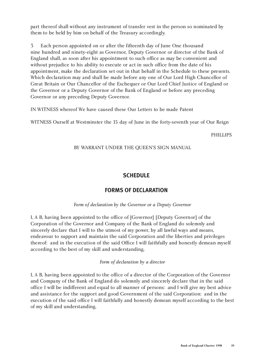part thereof shall without any instrument of transfer vest in the person so nominated by them to be held by him on behalf of the Treasury accordingly.

3 Each person appointed on or after the fifteenth day of June One thousand nine hundred and ninety-eight as Governor, Deputy Governor or director of the Bank of England shall, as soon after his appointment to such office as may be convenient and without prejudice to his ability to execute or act in such office from the date of his appointment, make the declaration set out in that behalf in the Schedule to these presents. Which declaration may and shall be made before any one of Our Lord High Chancellor of Great Britain or Our Chancellor of the Exchequer or Our Lord Chief Justice of England or the Governor or a Deputy Governor of the Bank of England or before any preceding Governor or any preceding Deputy Governor.

IN WITNESS whereof We have caused these Our Letters to be made Patent

WITNESS Ourself at Westminster the 15 day of June in the forty-seventh year of Our Reign

PHILLIPS

#### BY WARRANT UNDER THE QUEEN'S SIGN MANUAL

### **SCHEDULE**

### **FORMS OF DECLARATION**

*Form of declaration by the Governor or a Deputy Governor*

I, A B, having been appointed to the office of [Governor] [Deputy Governor] of the Corporation of the Governor and Company of the Bank of England do solemnly and sincerely declare that I will to the utmost of my power, by all lawful ways and means, endeavour to support and maintain the said Corporation and the liberties and privileges thereof: and in the execution of the said Office I will faithfully and honestly demean myself according to the best of my skill and understanding.

#### *Form of declaration by a director*

I, A B, having been appointed to the office of a director of the Corporation of the Governor and Company of the Bank of England do solemnly and sincerely declare that in the said office I will be indifferent and equal to all manner of persons: and I will give my best advice and assistance for the support and good Government of the said Corporation: and in the execution of the said office I will faithfully and honestly demean myself according to the best of my skill and understanding.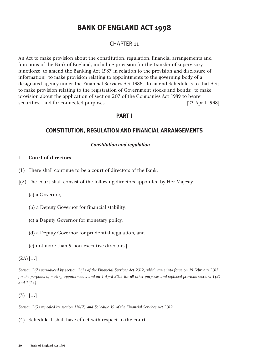## **BANK OF ENGLAND ACT 1998**

#### CHAPTER 11

An Act to make provision about the constitution, regulation, financial arrangements and functions of the Bank of England, including provision for the transfer of supervisory functions; to amend the Banking Act 1987 in relation to the provision and disclosure of information; to make provision relating to appointments to the governing body of a designated agency under the Financial Services Act 1986; to amend Schedule 5 to that Act; to make provision relating to the registration of Government stocks and bonds; to make provision about the application of section 207 of the Companies Act 1989 to bearer securities; and for connected purposes. [23 April 1998]

#### **PART I**

#### **CONSTITUTION, REGULATION AND FINANCIAL ARRANGEMENTS**

#### *Constitution and regulation*

#### **1 Court of directors**

- (1) There shall continue to be a court of directors of the Bank.
- [(2) The court shall consist of the following directors appointed by Her Majesty
	- (a) a Governor,
	- (b) a Deputy Governor for financial stability,
	- (c) a Deputy Governor for monetary policy,
	- (d) a Deputy Governor for prudential regulation, and
	- (e) not more than 9 non-executive directors.]

#### $(2A)[...]$

Section  $1(2)$  introduced by section  $1(1)$  of the Financial Services Act 2012, which came into force on 19 February 2013, for the purposes of making appointments, and on 1 April 2013 for all other purposes and replaced previous sections  $1(2)$ *and 1(2A).*

(3) […]

*Section 1(3) repealed by section 114(2) and Schedule 19 of the Financial Services Act 2012.*

(4) Schedule 1 shall have effect with respect to the court.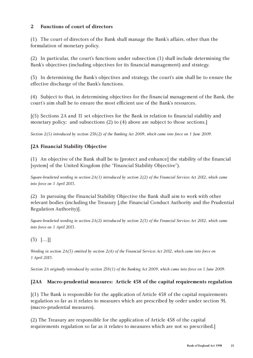#### **2 Functions of court of directors**

(1) The court of directors of the Bank shall manage the Bank's affairs, other than the formulation of monetary policy.

(2) In particular, the court's functions under subsection (1) shall include determining the Bank's objectives (including objectives for its financial management) and strategy.

(3) In determining the Bank's objectives and strategy, the court's aim shall be to ensure the effective discharge of the Bank's functions.

(4) Subject to that, in determining objectives for the financial management of the Bank, the court's aim shall be to ensure the most efficient use of the Bank's resources.

[(5) Sections 2A and 11 set objectives for the Bank in relation to financial stability and monetary policy; and subsections (2) to (4) above are subject to those sections.

Section  $2(5)$  introduced by section  $238(2)$  of the Banking Act 2009, which came into force on 1 June 2009.

#### **[2A Financial Stability Objective**

(1) An objective of the Bank shall be to [protect and enhance] the stability of the financial [system] of the United Kingdom (the "Financial Stability Objective").

Square-bracketed wording in section  $2A(1)$  introduced by section  $2(2)$  of the Financial Services Act 2012, which came *into force on 1 April 2013.*

(2) In pursuing the Financial Stability Objective the Bank shall aim to work with other relevant bodies (including the Treasury [,the Financial Conduct Authority and the Prudential Regulation Authority)].

Square-bracketed wording in section  $2A(2)$  introduced by section  $2(3)$  of the Financial Services Act 2012, which came *into force on 1 April 2013.*

#### $(3)$   $[...]$

Wording in section  $2A(3)$  omitted by section  $2(4)$  of the Financial Services Act 2012, which came into force on *1 April 2013.*

Section 2A originally introduced by section 238(1) of the Banking Act 2009, which came into force on 1 June 2009.

#### **[2AA Macro-prudential measures: Article 458 of the capital requirements regulation**

[(1) The Bank is responsible for the application of Article 458 of the capital requirements regulation so far as it relates to measures which are prescribed by order under section 9L (macro-prudential measures).

(2) The Treasury are responsible for the application of Article 458 of the capital requirements regulation so far as it relates to measures which are not so prescribed.]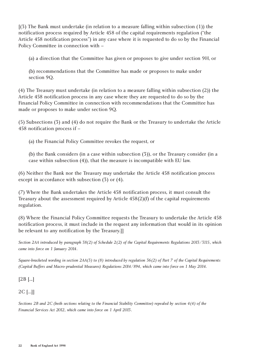[(3) The Bank must undertake (in relation to a measure falling within subsection (1)) the notification process required by Article 458 of the capital requirements regulation ("the Article 458 notification process") in any case where it is requested to do so by the Financial Policy Committee in connection with –

(a) a direction that the Committee has given or proposes to give under section 9H, or

(b) recommendations that the Committee has made or proposes to make under section 9Q.

(4) The Treasury must undertake (in relation to a measure falling within subsection (2)) the Article 458 notification process in any case where they are requested to do so by the Financial Policy Committee in connection with recommendations that the Committee has made or proposes to make under section 9Q.

(5) Subsections (3) and (4) do not require the Bank or the Treasury to undertake the Article 458 notification process if –

(a) the Financial Policy Committee revokes the request, or

(b) the Bank considers (in a case within subsection (3)), or the Treasury consider (in a case within subsection (4)), that the measure is incompatible with EU law.

(6) Neither the Bank nor the Treasury may undertake the Article 458 notification process except in accordance with subsection (3) or (4).

(7) Where the Bank undertakes the Article 458 notification process, it must consult the Treasury about the assessment required by Article 458(2)(f) of the capital requirements regulation.

(8) Where the Financial Policy Committee requests the Treasury to undertake the Article 458 notification process, it must include in the request any information that would in its opinion be relevant to any notification by the Treasury.]]

Section 2AA introduced by paragraph 38(2) of Schedule 2(2) of the Capital Requirements Regulations 2013/3115, which *came into force on 1 January 2014.*

Square-bracketed wording in section  $2AA(3)$  to (8) introduced by regulation  $36(2)$  of Part 7 of the Capital Requirements *(Capital Buffers and Macro-prudential Measures) Regulations 2014/894, which came into force on 1 May 2014.*

[2B [...]

2C [...]]

Sections 2B and 2C (both sections relating to the Financial Stability Committee) repealed by section 4(4) of the *Financial Services Act 2012, which came into force on 1 April 2013.*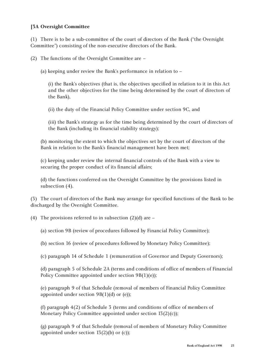#### **[3A Oversight Committee**

(1) There is to be a sub-committee of the court of directors of the Bank ("the Oversight Committee") consisting of the non-executive directors of the Bank.

(2) The functions of the Oversight Committee are –

(a) keeping under review the Bank's performance in relation to –

(i) the Bank's objectives (that is, the objectives specified in relation to it in this Act and the other objectives for the time being determined by the court of directors of the Bank),

(ii) the duty of the Financial Policy Committee under section 9C, and

(iii) the Bank's strategy as for the time being determined by the court of directors of the Bank (including its financial stability strategy);

(b) monitoring the extent to which the objectives set by the court of directors of the Bank in relation to the Bank's financial management have been met;

(c) keeping under review the internal financial controls of the Bank with a view to securing the proper conduct of its financial affairs;

(d) the functions conferred on the Oversight Committee by the provisions listed in subsection (4).

(3) The court of directors of the Bank may arrange for specified functions of the Bank to be discharged by the Oversight Committee.

(4) The provisions referred to in subsection  $(2)(d)$  are –

(a) section 9B (review of procedures followed by Financial Policy Committee);

(b) section 16 (review of procedures followed by Monetary Policy Committee);

(c) paragraph 14 of Schedule 1 (remuneration of Governor and Deputy Governors);

(d) paragraph 5 of Schedule 2A (terms and conditions of office of members of Financial Policy Committee appointed under section 9B(1)(e));

(e) paragraph 9 of that Schedule (removal of members of Financial Policy Committee appointed under section  $9B(1)(d)$  or (e));

(f) paragraph 4(2) of Schedule 3 (terms and conditions of office of members of Monetary Policy Committee appointed under section 13(2)(c));

(g) paragraph 9 of that Schedule (removal of members of Monetary Policy Committee appointed under section  $13(2)(b)$  or (c));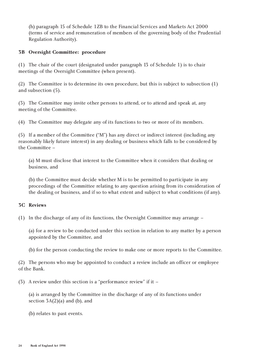(h) paragraph 15 of Schedule 1ZB to the Financial Services and Markets Act 2000 (terms of service and remuneration of members of the governing body of the Prudential Regulation Authority).

#### **3B Oversight Committee: procedure**

(1) The chair of the court (designated under paragraph 13 of Schedule 1) is to chair meetings of the Oversight Committee (when present).

(2) The Committee is to determine its own procedure, but this is subject to subsection (1) and subsection (5).

(3) The Committee may invite other persons to attend, or to attend and speak at, any meeting of the Committee.

(4) The Committee may delegate any of its functions to two or more of its members.

(5) If a member of the Committee ("M") has any direct or indirect interest (including any reasonably likely future interest) in any dealing or business which falls to be considered by the Committee –

(a) M must disclose that interest to the Committee when it considers that dealing or business, and

(b) the Committee must decide whether M is to be permitted to participate in any proceedings of the Committee relating to any question arising from its consideration of the dealing or business, and if so to what extent and subject to what conditions (if any).

#### **3C Reviews**

(1) In the discharge of any of its functions, the Oversight Committee may arrange –

(a) for a review to be conducted under this section in relation to any matter by a person appointed by the Committee, and

(b) for the person conducting the review to make one or more reports to the Committee.

(2) The persons who may be appointed to conduct a review include an officer or employee of the Bank.

(3) A review under this section is a "performance review" if it –

(a) is arranged by the Committee in the discharge of any of its functions under section 3A(2)(a) and (b), and

(b) relates to past events.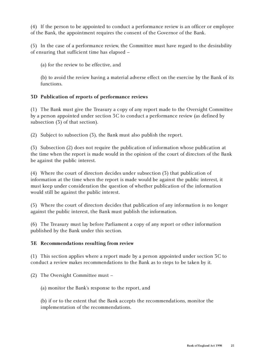(4) If the person to be appointed to conduct a performance review is an officer or employee of the Bank, the appointment requires the consent of the Governor of the Bank.

(5) In the case of a performance review, the Committee must have regard to the desirability of ensuring that sufficient time has elapsed –

(a) for the review to be effective, and

(b) to avoid the review having a material adverse effect on the exercise by the Bank of its functions.

#### **3D Publication of reports of performance reviews**

(1) The Bank must give the Treasury a copy of any report made to the Oversight Committee by a person appointed under section 3C to conduct a performance review (as defined by subsection (3) of that section).

(2) Subject to subsection (3), the Bank must also publish the report.

(3) Subsection (2) does not require the publication of information whose publication at the time when the report is made would in the opinion of the court of directors of the Bank be against the public interest.

(4) Where the court of directors decides under subsection (3) that publication of information at the time when the report is made would be against the public interest, it must keep under consideration the question of whether publication of the information would still be against the public interest.

(5) Where the court of directors decides that publication of any information is no longer against the public interest, the Bank must publish the information.

(6) The Treasury must lay before Parliament a copy of any report or other information published by the Bank under this section.

#### **3E Recommendations resulting from review**

(1) This section applies where a report made by a person appointed under section 3C to conduct a review makes recommendations to the Bank as to steps to be taken by it.

(2) The Oversight Committee must –

(a) monitor the Bank's response to the report, and

(b) if or to the extent that the Bank accepts the recommendations, monitor the implementation of the recommendations.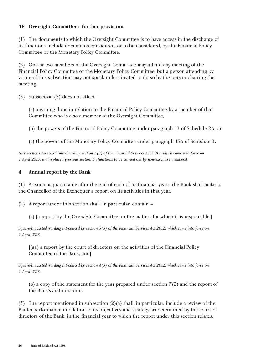#### **3F Oversight Committee: further provisions**

(1) The documents to which the Oversight Committee is to have access in the discharge of its functions include documents considered, or to be considered, by the Financial Policy Committee or the Monetary Policy Committee.

(2) One or two members of the Oversight Committee may attend any meeting of the Financial Policy Committee or the Monetary Policy Committee, but a person attending by virtue of this subsection may not speak unless invited to do so by the person chairing the meeting.

(3) Subsection (2) does not affect –

(a) anything done in relation to the Financial Policy Committee by a member of that Committee who is also a member of the Oversight Committee,

(b) the powers of the Financial Policy Committee under paragraph 13 of Schedule 2A, or

(c) the powers of the Monetary Policy Committee under paragraph 13A of Schedule 3.

New sections 3A to 3F introduced by section  $3(2)$  of the Financial Services Act 2012, which came into force on *1 April 2013, and replaced previous section 3 (functions to be carried out by non-executive members).*

#### **4 Annual report by the Bank**

(1) As soon as practicable after the end of each of its financial years, the Bank shall make to the Chancellor of the Exchequer a report on its activities in that year.

(2) A report under this section shall, in particular, contain –

(a) [a report by the Oversight Committee on the matters for which it is responsible,]

Square-bracketed wording introduced by section 3(3) of the Financial Services Act 2012, which came into force on *1 April 2013.*

[(aa) a report by the court of directors on the activities of the Financial Policy Committee of the Bank, and]

Square-bracketed wording introduced by section 4(3) of the Financial Services Act 2012, which came into force on *1 April 2013.*

(b) a copy of the statement for the year prepared under section 7(2) and the report of the Bank's auditors on it.

(3) The report mentioned in subsection (2)(a) shall, in particular, include a review of the Bank's performance in relation to its objectives and strategy, as determined by the court of directors of the Bank, in the financial year to which the report under this section relates.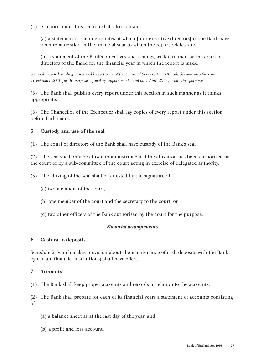(4) A report under this section shall also contain –

(a) a statement of the rate or rates at which [non-executive directors] of the Bank have been remunerated in the financial year to which the report relates, and

(b) a statement of the Bank's objectives and strategy, as determined by the court of directors of the Bank, for the financial year in which the report is made.

Square-bracketed wording introduced by section 5 of the Financial Services Act 2012, which came into force on 19 February 2013, for the purposes of making appointments, and on 1 April 2013 for all other purposes.

(5) The Bank shall publish every report under this section in such manner as it thinks appropriate.

(6) The Chancellor of the Exchequer shall lay copies of every report under this section before Parliament.

#### **5 Custody and use of the seal**

(1) The court of directors of the Bank shall have custody of the Bank's seal.

(2) The seal shall only be affixed to an instrument if the affixation has been authorised by the court or by a sub-committee of the court acting in exercise of delegated authority.

(3) The affixing of the seal shall be attested by the signature of –

- (a) two members of the court,
- (b) one member of the court and the secretary to the court, or
- (c) two other officers of the Bank authorised by the court for the purpose.

#### *Financial arrangements*

#### **6 Cash ratio deposits**

Schedule 2 (which makes provision about the maintenance of cash deposits with the Bank by certain financial institutions) shall have effect.

#### **7 Accounts**

(1) The Bank shall keep proper accounts and records in relation to the accounts.

(2) The Bank shall prepare for each of its financial years a statement of accounts consisting  $of -$ 

- (a) a balance sheet as at the last day of the year, and
- (b) a profit and loss account.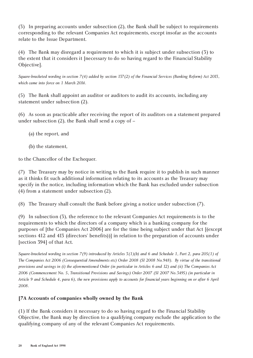(3) In preparing accounts under subsection (2), the Bank shall be subject to requirements corresponding to the relevant Companies Act requirements, except insofar as the accounts relate to the Issue Department.

(4) The Bank may disregard a requirement to which it is subject under subsection (3) to the extent that it considers it [necessary to do so having regard to the Financial Stability Objective].

Square-bracketed wording in section  $7(4)$  added by section 137(2) of the Financial Services (Banking Reform) Act 2013, *which came into force on 1 March 2014.*

(5) The Bank shall appoint an auditor or auditors to audit its accounts, including any statement under subsection (2).

(6) As soon as practicable after receiving the report of its auditors on a statement prepared under subsection  $(2)$ , the Bank shall send a copy of  $-$ 

- (a) the report, and
- (b) the statement,

to the Chancellor of the Exchequer.

(7) The Treasury may by notice in writing to the Bank require it to publish in such manner as it thinks fit such additional information relating to its accounts as the Treasury may specify in the notice, including information which the Bank has excluded under subsection (4) from a statement under subsection (2).

(8) The Treasury shall consult the Bank before giving a notice under subsection (7).

(9) In subsection (3), the reference to the relevant Companies Act requirements is to the requirements to which the directors of a company which is a banking company for the purposes of [the Companies Act 2006] are for the time being subject under that Act [(except sections 412 and 413 (directors' benefits))] in relation to the preparation of accounts under [section 394] of that Act.

Square-bracketed wording in section  $7(9)$  introduced by Articles  $3(1)(b)$  and 6 and Schedule 1, Part 2, para 205(1) of The Companies Act 2006 (Consequential Amendments etc) Order 2008 (SI 2008 No.948). By virtue of the transitional provisions and savings in (i) the aforementioned Order (in particular in Articles 6 and 12) and (ii) The Companies Act *2006 (Commencement No. 5, Transitional Provisions and Savings) Order 2007 (SI 2007 No.3495) (in particular in* Article 9 and Schedule 4, para 6), the new provisions apply to accounts for financial years beginning on or after 6 April *2008.*

#### **[7A Accounts of companies wholly owned by the Bank**

(1) If the Bank considers it necessary to do so having regard to the Financial Stability Objective, the Bank may by direction to a qualifying company exclude the application to the qualifying company of any of the relevant Companies Act requirements.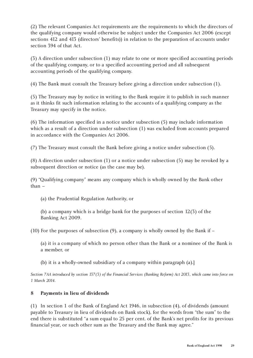(2) The relevant Companies Act requirements are the requirements to which the directors of the qualifying company would otherwise be subject under the Companies Act 2006 (except sections 412 and 413 (directors' benefits)) in relation to the preparation of accounts under section 394 of that Act.

(3) A direction under subsection (1) may relate to one or more specified accounting periods of the qualifying company, or to a specified accounting period and all subsequent accounting periods of the qualifying company.

(4) The Bank must consult the Treasury before giving a direction under subsection (1).

(5) The Treasury may by notice in writing to the Bank require it to publish in such manner as it thinks fit such information relating to the accounts of a qualifying company as the Treasury may specify in the notice.

(6) The information specified in a notice under subsection (5) may include information which as a result of a direction under subsection (1) was excluded from accounts prepared in accordance with the Companies Act 2006.

(7) The Treasury must consult the Bank before giving a notice under subsection (5).

(8) A direction under subsection (1) or a notice under subsection (5) may be revoked by a subsequent direction or notice (as the case may be).

(9) "Qualifying company" means any company which is wholly owned by the Bank other than –

(a) the Prudential Regulation Authority, or

(b) a company which is a bridge bank for the purposes of section 12(3) of the Banking Act 2009.

(10) For the purposes of subsection (9), a company is wholly owned by the Bank if –

(a) it is a company of which no person other than the Bank or a nominee of the Bank is a member, or

(b) it is a wholly-owned subsidiary of a company within paragraph (a).]

Section 7AA introduced by section 137(3) of the Financial Services (Banking Reform) Act 2013, which came into force on *1 March 2014.*

### **8 Payments in lieu of dividends**

(1) In section 1 of the Bank of England Act 1946, in subsection (4), of dividends (amount payable to Treasury in lieu of dividends on Bank stock), for the words from "the sum" to the end there is substituted "a sum equal to 25 per cent. of the Bank's net profits for its previous financial year, or such other sum as the Treasury and the Bank may agree."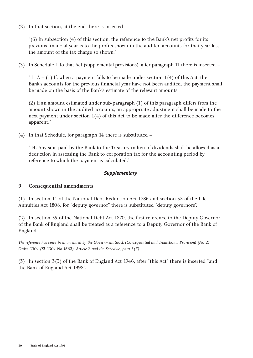(2) In that section, at the end there is inserted –

"(6) In subsection (4) of this section, the reference to the Bank's net profits for its previous financial year is to the profits shown in the audited accounts for that year less the amount of the tax charge so shown."

(3) In Schedule 1 to that Act (supplemental provisions), after paragraph 11 there is inserted –

"11  $A - (1)$  If, when a payment falls to be made under section 1(4) of this Act, the Bank's accounts for the previous financial year have not been audited, the payment shall be made on the basis of the Bank's estimate of the relevant amounts.

(2) If an amount estimated under sub-paragraph (1) of this paragraph differs from the amount shown in the audited accounts, an appropriate adjustment shall be made to the next payment under section 1(4) of this Act to be made after the difference becomes apparent."

(4) In that Schedule, for paragraph 14 there is substituted –

"14. Any sum paid by the Bank to the Treasury in lieu of dividends shall be allowed as a deduction in assessing the Bank to corporation tax for the accounting period by reference to which the payment is calculated."

#### *Supplementary*

#### **9 Consequential amendments**

(1) In section 14 of the National Debt Reduction Act 1786 and section 32 of the Life Annuities Act 1808, for "deputy governor" there is substituted "deputy governors".

(2) In section 55 of the National Debt Act 1870, the first reference to the Deputy Governor of the Bank of England shall be treated as a reference to a Deputy Governor of the Bank of England.

*The reference has since been amended by the Government Stock (Consequential and Transitional Provision) (No 2) Order 2004 (SI 2004 No 1662), Article 2 and the Schedule, para 3(7).*

(3) In section 3(3) of the Bank of England Act 1946, after "this Act" there is inserted "and the Bank of England Act 1998".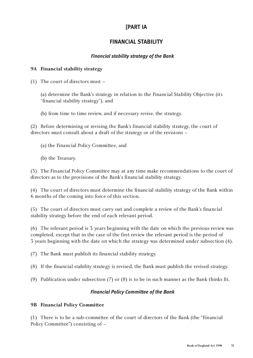## **[PART IA**

## **FINANCIAL STABILITY**

### *Financial stability strategy of the Bank*

#### **9A Financial stability strategy**

(1) The court of directors must –

(a) determine the Bank's strategy in relation to the Financial Stability Objective (its "financial stability strategy"), and

(b) from time to time review, and if necessary revise, the strategy.

(2) Before determining or revising the Bank's financial stability strategy, the court of directors must consult about a draft of the strategy or of the revisions –

- (a) the Financial Policy Committee, and
- (b) the Treasury.

(3) The Financial Policy Committee may at any time make recommendations to the court of directors as to the provisions of the Bank's financial stability strategy.

(4) The court of directors must determine the financial stability strategy of the Bank within 6 months of the coming into force of this section.

(5) The court of directors must carry out and complete a review of the Bank's financial stability strategy before the end of each relevant period.

(6) The relevant period is 3 years beginning with the date on which the previous review was completed, except that in the case of the first review the relevant period is the period of 3 years beginning with the date on which the strategy was determined under subsection (4).

(7) The Bank must publish its financial stability strategy.

(8) If the financial stability strategy is revised, the Bank must publish the revised strategy.

(9) Publication under subsection (7) or (8) is to be in such manner as the Bank thinks fit.

### *Financial Policy Committee of the Bank*

#### **9B Financial Policy Committee**

(1) There is to be a sub-committee of the court of directors of the Bank (the "Financial Policy Committee") consisting of –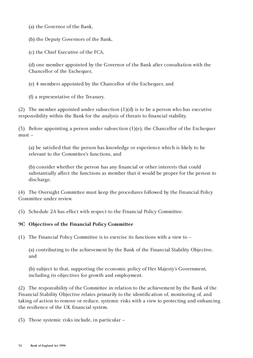(a) the Governor of the Bank,

(b) the Deputy Governors of the Bank,

(c) the Chief Executive of the FCA,

(d) one member appointed by the Governor of the Bank after consultation with the Chancellor of the Exchequer,

(e) 4 members appointed by the Chancellor of the Exchequer, and

(f) a representative of the Treasury.

(2) The member appointed under subsection  $(1)(d)$  is to be a person who has executive responsibility within the Bank for the analysis of threats to financial stability.

(3) Before appointing a person under subsection  $(1)(e)$ , the Chancellor of the Exchequer must –

(a) be satisfied that the person has knowledge or experience which is likely to be relevant to the Committee's functions, and

(b) consider whether the person has any financial or other interests that could substantially affect the functions as member that it would be proper for the person to discharge.

(4) The Oversight Committee must keep the procedures followed by the Financial Policy Committee under review.

(5) Schedule 2A has effect with respect to the Financial Policy Committee.

#### **9C Objectives of the Financial Policy Committee**

(1) The Financial Policy Committee is to exercise its functions with a view to –

(a) contributing to the achievement by the Bank of the Financial Stability Objective, and

(b) subject to that, supporting the economic policy of Her Majesty's Government, including its objectives for growth and employment.

(2) The responsibility of the Committee in relation to the achievement by the Bank of the Financial Stability Objective relates primarily to the identification of, monitoring of, and taking of action to remove or reduce, systemic risks with a view to protecting and enhancing the resilience of the UK financial system.

(3) Those systemic risks include, in particular –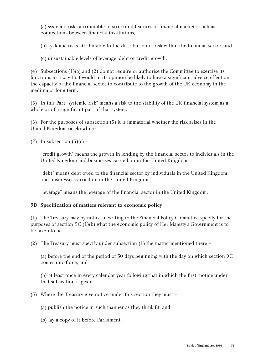(a) systemic risks attributable to structural features of financial markets, such as connections between financial institutions,

(b) systemic risks attributable to the distribution of risk within the financial sector, and

(c) unsustainable levels of leverage, debt or credit growth.

(4) Subsections (1)(a) and (2) do not require or authorise the Committee to exercise its functions in a way that would in its opinion be likely to have a significant adverse effect on the capacity of the financial sector to contribute to the growth of the UK economy in the medium or long term.

(5) In this Part "systemic risk" means a risk to the stability of the UK financial system as a whole or of a significant part of that system.

(6) For the purposes of subsection (5) it is immaterial whether the risk arises in the United Kingdom or elsewhere.

(7) In subsection  $(3)(c)$  –

"credit growth" means the growth in lending by the financial sector to individuals in the United Kingdom and businesses carried on in the United Kingdom;

"debt" means debt owed to the financial sector by individuals in the United Kingdom and businesses carried on in the United Kingdom;

"leverage" means the leverage of the financial sector in the United Kingdom.

#### **9D Specification of matters relevant to economic policy**

(1) The Treasury may by notice in writing to the Financial Policy Committee specify for the purposes of section 9C (1)(b) what the economic policy of Her Majesty's Government is to be taken to be.

(2) The Treasury must specify under subsection (1) the matter mentioned there –

(a) before the end of the period of 30 days beginning with the day on which section 9C comes into force, and

(b) at least once in every calendar year following that in which the first notice under that subsection is given.

(3) Where the Treasury give notice under this section they must –

(a) publish the notice in such manner as they think fit, and

(b) lay a copy of it before Parliament.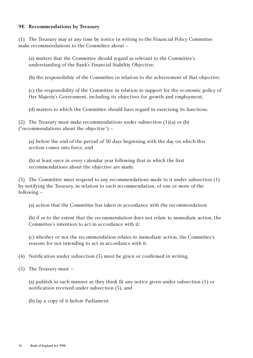#### **9E Recommendations by Treasury**

(1) The Treasury may at any time by notice in writing to the Financial Policy Committee make recommendations to the Committee about –

(a) matters that the Committee should regard as relevant to the Committee's understanding of the Bank's Financial Stability Objective;

(b) the responsibility of the Committee in relation to the achievement of that objective;

(c) the responsibility of the Committee in relation to support for the economic policy of Her Majesty's Government, including its objectives for growth and employment;

(d) matters to which the Committee should have regard in exercising its functions.

(2) The Treasury must make recommendations under subsection (1)(a) or (b) ("recommendations about the objective") –

(a) before the end of the period of 30 days beginning with the day on which this section comes into force, and

(b) at least once in every calendar year following that in which the first recommendations about the objective are made.

(3) The Committee must respond to any recommendations made to it under subsection (1) by notifying the Treasury, in relation to each recommendation, of one or more of the following –

(a) action that the Committee has taken in accordance with the recommendation;

(b) if or to the extent that the recommendation does not relate to immediate action, the Committee's intention to act in accordance with it;

(c) whether or not the recommendation relates to immediate action, the Committee's reasons for not intending to act in accordance with it.

(4) Notification under subsection (3) must be given or confirmed in writing.

(5) The Treasury must –

(a) publish in such manner as they think fit any notice given under subsection (1) or notification received under subsection (3), and

(b) lay a copy of it before Parliament.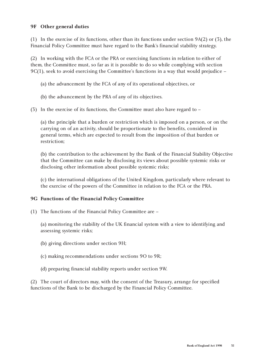### **9F Other general duties**

(1) In the exercise of its functions, other than its functions under section 9A(2) or (3), the Financial Policy Committee must have regard to the Bank's financial stability strategy.

(2) In working with the FCA or the PRA or exercising functions in relation to either of them, the Committee must, so far as it is possible to do so while complying with section 9C(1), seek to avoid exercising the Committee's functions in a way that would prejudice –

- (a) the advancement by the FCA of any of its operational objectives, or
- (b) the advancement by the PRA of any of its objectives.
- (3) In the exercise of its functions, the Committee must also have regard to –

(a) the principle that a burden or restriction which is imposed on a person, or on the carrying on of an activity, should be proportionate to the benefits, considered in general terms, which are expected to result from the imposition of that burden or restriction;

(b) the contribution to the achievement by the Bank of the Financial Stability Objective that the Committee can make by disclosing its views about possible systemic risks or disclosing other information about possible systemic risks;

(c) the international obligations of the United Kingdom, particularly where relevant to the exercise of the powers of the Committee in relation to the FCA or the PRA.

#### **9G Functions of the Financial Policy Committee**

(1) The functions of the Financial Policy Committee are –

(a) monitoring the stability of the UK financial system with a view to identifying and assessing systemic risks;

- (b) giving directions under section 9H;
- (c) making recommendations under sections 9O to 9R;
- (d) preparing financial stability reports under section 9W.

(2) The court of directors may, with the consent of the Treasury, arrange for specified functions of the Bank to be discharged by the Financial Policy Committee.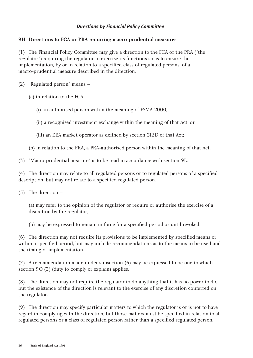### *Directions by Financial Policy Committee*

#### **9H Directions to FCA or PRA requiring macro-prudential measures**

(1) The Financial Policy Committee may give a direction to the FCA or the PRA ("the regulator") requiring the regulator to exercise its functions so as to ensure the implementation, by or in relation to a specified class of regulated persons, of a macro-prudential measure described in the direction.

(2) "Regulated person" means –

- (a) in relation to the FCA
	- (i) an authorised person within the meaning of FSMA 2000,
	- (ii) a recognised investment exchange within the meaning of that Act, or
	- (iii) an EEA market operator as defined by section 312D of that Act;

(b) in relation to the PRA, a PRA-authorised person within the meaning of that Act.

(3) "Macro-prudential measure" is to be read in accordance with section 9L.

(4) The direction may relate to all regulated persons or to regulated persons of a specified description, but may not relate to a specified regulated person.

(5) The direction –

(a) may refer to the opinion of the regulator or require or authorise the exercise of a discretion by the regulator;

(b) may be expressed to remain in force for a specified period or until revoked.

(6) The direction may not require its provisions to be implemented by specified means or within a specified period, but may include recommendations as to the means to be used and the timing of implementation.

(7) A recommendation made under subsection (6) may be expressed to be one to which section 9Q (3) (duty to comply or explain) applies.

(8) The direction may not require the regulator to do anything that it has no power to do, but the existence of the direction is relevant to the exercise of any discretion conferred on the regulator.

(9) The direction may specify particular matters to which the regulator is or is not to have regard in complying with the direction, but those matters must be specified in relation to all regulated persons or a class of regulated person rather than a specified regulated person.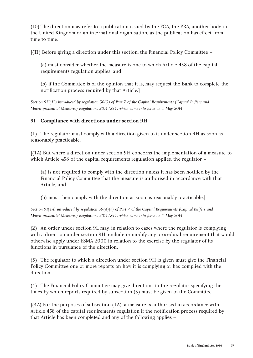(10) The direction may refer to a publication issued by the FCA, the PRA, another body in the United Kingdom or an international organisation, as the publication has effect from time to time.

[(11) Before giving a direction under this section, the Financial Policy Committee –

(a) must consider whether the measure is one to which Article 458 of the capital requirements regulation applies, and

(b) if the Committee is of the opinion that it is, may request the Bank to complete the notification process required by that Article.]

*Section 9H(11) introduced by regulation 36(3) of Part 7 of the Capital Requirements (Capital Buffers and Macro-prudential Measures) Regulations 2014/894, which came into force on 1 May 2014.*

## **9I Compliance with directions under section 9H**

(1) The regulator must comply with a direction given to it under section 9H as soon as reasonably practicable.

[(1A) But where a direction under section 9H concerns the implementation of a measure to which Article 458 of the capital requirements regulation applies, the regulator –

(a) is not required to comply with the direction unless it has been notified by the Financial Policy Committee that the measure is authorised in accordance with that Article, and

(b) must then comply with the direction as soon as reasonably practicable.]

*Section 9I(1A) introduced by regulation 36(4)(a) of Part 7 of the Capital Requirements (Capital Buffers and Macro-prudential Measures) Regulations 2014/894, which came into force on 1 May 2014.*

(2) An order under section 9L may, in relation to cases where the regulator is complying with a direction under section 9H, exclude or modify any procedural requirement that would otherwise apply under FSMA 2000 in relation to the exercise by the regulator of its functions in pursuance of the direction.

(3) The regulator to which a direction under section 9H is given must give the Financial Policy Committee one or more reports on how it is complying or has complied with the direction.

(4) The Financial Policy Committee may give directions to the regulator specifying the times by which reports required by subsection (3) must be given to the Committee.

[(4A) For the purposes of subsection (1A), a measure is authorised in accordance with Article 458 of the capital requirements regulation if the notification process required by that Article has been completed and any of the following applies –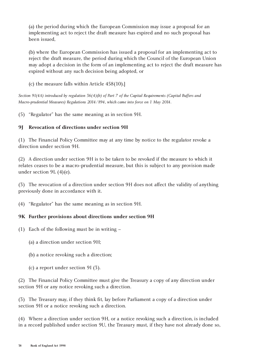(a) the period during which the European Commission may issue a proposal for an implementing act to reject the draft measure has expired and no such proposal has been issued,

(b) where the European Commission has issued a proposal for an implementing act to reject the draft measure, the period during which the Council of the European Union may adopt a decision in the form of an implementing act to reject the draft measure has expired without any such decision being adopted, or

(c) the measure falls within Article 458(10).]

*Section 9I(4A) introduced by regulation 36(4)(b) of Part 7 of the Capital Requirements (Capital Buffers and Macro-prudential Measures) Regulations 2014/894, which came into force on 1 May 2014.*

(5) "Regulator" has the same meaning as in section 9H.

## **9J Revocation of directions under section 9H**

(1) The Financial Policy Committee may at any time by notice to the regulator revoke a direction under section 9H.

(2) A direction under section 9H is to be taken to be revoked if the measure to which it relates ceases to be a macro-prudential measure, but this is subject to any provision made under section 9L (4)(e).

(3) The revocation of a direction under section 9H does not affect the validity of anything previously done in accordance with it.

(4) "Regulator" has the same meaning as in section 9H.

## **9K Further provisions about directions under section 9H**

- (1) Each of the following must be in writing
	- (a) a direction under section 9H;
	- (b) a notice revoking such a direction;
	- (c) a report under section 9I (3).

(2) The Financial Policy Committee must give the Treasury a copy of any direction under section 9H or any notice revoking such a direction.

(3) The Treasury may, if they think fit, lay before Parliament a copy of a direction under section 9H or a notice revoking such a direction.

(4) Where a direction under section 9H, or a notice revoking such a direction, is included in a record published under section 9U, the Treasury must, if they have not already done so,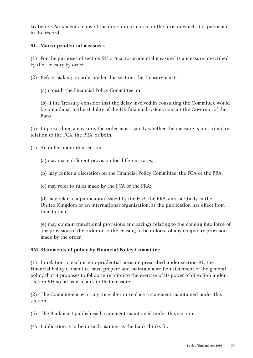lay before Parliament a copy of the direction or notice in the form in which it is published in the record.

## **9L Macro-prudential measures**

(1) For the purposes of section 9H a "macro-prudential measure" is a measure prescribed by the Treasury by order.

(2) Before making an order under this section, the Treasury must –

(a) consult the Financial Policy Committee, or

(b) if the Treasury consider that the delay involved in consulting the Committee would be prejudicial to the stability of the UK financial system, consult the Governor of the Bank.

(3) In prescribing a measure, the order must specify whether the measure is prescribed in relation to the FCA, the PRA, or both.

(4) An order under this section –

- (a) may make different provision for different cases;
- (b) may confer a discretion on the Financial Policy Committee, the FCA or the PRA;
- (c) may refer to rules made by the FCA or the PRA;

(d) may refer to a publication issued by the FCA, the PRA, another body in the United Kingdom or an international organisation, as the publication has effect from time to time;

(e) may contain transitional provisions and savings relating to the coming into force of any provision of the order or to the ceasing to be in force of any temporary provision made by the order.

### **9M Statements of policy by Financial Policy Committee**

(1) In relation to each macro-prudential measure prescribed under section 9L, the Financial Policy Committee must prepare and maintain a written statement of the general policy that it proposes to follow in relation to the exercise of its power of direction under section 9H so far as it relates to that measure.

(2) The Committee may at any time alter or replace a statement maintained under this section.

(3) The Bank must publish each statement maintained under this section.

(4) Publication is to be in such manner as the Bank thinks fit.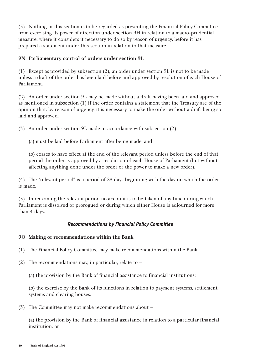(5) Nothing in this section is to be regarded as preventing the Financial Policy Committee from exercising its power of direction under section 9H in relation to a macro-prudential measure, where it considers it necessary to do so by reason of urgency, before it has prepared a statement under this section in relation to that measure.

## **9N Parliamentary control of orders under section 9L**

(1) Except as provided by subsection (2), an order under section 9L is not to be made unless a draft of the order has been laid before and approved by resolution of each House of Parliament.

(2) An order under section 9L may be made without a draft having been laid and approved as mentioned in subsection (1) if the order contains a statement that the Treasury are of the opinion that, by reason of urgency, it is necessary to make the order without a draft being so laid and approved.

(3) An order under section 9L made in accordance with subsection (2) –

(a) must be laid before Parliament after being made, and

(b) ceases to have effect at the end of the relevant period unless before the end of that period the order is approved by a resolution of each House of Parliament (but without affecting anything done under the order or the power to make a new order).

(4) The "relevant period" is a period of 28 days beginning with the day on which the order is made.

(5) In reckoning the relevant period no account is to be taken of any time during which Parliament is dissolved or prorogued or during which either House is adjourned for more than 4 days.

## *Recommendations by Financial Policy Committee*

## **9O Making of recommendations within the Bank**

- (1) The Financial Policy Committee may make recommendations within the Bank.
- (2) The recommendations may, in particular, relate to –

(a) the provision by the Bank of financial assistance to financial institutions;

(b) the exercise by the Bank of its functions in relation to payment systems, settlement systems and clearing houses.

(3) The Committee may not make recommendations about –

(a) the provision by the Bank of financial assistance in relation to a particular financial institution, or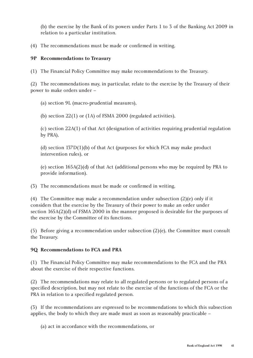(b) the exercise by the Bank of its powers under Parts 1 to 3 of the Banking Act 2009 in relation to a particular institution.

(4) The recommendations must be made or confirmed in writing.

## **9P Recommendations to Treasury**

(1) The Financial Policy Committee may make recommendations to the Treasury.

(2) The recommendations may, in particular, relate to the exercise by the Treasury of their power to make orders under –

(a) section 9L (macro-prudential measures),

(b) section 22(1) or (1A) of FSMA 2000 (regulated activities),

(c) section 22A(1) of that Act (designation of activities requiring prudential regulation by PRA),

(d) section 137D(1)(b) of that Act (purposes for which FCA may make product intervention rules), or

(e) section 165A(2)(d) of that Act (additional persons who may be required by PRA to provide information).

(3) The recommendations must be made or confirmed in writing.

(4) The Committee may make a recommendation under subsection  $(2)(e)$  only if it considers that the exercise by the Treasury of their power to make an order under section 165A(2)(d) of FSMA 2000 in the manner proposed is desirable for the purposes of the exercise by the Committee of its functions.

(5) Before giving a recommendation under subsection (2)(e), the Committee must consult the Treasury.

### **9Q Recommendations to FCA and PRA**

(1) The Financial Policy Committee may make recommendations to the FCA and the PRA about the exercise of their respective functions.

(2) The recommendations may relate to all regulated persons or to regulated persons of a specified description, but may not relate to the exercise of the functions of the FCA or the PRA in relation to a specified regulated person.

(3) If the recommendations are expressed to be recommendations to which this subsection applies, the body to which they are made must as soon as reasonably practicable –

(a) act in accordance with the recommendations, or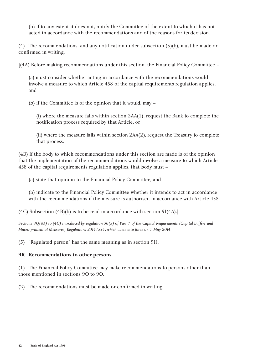(b) if to any extent it does not, notify the Committee of the extent to which it has not acted in accordance with the recommendations and of the reasons for its decision.

(4) The recommendations, and any notification under subsection (3)(b), must be made or confirmed in writing.

[(4A) Before making recommendations under this section, the Financial Policy Committee –

(a) must consider whether acting in accordance with the recommendations would involve a measure to which Article 458 of the capital requirements regulation applies, and

(b) if the Committee is of the opinion that it would, may –

(i) where the measure falls within section 2AA(1), request the Bank to complete the notification process required by that Article, or

(ii) where the measure falls within section 2AA(2), request the Treasury to complete that process.

(4B) If the body to which recommendations under this section are made is of the opinion that the implementation of the recommendations would involve a measure to which Article 458 of the capital requirements regulation applies, that body must –

(a) state that opinion to the Financial Policy Committee, and

(b) indicate to the Financial Policy Committee whether it intends to act in accordance with the recommendations if the measure is authorised in accordance with Article 458.

(4C) Subsection (4B)(b) is to be read in accordance with section 9I(4A).]

Sections 9Q(4A) to (4C) introduced by regulation 36(5) of Part 7 of the Capital Requirements (Capital Buffers and *Macro-prudential Measures) Regulations 2014/894, which came into force on 1 May 2014.*

(5) "Regulated person" has the same meaning as in section 9H.

### **9R Recommendations to other persons**

(1) The Financial Policy Committee may make recommendations to persons other than those mentioned in sections 9O to 9Q.

(2) The recommendations must be made or confirmed in writing.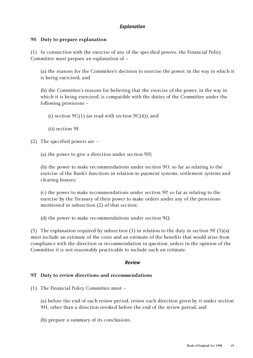## *Explanation*

### **9S Duty to prepare explanation**

(1) In connection with the exercise of any of the specified powers, the Financial Policy Committee must prepare an explanation of –

(a) the reasons for the Committee's decision to exercise the power, in the way in which it is being exercised, and

(b) the Committee's reasons for believing that the exercise of the power, in the way in which it is being exercised, is compatible with the duties of the Committee under the following provisions –

(i) section  $9C(1)$  (as read with section  $9C(4)$ ), and

(ii) section 9F.

(2) The specified powers are –

(a) the power to give a direction under section 9H;

(b) the power to make recommendations under section 9O, so far as relating to the exercise of the Bank's functions in relation to payment systems, settlement systems and clearing houses;

(c) the power to make recommendations under section 9P, so far as relating to the exercise by the Treasury of their power to make orders under any of the provisions mentioned in subsection (2) of that section;

(d) the power to make recommendations under section 9Q.

(3) The explanation required by subsection (1) in relation to the duty in section 9F (3)(a) must include an estimate of the costs and an estimate of the benefits that would arise from compliance with the direction or recommendation in question, unless in the opinion of the Committee it is not reasonably practicable to include such an estimate.

### *Review*

### **9T Duty to review directions and recommendations**

(1) The Financial Policy Committee must –

(a) before the end of each review period, review each direction given by it under section 9H, other than a direction revoked before the end of the review period, and

(b) prepare a summary of its conclusions.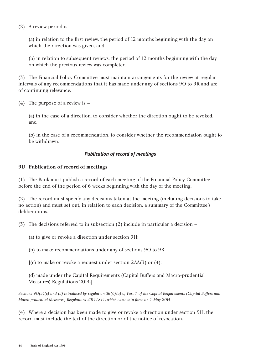(2) A review period is –

(a) in relation to the first review, the period of 12 months beginning with the day on which the direction was given, and

(b) in relation to subsequent reviews, the period of 12 months beginning with the day on which the previous review was completed.

(3) The Financial Policy Committee must maintain arrangements for the review at regular intervals of any recommendations that it has made under any of sections 9O to 9R and are of continuing relevance.

(4) The purpose of a review is –

(a) in the case of a direction, to consider whether the direction ought to be revoked, and

(b) in the case of a recommendation, to consider whether the recommendation ought to be withdrawn.

### *Publication of record of meetings*

#### **9U Publication of record of meetings**

(1) The Bank must publish a record of each meeting of the Financial Policy Committee before the end of the period of 6 weeks beginning with the day of the meeting.

(2) The record must specify any decisions taken at the meeting (including decisions to take no action) and must set out, in relation to each decision, a summary of the Committee's deliberations.

(3) The decisions referred to in subsection (2) include in particular a decision –

(a) to give or revoke a direction under section 9H;

(b) to make recommendations under any of sections 9O to 9R.

 $[(c)$  to make or revoke a request under section 2AA(3) or (4);

(d) made under the Capital Requirements (Capital Buffers and Macro-prudential Measures) Regulations 2014.]

Sections  $9U(3)(c)$  and (d) introduced by regulation  $36(6)(a)$  of Part 7 of the Capital Requirements (Capital Buffers and *Macro-prudential Measures) Regulations 2014/894, which came into force on 1 May 2014.*

(4) Where a decision has been made to give or revoke a direction under section 9H, the record must include the text of the direction or of the notice of revocation.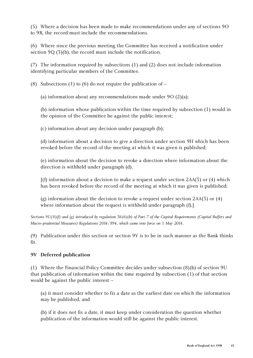(5) Where a decision has been made to make recommendations under any of sections 9O to 9R, the record must include the recommendations.

(6) Where since the previous meeting the Committee has received a notification under section 9Q (3)(b), the record must include the notification.

(7) The information required by subsections (1) and (2) does not include information identifying particular members of the Committee.

(8) Subsections (1) to (6) do not require the publication of  $-$ 

(a) information about any recommendations made under 9O (2)(a);

(b) information whose publication within the time required by subsection (1) would in the opinion of the Committee be against the public interest;

(c) information about any decision under paragraph (b);

(d) information about a decision to give a direction under section 9H which has been revoked before the record of the meeting at which it was given is published;

(e) information about the decision to revoke a direction where information about the direction is withheld under paragraph (d).

 $[(f)$  information about a decision to make a request under section 2AA $(3)$  or  $(4)$  which has been revoked before the record of the meeting at which it was given is published;

(g) information about the decision to revoke a request under section 2AA(3) or (4) where information about the request is withheld under paragraph (f).]

Sections  $9U(8)(f)$  and (g) introduced by regulation  $36(6)(b)$  of Part 7 of the Capital Requirements (Capital Buffers and *Macro-prudential Measures) Regulations 2014/894, which came into force on 1 May 2014.*

(9) Publication under this section or section 9V is to be in such manner as the Bank thinks fit.

## **9V Deferred publication**

(1) Where the Financial Policy Committee decides under subsection (8)(b) of section 9U that publication of information within the time required by subsection (1) of that section would be against the public interest –

(a) it must consider whether to fix a date as the earliest date on which the information may be published, and

(b) if it does not fix a date, it must keep under consideration the question whether publication of the information would still be against the public interest.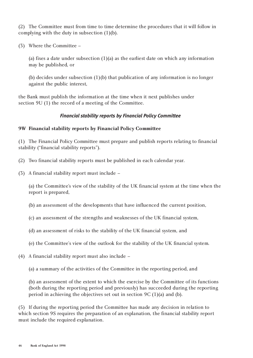(2) The Committee must from time to time determine the procedures that it will follow in complying with the duty in subsection (1)(b).

(3) Where the Committee –

(a) fixes a date under subsection (1)(a) as the earliest date on which any information may be published, or

(b) decides under subsection (1)(b) that publication of any information is no longer against the public interest,

the Bank must publish the information at the time when it next publishes under section 9U (1) the record of a meeting of the Committee.

# *Financial stability reports by Financial Policy Committee*

## **9W Financial stability reports by Financial Policy Committee**

(1) The Financial Policy Committee must prepare and publish reports relating to financial stability ("financial stability reports").

(2) Two financial stability reports must be published in each calendar year.

(3) A financial stability report must include –

(a) the Committee's view of the stability of the UK financial system at the time when the report is prepared,

(b) an assessment of the developments that have influenced the current position,

(c) an assessment of the strengths and weaknesses of the UK financial system,

(d) an assessment of risks to the stability of the UK financial system, and

(e) the Committee's view of the outlook for the stability of the UK financial system.

(4) A financial stability report must also include –

(a) a summary of the activities of the Committee in the reporting period, and

(b) an assessment of the extent to which the exercise by the Committee of its functions (both during the reporting period and previously) has succeeded during the reporting period in achieving the objectives set out in section 9C (1)(a) and (b).

(5) If during the reporting period the Committee has made any decision in relation to which section 9S requires the preparation of an explanation, the financial stability report must include the required explanation.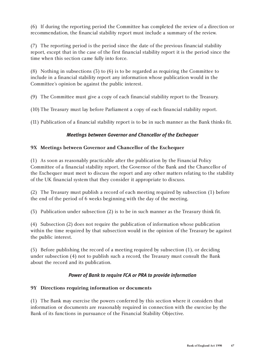(6) If during the reporting period the Committee has completed the review of a direction or recommendation, the financial stability report must include a summary of the review.

(7) The reporting period is the period since the date of the previous financial stability report, except that in the case of the first financial stability report it is the period since the time when this section came fully into force.

(8) Nothing in subsections (3) to (6) is to be regarded as requiring the Committee to include in a financial stability report any information whose publication would in the Committee's opinion be against the public interest.

(9) The Committee must give a copy of each financial stability report to the Treasury.

(10) The Treasury must lay before Parliament a copy of each financial stability report.

(11) Publication of a financial stability report is to be in such manner as the Bank thinks fit.

## *Meetings between Governor and Chancellor of the Exchequer*

## **9X Meetings between Governor and Chancellor of the Exchequer**

(1) As soon as reasonably practicable after the publication by the Financial Policy Committee of a financial stability report, the Governor of the Bank and the Chancellor of the Exchequer must meet to discuss the report and any other matters relating to the stability of the UK financial system that they consider it appropriate to discuss.

(2) The Treasury must publish a record of each meeting required by subsection (1) before the end of the period of 6 weeks beginning with the day of the meeting.

(3) Publication under subsection (2) is to be in such manner as the Treasury think fit.

(4) Subsection (2) does not require the publication of information whose publication within the time required by that subsection would in the opinion of the Treasury be against the public interest.

(5) Before publishing the record of a meeting required by subsection (1), or deciding under subsection (4) not to publish such a record, the Treasury must consult the Bank about the record and its publication.

## *Power of Bank to require FCA or PRA to provide information*

## **9Y Directions requiring information or documents**

(1) The Bank may exercise the powers conferred by this section where it considers that information or documents are reasonably required in connection with the exercise by the Bank of its functions in pursuance of the Financial Stability Objective.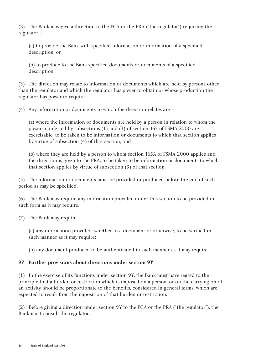(2) The Bank may give a direction to the FCA or the PRA ("the regulator") requiring the regulator –

(a) to provide the Bank with specified information or information of a specified description, or

(b) to produce to the Bank specified documents or documents of a specified description.

(3) The direction may relate to information or documents which are held by persons other than the regulator and which the regulator has power to obtain or whose production the regulator has power to require.

(4) Any information or documents to which the direction relates are –

(a) where the information or documents are held by a person in relation to whom the powers conferred by subsections (1) and (3) of section 165 of FSMA 2000 are exercisable, to be taken to be information or documents to which that section applies by virtue of subsection (4) of that section, and

(b) where they are held by a person to whom section 165A of FSMA 2000 applies and the direction is given to the PRA, to be taken to be information or documents to which that section applies by virtue of subsection (3) of that section.

(5) The information or documents must be provided or produced before the end of such period as may be specified.

(6) The Bank may require any information provided under this section to be provided in such form as it may require.

(7) The Bank may require –

(a) any information provided, whether in a document or otherwise, to be verified in such manner as it may require;

(b) any document produced to be authenticated in such manner as it may require.

## **9Z Further provisions about directions under section 9Y**

(1) In the exercise of its functions under section 9Y, the Bank must have regard to the principle that a burden or restriction which is imposed on a person, or on the carrying on of an activity, should be proportionate to the benefits, considered in general terms, which are expected to result from the imposition of that burden or restriction.

(2) Before giving a direction under section 9Y to the FCA or the PRA ("the regulator"), the Bank must consult the regulator.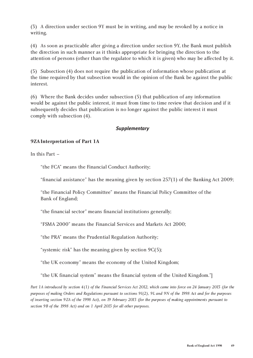(3) A direction under section 9Y must be in writing, and may be revoked by a notice in writing.

(4) As soon as practicable after giving a direction under section 9Y, the Bank must publish the direction in such manner as it thinks appropriate for bringing the direction to the attention of persons (other than the regulator to which it is given) who may be affected by it.

(5) Subsection (4) does not require the publication of information whose publication at the time required by that subsection would in the opinion of the Bank be against the public interest.

(6) Where the Bank decides under subsection (5) that publication of any information would be against the public interest, it must from time to time review that decision and if it subsequently decides that publication is no longer against the public interest it must comply with subsection (4).

## *Supplementary*

## **9ZA Interpretation of Part 1A**

In this Part –

"the FCA" means the Financial Conduct Authority;

"financial assistance" has the meaning given by section 257(1) of the Banking Act 2009;

"the Financial Policy Committee" means the Financial Policy Committee of the Bank of England;

"the financial sector" means financial institutions generally;

"FSMA 2000" means the Financial Services and Markets Act 2000;

"the PRA" means the Prudential Regulation Authority;

"systemic risk" has the meaning given by section 9C(5);

"the UK economy" means the economy of the United Kingdom;

"the UK financial system" means the financial system of the United Kingdom."]

Part 1A introduced by section 4(1) of the Financial Services Act 2012, which came into force on 24 January 2013 (for the purposes of making Orders and Regulations pursuant to sections 9I(2), 9L and 9N of the 1998 Act and for the purposes of inserting section 9ZA of the 1998 Act), on 19 February 2013 (for the purposes of making appointments pursuant to *section 9B of the 1998 Act) and on 1 April 2013 for all other purposes.*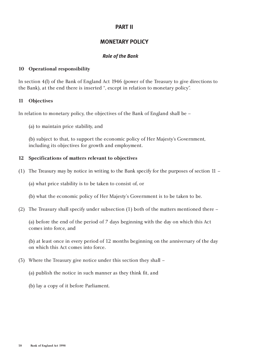# **PART II**

# **MONETARY POLICY**

## *Role of the Bank*

### **10 Operational responsibility**

In section 4(l) of the Bank of England Act 1946 (power of the Treasury to give directions to the Bank), at the end there is inserted ", except in relation to monetary policy".

#### **11 Objectives**

In relation to monetary policy, the objectives of the Bank of England shall be –

(a) to maintain price stability, and

(b) subject to that, to support the economic policy of Her Majesty's Government, including its objectives for growth and employment.

#### **12 Specifications of matters relevant to objectives**

(1) The Treasury may by notice in writing to the Bank specify for the purposes of section 11 –

(a) what price stability is to be taken to consist of, or

(b) what the economic policy of Her Majesty's Government is to be taken to be.

(2) The Treasury shall specify under subsection (1) both of the matters mentioned there –

(a) before the end of the period of 7 days beginning with the day on which this Act comes into force, and

(b) at least once in every period of 12 months beginning on the anniversary of the day on which this Act comes into force.

- (3) Where the Treasury give notice under this section they shall
	- (a) publish the notice in such manner as they think fit, and
	- (b) lay a copy of it before Parliament.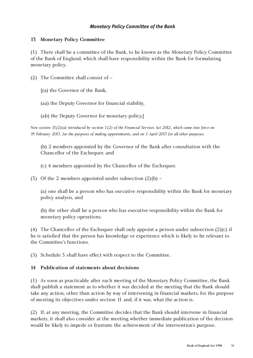## **13 Monetary Policy Committee**

(1) There shall be a committee of the Bank, to be known as the Monetary Policy Committee of the Bank of England, which shall have responsibility within the Bank for formulating monetary policy.

- (2) The Committee shall consist of
	- [(a) the Governor of the Bank,
	- (aa) the Deputy Governor for financial stability,
	- (ab) the Deputy Governor for monetary policy,]

New section  $13(2)(a)$  introduced by section  $1(2)$  of the Financial Services Act 2012, which came into force on 19 February 2013, for the purposes of making appointments, and on 1 April 2013 for all other purposes.

(b) 2 members appointed by the Governor of the Bank after consultation with the Chancellor of the Exchequer, and

- (c) 4 members appointed by the Chancellor of the Exchequer.
- (3) Of the 2 members appointed under subsection  $(2)(b)$  –

(a) one shall be a person who has executive responsibility within the Bank for monetary policy analysis, and

(b) the other shall be a person who has executive responsibility within the Bank for monetary policy operations.

(4) The Chancellor of the Exchequer shall only appoint a person under subsection  $(2)(c)$  if he is satisfied that the person has knowledge or experience which is likely to be relevant to the Committee's functions.

(5) Schedule 3 shall have effect with respect to the Committee.

### **14 Publication of statements about decisions**

(1) As soon as practicable after each meeting of the Monetary Policy Committee, the Bank shall publish a statement as to whether it was decided at the meeting that the Bank should take any action, other than action by way of intervening in financial markets, for the purpose of meeting its objectives under section 11 and, if it was, what the action is.

(2) If, at any meeting, the Committee decides that the Bank should intervene in financial markets, it shall also consider at the meeting whether immediate publication of the decision would be likely to impede or frustrate the achievement of the intervention's purpose.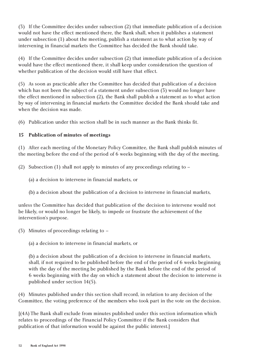(3) If the Committee decides under subsection (2) that immediate publication of a decision would not have the effect mentioned there, the Bank shall, when it publishes a statement under subsection (1) about the meeting, publish a statement as to what action by way of intervening in financial markets the Committee has decided the Bank should take.

(4) If the Committee decides under subsection (2) that immediate publication of a decision would have the effect mentioned there, it shall keep under consideration the question of whether publication of the decision would still have that effect.

(5) As soon as practicable after the Committee has decided that publication of a decision which has not been the subject of a statement under subsection (3) would no longer have the effect mentioned in subsection (2), the Bank shall publish a statement as to what action by way of intervening in financial markets the Committee decided the Bank should take and when the decision was made.

(6) Publication under this section shall be in such manner as the Bank thinks fit.

# **15 Publication of minutes of meetings**

(1) After each meeting of the Monetary Policy Committee, the Bank shall publish minutes of the meeting before the end of the period of 6 weeks beginning with the day of the meeting.

(2) Subsection (1) shall not apply to minutes of any proceedings relating to –

(a) a decision to intervene in financial markets, or

(b) a decision about the publication of a decision to intervene in financial markets,

unless the Committee has decided that publication of the decision to intervene would not be likely, or would no longer be likely, to impede or frustrate the achievement of the intervention's purpose.

(3) Minutes of proceedings relating to –

(a) a decision to intervene in financial markets, or

(b) a decision about the publication of a decision to intervene in financial markets, shall, if not required to be published before the end of the period of 6 weeks beginning with the day of the meeting be published by the Bank before the end of the period of 6 weeks beginning with the day on which a statement about the decision to intervene is published under section 14(5).

(4) Minutes published under this section shall record, in relation to any decision of the Committee, the voting preference of the members who took part in the vote on the decision.

[(4A) The Bank shall exclude from minutes published under this section information which relates to proceedings of the Financial Policy Committee if the Bank considers that publication of that information would be against the public interest.]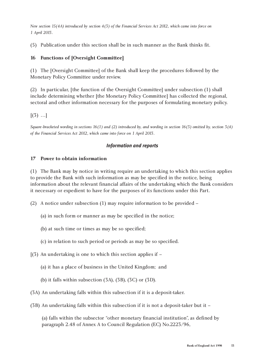New section 15(4A) introduced by section  $4(3)$  of the Financial Services Act 2012, which came into force on *1 April 2013.*

(5) Publication under this section shall be in such manner as the Bank thinks fit.

## **16 Functions of [Oversight Committee]**

(1) The [Oversight Committee] of the Bank shall keep the procedures followed by the Monetary Policy Committee under review.

(2) In particular, [the function of the Oversight Committee] under subsection (1) shall include determining whether [the Monetary Policy Committee] has collected the regional, sectoral and other information necessary for the purposes of formulating monetary policy.

 $[(3) \dots]$ 

Square-bracketed wording in sections  $16(1)$  and (2) introduced by, and wording in section  $16(3)$  omitted by, section  $3(4)$ *of the Financial Services Act 2012, which came into force on 1 April 2013.*

#### *Information and reports*

#### **17 Power to obtain information**

(1) The Bank may by notice in writing require an undertaking to which this section applies to provide the Bank with such information as may be specified in the notice, being information about the relevant financial affairs of the undertaking which the Bank considers it necessary or expedient to have for the purposes of its functions under this Part.

- (2) A notice under subsection (1) may require information to be provided
	- (a) in such form or manner as may be specified in the notice;
	- (b) at such time or times as may be so specified;
	- (c) in relation to such period or periods as may be so specified.
- $(3)$  An undertaking is one to which this section applies if  $-$ 
	- (a) it has a place of business in the United Kingdom; and
	- (b) it falls within subsection  $(3A)$ ,  $(3B)$ ,  $(3C)$  or  $(3D)$ .
- (3A) An undertaking falls within this subsection if it is a deposit-taker.
- (3B) An undertaking falls within this subsection if it is not a deposit-taker but it –

(a) falls within the subsector "other monetary financial institution", as defined by paragraph 2.48 of Annex A to Council Regulation (EC) No.2223/96,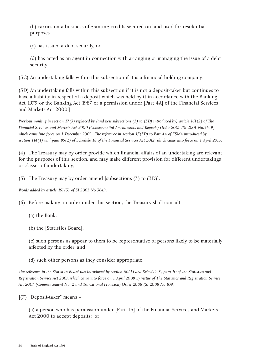(b) carries on a business of granting credits secured on land used for residential purposes,

(c) has issued a debt security, or

(d) has acted as an agent in connection with arranging or managing the issue of a debt security.

(3C) An undertaking falls within this subsection if it is a financial holding company.

(3D) An undertaking falls within this subsection if it is not a deposit-taker but continues to have a liability in respect of a deposit which was held by it in accordance with the Banking Act 1979 or the Banking Act 1987 or a permission under [Part 4A] of the Financial Services and Markets Act 2000.]

Previous wording in section  $17(3)$  replaced by (and new subsections (3) to (3D) introduced by) article 161(2) of The *Financial Services and Markets Act 2000 (Consequential Amendments and Repeals) Order 2001 (SI 2001 No.3649),* which came into force on 1 December 2001. The reference in section 17(3D) to Part 4A of FSMA introduced by section 114(1) and para 85(2) of Schedule 18 of the Financial Services Act 2012, which came into force on 1 April 2013.

(4) The Treasury may by order provide which financial affairs of an undertaking are relevant for the purposes of this section, and may make different provision for different undertakings or classes of undertaking.

(5) The Treasury may by order amend [subsections (3) to (3D)].

*Words added by article 161(3) of SI 2001 No.3649.*

(6) Before making an order under this section, the Treasury shall consult –

(a) the Bank,

(b) the [Statistics Board],

(c) such persons as appear to them to be representative of persons likely to be materially affected by the order, and

(d) such other persons as they consider appropriate.

The reference to the Statistics Board was introduced by section  $60(1)$  and Schedule 3, para 10 of the Statistics and Registration Service Act 2007, which came into force on 1 April 2008 by virtue of The Statistics and Registration Service *Act 2007 (Commencement No. 2 and Transitional Provision) Order 2008 (SI 2008 No.839).*

[(7) "Deposit-taker" means –

(a) a person who has permission under [Part 4A] of the Financial Services and Markets Act 2000 to accept deposits; or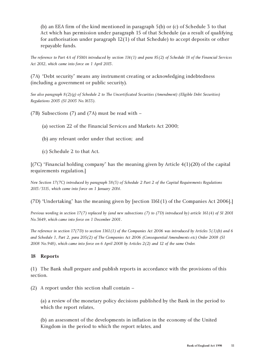(b) an EEA firm of the kind mentioned in paragraph 5(b) or (c) of Schedule 3 to that Act which has permission under paragraph 15 of that Schedule (as a result of qualifying for authorisation under paragraph 12(1) of that Schedule) to accept deposits or other repayable funds.

The reference to Part 4A of FSMA introduced by section  $114(1)$  and para 85(2) of Schedule 18 of the Financial Services *Act 2012, which came into force on 1 April 2013.*

(7A) "Debt security" means any instrument creating or acknowledging indebtedness (including a government or public security).

*See also paragraph 8(2)(g) of Schedule 2 to The Uncertificated Securities (Amendment) (Eligible Debt Securities) Regulations 2003 (SI 2003 No.1633).*

- (7B) Subsections (7) and (7A) must be read with
	- (a) section 22 of the Financial Services and Markets Act 2000;
	- (b) any relevant order under that section; and
	- (c) Schedule 2 to that Act.

 $[(7C)$  "Financial holding company" has the meaning given by Article  $4(1)(20)$  of the capital requirements regulation.]

New Section 17(7C) introduced by paragraph 38(3) of Schedule 2 Part 2 of the Capital Requirements Regulations *2013/3115, which came into force on 1 January 2014.*

(7D) "Undertaking" has the meaning given by [section 1161(1) of the Companies Act 2006].]

Previous wording in section  $17(7)$  replaced by (and new subsections (7) to (7D) introduced by) article 161(4) of SI 2001 *No.3649, which came into force on 1 December 2001.*

The reference in section 17(7D) to section 1161(1) of the Companies Act 2006 was introduced by Articles  $3(1)(b)$  and 6 and Schedule 1, Part 2, para 205(2) of The Companies Act 2006 (Consequential Amendments etc) Order 2008 (SI 2008 No.948), which came into force on 6 April 2008 by Articles 2(2) and 12 of the same Order.

### **18 Reports**

(1) The Bank shall prepare and publish reports in accordance with the provisions of this section.

(2) A report under this section shall contain –

(a) a review of the monetary policy decisions published by the Bank in the period to which the report relates,

(b) an assessment of the developments in inflation in the economy of the United Kingdom in the period to which the report relates, and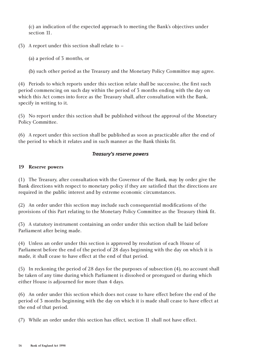(c) an indication of the expected approach to meeting the Bank's objectives under section 11.

(3) A report under this section shall relate to –

(a) a period of 3 months, or

(b) such other period as the Treasury and the Monetary Policy Committee may agree.

(4) Periods to which reports under this section relate shall be successive, the first such period commencing on such day within the period of 3 months ending with the day on which this Act comes into force as the Treasury shall, after consultation with the Bank, specify in writing to it.

(5) No report under this section shall be published without the approval of the Monetary Policy Committee.

(6) A report under this section shall be published as soon as practicable after the end of the period to which it relates and in such manner as the Bank thinks fit.

## *Treasury's reserve powers*

## **19 Reserve powers**

(1) The Treasury, after consultation with the Governor of the Bank, may by order give the Bank directions with respect to monetary policy if they are satisfied that the directions are required in the public interest and by extreme economic circumstances.

(2) An order under this section may include such consequential modifications of the provisions of this Part relating to the Monetary Policy Committee as the Treasury think fit.

(3) A statutory instrument containing an order under this section shall be laid before Parliament after being made.

(4) Unless an order under this section is approved by resolution of each House of Parliament before the end of the period of 28 days beginning with the day on which it is made, it shall cease to have effect at the end of that period.

(5) In reckoning the period of 28 days for the purposes of subsection (4), no account shall be taken of any time during which Parliament is dissolved or prorogued or during which either House is adjourned for more than 4 days.

(6) An order under this section which does not cease to have effect before the end of the period of 3 months beginning with the day on which it is made shall cease to have effect at the end of that period.

(7) While an order under this section has effect, section 11 shall not have effect.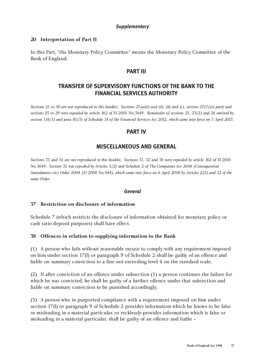### *Supplementary*

#### **20 Interpretation of Part II**

In this Part, "the Monetary Policy Committee" means the Monetary Policy Committee of the Bank of England.

## **PART III**

# **TRANSFER OF SUPERVISORY FUNCTIONS OF THE BANK TO THE FINANCIAL SERVICES AUTHORITY**

Sections 21 to 30 are not reproduced in this booklet. Sections  $21(a)(i)$  and (ii), (b) and (c), section  $23(1)(in part)$  and sections 25 to 29 were repealed by article 162 of SI 2001 No. 3649. Remainder of sections 21, 23(2) and 24 omitted by section 114(1) and para 85(3) of Schedule 18 of the Financial Services Act 2012, which came into force on 1 April 2013.

## **PART IV**

# **MISCELLANEOUS AND GENERAL**

Sections 33 and 34 are not reproduced in this booklet. Sections 31, 32 and 36 were repealed by article 162 of SI 2001 *No.3649. Section 35 was repealed by Articles 3(2) and Schedule 2 of The Companies Act 2006 (Consequential* Amendments etc) Order 2008 (SI 2008 No.948), which came into force on 6 April 2008 by Articles 2(2) and 12 of the *same Order.*

### *General*

### **37 Restriction on disclosure of information**

Schedule 7 (which restricts the disclosure of information obtained for monetary policy or cash ratio deposit purposes) shall have effect.

### **38 Offences in relation to supplying information to the Bank**

(1) A person who fails without reasonable excuse to comply with any requirement imposed on him under section 17(l) or paragraph 9 of Schedule 2 shall be guilty of an offence and liable on summary conviction to a fine not exceeding level 4 on the standard scale.

(2) If after conviction of an offence under subsection (1) a person continues the failure for which he was convicted, he shall be guilty of a further offence under that subsection and liable on summary conviction to be punished accordingly.

(3) A person who in purported compliance with a requirement imposed on him under section 17(l) or paragraph 9 of Schedule 2 provides information which he knows to be false or misleading in a material particular, or recklessly provides information which is false or misleading in a material particular, shall be guilty of an offence and liable –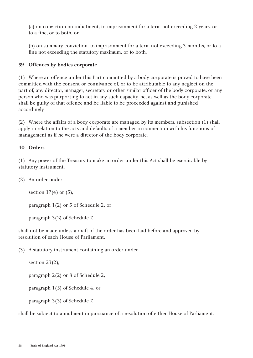(a) on conviction on indictment, to imprisonment for a term not exceeding 2 years, or to a fine, or to both, or

(b) on summary conviction, to imprisonment for a term not exceeding 3 months, or to a fine not exceeding the statutory maximum, or to both.

# **39 Offences by bodies corporate**

(1) Where an offence under this Part committed by a body corporate is proved to have been committed with the consent or connivance of, or to be attributable to any neglect on the part of, any director, manager, secretary or other similar officer of the body corporate, or any person who was purporting to act in any such capacity, he, as well as the body corporate, shall be guilty of that offence and be liable to be proceeded against and punished accordingly.

(2) Where the affairs of a body corporate are managed by its members, subsection (1) shall apply in relation to the acts and defaults of a member in connection with his functions of management as if he were a director of the body corporate.

## **40 Orders**

(1) Any power of the Treasury to make an order under this Act shall be exercisable by statutory instrument.

(2) An order under –

section 17(4) or (5),

paragraph 1(2) or 5 of Schedule 2, or

paragraph 3(2) of Schedule 7,

shall not be made unless a draft of the order has been laid before and approved by resolution of each House of Parliament.

(3) A statutory instrument containing an order under –

```
section 23(2),
```
paragraph 2(2) or 8 of Schedule 2,

paragraph 1(5) of Schedule 4, or

paragraph 3(3) of Schedule 7,

shall be subject to annulment in pursuance of a resolution of either House of Parliament.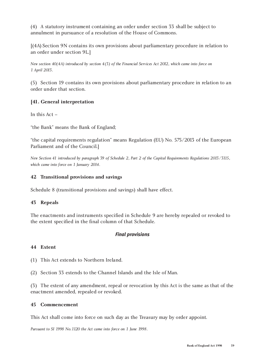(4) A statutory instrument containing an order under section 33 shall be subject to annulment in pursuance of a resolution of the House of Commons.

[(4A) Section 9N contains its own provisions about parliamentary procedure in relation to an order under section 9L.]

New section  $40(4A)$  introduced by section  $4(3)$  of the Financial Services Act 2012, which came into force on *1 April 2013.*

(5) Section 19 contains its own provisions about parliamentary procedure in relation to an order under that section.

## **[41. General interpretation**

In this Act –

"the Bank" means the Bank of England;

"the capital requirements regulation" means Regulation (EU) No. 575/2013 of the European Parliament and of the Council.]

New Section 41 introduced by paragraph 39 of Schedule 2, Part 2 of the Capital Requirements Regulations 2013/3115, *which came into force on 1 January 2014.*

### **42 Transitional provisions and savings**

Schedule 8 (transitional provisions and savings) shall have effect.

#### **43 Repeals**

The enactments and instruments specified in Schedule 9 are hereby repealed or revoked to the extent specified in the final column of that Schedule.

### *Final provisions*

#### **44 Extent**

(1) This Act extends to Northern Ireland.

(2) Section 33 extends to the Channel Islands and the Isle of Man.

(3) The extent of any amendment, repeal or revocation by this Act is the same as that of the enactment amended, repealed or revoked.

#### **45 Commencement**

This Act shall come into force on such day as the Treasury may by order appoint.

*Pursuant to SI 1998 No.1120 the Act came into force on 1 June 1998.*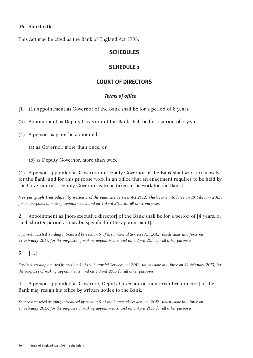## **46 Short title**

This Act may be cited as the Bank of England Act 1998.

## **SCHEDULES**

# **SCHEDULE 1**

# **COURT OF DIRECTORS**

## *Terms of office*

[1. (1) Appointment as Governor of the Bank shall be for a period of 8 years.

(2) Appointment as Deputy Governor of the Bank shall be for a period of 5 years.

(3) A person may not be appointed –

(a) as Governor, more than once, or

(b) as Deputy Governor, more than twice.

(4) A person appointed as Governor or Deputy Governor of the Bank shall work exclusively for the Bank; and for this purpose work in an office that an enactment requires to be held by the Governor or a Deputy Governor is to be taken to be work for the Bank.]

New paragraph 1 introduced by section 5 of the Financial Services Act 2012, which came into force on 19 February 2013, *for the purposes of making appointments, and on 1 April 2013 for all other purposes.*

2. Appointment as [non-executive director] of the Bank shall be for a period of [4 years, or such shorter period as may be specified in the appointment].

Square-bracketed wording introduced by section 5 of the Financial Services Act 2012, which came into force on 19 February 2013, for the purposes of making appointments, and on 1 April 2013 for all other purposes.

3. […]

Previous wording omitted by section 5 of the Financial Services Act 2012, which came into force on 19 February 2013, for *the purposes of making appointments, and on 1 April 2013 for all other purposes.*

4. A person appointed as Governor, Deputy Governor or [non-executive director] of the Bank may resign his office by written notice to the Bank.

Square-bracketed wording introduced by section 5 of the Financial Services Act 2012, which came into force on 19 February 2013, for the purposes of making appointments, and on 1 April 2013 for all other purposes.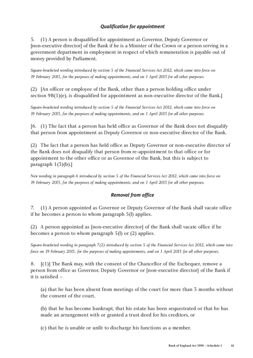# *Qualification for appointment*

5. (1) A person is disqualified for appointment as Governor, Deputy Governor or [non-executive director] of the Bank if he is a Minister of the Crown or a person serving in a government department in employment in respect of which remuneration is payable out of money provided by Parliament.

Square-bracketed wording introduced by section 5 of the Financial Services Act 2012, which came into force on 19 February 2013, for the purposes of making appointments, and on 1 April 2013 for all other purposes.

(2) [An officer or employee of the Bank, other than a person holding office under section 9B(1)(e), is disqualified for appointment as non-executive director of the Bank.

Square-bracketed wording introduced by section 5 of the Financial Services Act 2012, which came into force on 19 February 2013, for the purposes of making appointments, and on 1 April 2013 for all other purposes.

[6. (1) The fact that a person has held office as Governor of the Bank does not disqualify that person from appointment as Deputy Governor or non-executive director of the Bank.

(2) The fact that a person has held office as Deputy Governor or non-executive director of the Bank does not disqualify that person from re-appointment to that office or for appointment to the other office or as Governor of the Bank, but this is subject to paragraph 1(3)(b).]

New wording in paragraph 6 introduced by section 5 of the Financial Services Act 2012, which came into force on 19 February 2013, for the purposes of making appointments, and on 1 April 2013 for all other purposes.

### *Removal from office*

7. (1) A person appointed as Governor or Deputy Governor of the Bank shall vacate office if he becomes a person to whom paragraph 5(l) applies.

(2) A person appointed as [non-executive director] of the Bank shall vacate office if he becomes a person to whom paragraph 5(l) or (2) applies.

Square-bracketed wording in paragraph 7(2) introduced by section 5 of the Financial Services Act 2012, which came into force on 19 February 2013, for the purposes of making appointments, and on 1 April 2013 for all other purposes.

8. [(1)] The Bank may, with the consent of the Chancellor of the Exchequer, remove a person from office as Governor, Deputy Governor or [non-executive director] of the Bank if it is satisfied –

(a) that he has been absent from meetings of the court for more than 3 months without the consent of the court,

(b) that he has become bankrupt, that his estate has been sequestrated or that he has made an arrangement with or granted a trust deed for his creditors, or

(c) that he is unable or unfit to discharge his functions as a member.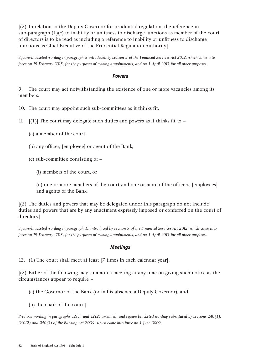[(2) In relation to the Deputy Governor for prudential regulation, the reference in sub-paragraph (1)(c) to inability or unfitness to discharge functions as member of the court of directors is to be read as including a reference to inability or unfitness to discharge functions as Chief Executive of the Prudential Regulation Authority.]

Square-bracketed wording in paragraph 8 introduced by section 5 of the Financial Services Act 2012, which came into force on 19 February 2013, for the purposes of making appointments, and on 1 April 2013 for all other purposes.

#### *Powers*

9. The court may act notwithstanding the existence of one or more vacancies among its members.

10. The court may appoint such sub-committees as it thinks fit.

11.  $\lbrack$  (1)] The court may delegate such duties and powers as it thinks fit to –

(a) a member of the court.

(b) any officer, [employee] or agent of the Bank,

(c) sub-committee consisting of –

(i) members of the court, or

(ii) one or more members of the court and one or more of the officers, [employees] and agents of the Bank.

[(2) The duties and powers that may be delegated under this paragraph do not include duties and powers that are by any enactment expressly imposed or conferred on the court of directors.]

Square-bracketed wording in paragraph 11 introduced by section 5 of the Financial Services Act 2012, which came into force on 19 February 2013, for the purposes of making appointments, and on 1 April 2013 for all other purposes.

#### *Meetings*

12. (1) The court shall meet at least [7 times in each calendar year].

[(2) Either of the following may summon a meeting at any time on giving such notice as the circumstances appear to require –

(a) the Governor of the Bank (or in his absence a Deputy Governor), and

(b) the chair of the court.]

Previous wording in paragraphs  $12(1)$  and  $12(2)$  amended, and square bracketed wording substituted by sections  $240(1)$ , *240(2) and 240(3) of the Banking Act 2009, which came into force on 1 June 2009.*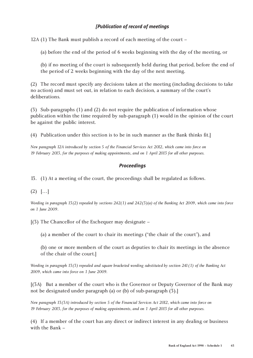# *[Publication of record of meetings*

12A (1) The Bank must publish a record of each meeting of the court –

(a) before the end of the period of 6 weeks beginning with the day of the meeting, or

(b) if no meeting of the court is subsequently held during that period, before the end of the period of 2 weeks beginning with the day of the next meeting.

(2) The record must specify any decisions taken at the meeting (including decisions to take no action) and must set out, in relation to each decision, a summary of the court's deliberations.

(3) Sub-paragraphs (1) and (2) do not require the publication of information whose publication within the time required by sub-paragraph (1) would in the opinion of the court be against the public interest.

(4) Publication under this section is to be in such manner as the Bank thinks fit.]

New paragraph 12A introduced by section 5 of the Financial Services Act 2012, which came into force on 19 February 2013, for the purposes of making appointments, and on 1 April 2013 for all other purposes.

### *Proceedings*

13. (1) At a meeting of the court, the proceedings shall be regulated as follows.

(2) […]

Wording in paragraph 13(2) repealed by sections  $242(1)$  and  $242(3)(a)$  of the Banking Act 2009, which came into force *on 1 June 2009.*

 $[(3)$  The Chancellor of the Exchequer may designate –

- (a) a member of the court to chair its meetings ("the chair of the court"), and
- (b) one or more members of the court as deputies to chair its meetings in the absence of the chair of the court.]

Wording in paragraph 13(3) repealed and square bracketed wording substituted by section 241(1) of the Banking Act *2009, which came into force on 1 June 2009.*

[(3A) But a member of the court who is the Governor or Deputy Governor of the Bank may not be designated under paragraph (a) or (b) of sub-paragraph (3).]

New paragraph 13(3A) introduced by section 5 of the Financial Services Act 2012, which came into force on 19 February 2013, for the purposes of making appointments, and on 1 April 2013 for all other purposes.

(4) If a member of the court has any direct or indirect interest in any dealing or business with the Bank –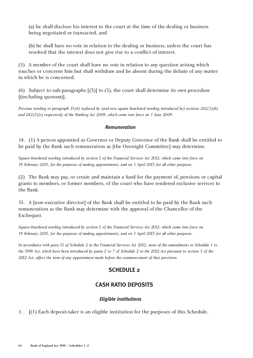(a) he shall disclose his interest to the court at the time of the dealing or business being negotiated or transacted, and

(b) he shall have no vote in relation to the dealing or business, unless the court has resolved that the interest does not give rise to a conflict of interest.

(5) A member of the court shall have no vote in relation to any question arising which touches or concerns him but shall withdraw and be absent during the debate of any matter in which he is concerned.

(6) Subject to sub-paragraphs [(3)] to (5), the court shall determine its own procedure [(including quorum)].

Previous wording in paragraph 13(6) replaced by (and new square bracketed wording introduced by) sections  $242(3)(b)$ *and 242(3)(c) respectively of the Banking Act 2009, which came into force on 1 June 2009.*

### *Remuneration*

14. (1) A person appointed as Governor or Deputy Governor of the Bank shall be entitled to be paid by the Bank such remuneration as [the Oversight Committee] may determine.

Square-bracketed wording introduced by section 5 of the Financial Services Act 2012, which came into force on 19 February 2013, for the purposes of making appointments, and on 1 April 2013 for all other purposes.

(2) The Bank may pay, or create and maintain a fund for the payment of, pensions or capital grants to members, or former members, of the court who have rendered exclusive services to the Bank.

15. A [non-executive director] of the Bank shall be entitled to be paid by the Bank such remuneration as the Bank may determine with the approval of the Chancellor of the Exchequer.

Square-bracketed wording introduced by section 5 of the Financial Services Act 2012, which came into force on 19 February 2013, for the purposes of making appointments, and on 1 April 2013 for all other purposes.

In accordance with para 15 of Schedule 2 to the Financial Services Act 2012, none of the amendments in Schedule 1 to the 1998 Act, which have been introduced by paras 2 to 7 of Schedule 2 to the 2012 Act pursuant to section 5 of the *2012 Act, affect the term of any appointment made before the commencement of that provision.*

# **SCHEDULE 2**

# **CASH RATIO DEPOSITS**

## *Eligible institutions*

1. [(1) Each deposit-taker is an eligible institution for the purposes of this Schedule.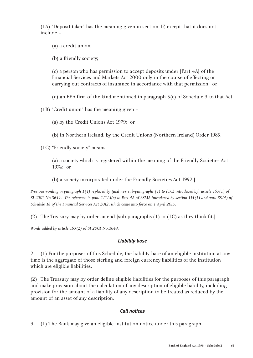(1A) "Deposit-taker" has the meaning given in section 17, except that it does not include –

(a) a credit union;

(b) a friendly society;

(c) a person who has permission to accept deposits under [Part 4A] of the Financial Services and Markets Act 2000 only in the course of effecting or carrying out contracts of insurance in accordance with that permission; or

(d) an EEA firm of the kind mentioned in paragraph 5(c) of Schedule 3 to that Act.

(1B) "Credit union" has the meaning given –

(a) by the Credit Unions Act 1979; or

(b) in Northern Ireland, by the Credit Unions (Northern Ireland) Order 1985.

(1C) "Friendly society" means –

(a) a society which is registered within the meaning of the Friendly Societies Act 1974; or

(b) a society incorporated under the Friendly Societies Act 1992.]

Previous wording in paragraph  $1(1)$  replaced by (and new sub-paragraphs (1) to (1C) introduced by) article 163(1) of SI 2001 No.3649. The reference in para  $1(1A)(c)$  to Part 4A of FSMA introduced by section 114(1) and para 85(4) of *Schedule 18 of the Financial Services Act 2012, which came into force on 1 April 2013.*

(2) The Treasury may by order amend [sub-paragraphs (1) to (1C) as they think fit.]

*Words added by article 163(2) of SI 2001 No.3649.*

### *Liability base*

2. (1) For the purposes of this Schedule, the liability base of an eligible institution at any time is the aggregate of those sterling and foreign currency liabilities of the institution which are eligible liabilities.

(2) The Treasury may by order define eligible liabilities for the purposes of this paragraph and make provision about the calculation of any description of eligible liability, including provision for the amount of a liability of any description to be treated as reduced by the amount of an asset of any description.

## *Call notices*

3. (1) The Bank may give an eligible institution notice under this paragraph.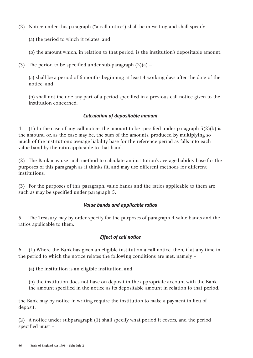- (2) Notice under this paragraph ("a call notice") shall be in writing and shall specify
	- (a) the period to which it relates, and
	- (b) the amount which, in relation to that period, is the institution's depositable amount.
- (3) The period to be specified under sub-paragraph  $(2)(a)$  –

(a) shall be a period of 6 months beginning at least 4 working days after the date of the notice, and

(b) shall not include any part of a period specified in a previous call notice given to the institution concerned.

### *Calculation of depositable amount*

4. (1) In the case of any call notice, the amount to be specified under paragraph 3(2)(b) is the amount, or, as the case may be, the sum of the amounts, produced by multiplying so much of the institution's average liability base for the reference period as falls into each value band by the ratio applicable to that band.

(2) The Bank may use such method to calculate an institution's average liability base for the purposes of this paragraph as it thinks fit, and may use different methods for different institutions.

(3) For the purposes of this paragraph, value bands and the ratios applicable to them are such as may be specified under paragraph 5.

### *Value bands and applicable ratios*

5. The Treasury may by order specify for the purposes of paragraph 4 value bands and the ratios applicable to them.

### *Effect of call notice*

6. (1) Where the Bank has given an eligible institution a call notice, then, if at any time in the period to which the notice relates the following conditions are met, namely –

(a) the institution is an eligible institution, and

(b) the institution does not have on deposit in the appropriate account with the Bank the amount specified in the notice as its depositable amount in relation to that period,

the Bank may by notice in writing require the institution to make a payment in lieu of deposit.

(2) A notice under subparagraph (1) shall specify what period it covers, and the period specified must –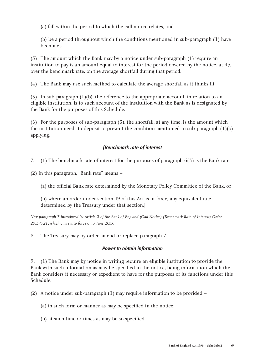(a) fall within the period to which the call notice relates, and

(b) be a period throughout which the conditions mentioned in sub-paragraph (1) have been met.

(3) The amount which the Bank may by a notice under sub-paragraph (1) require an institution to pay is an amount equal to interest for the period covered by the notice, at 4% over the benchmark rate, on the average shortfall during that period.

(4) The Bank may use such method to calculate the average shortfall as it thinks fit.

(5) In sub-paragraph (1)(b), the reference to the appropriate account, in relation to an eligible institution, is to such account of the institution with the Bank as is designated by the Bank for the purposes of this Schedule.

(6) For the purposes of sub-paragraph (3), the shortfall, at any time, is the amount which the institution needs to deposit to prevent the condition mentioned in sub-paragraph (1)(b) applying.

## *[Benchmark rate of interest*

7. (1) The benchmark rate of interest for the purposes of paragraph 6(3) is the Bank rate.

(2) In this paragraph, "Bank rate" means –

(a) the official Bank rate determined by the Monetary Policy Committee of the Bank, or

(b) where an order under section 19 of this Act is in force, any equivalent rate determined by the Treasury under that section.]

New paragraph 7 introduced by Article 2 of the Bank of England (Call Notice) (Benchmark Rate of Interest) Order *2013/721, which came into force on 3 June 2013.*

8. The Treasury may by order amend or replace paragraph 7.

### *Power to obtain information*

9. (1) The Bank may by notice in writing require an eligible institution to provide the Bank with such information as may be specified in the notice, being information which the Bank considers it necessary or expedient to have for the purposes of its functions under this Schedule.

(2) A notice under sub-paragraph (1) may require information to be provided –

(a) in such form or manner as may be specified in the notice;

(b) at such time or times as may be so specified;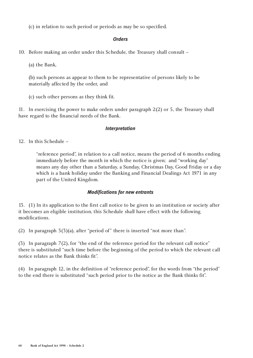(c) in relation to such period or periods as may be so specified.

#### *Orders*

10. Before making an order under this Schedule, the Treasury shall consult –

(a) the Bank,

(b) such persons as appear to them to be representative of persons likely to be materially affected by the order, and

(c) such other persons as they think fit.

11. In exercising the power to make orders under paragraph 2(2) or 5, the Treasury shall have regard to the financial needs of the Bank.

#### *Interpretation*

12. In this Schedule –

"reference period", in relation to a call notice, means the period of 6 months ending immediately before the month in which the notice is given; and "working day" means any day other than a Saturday, a Sunday, Christmas Day, Good Friday or a day which is a bank holiday under the Banking and Financial Dealings Act 1971 in any part of the United Kingdom.

### *Modifications for new entrants*

13. (1) In its application to the first call notice to be given to an institution or society after it becomes an eligible institution, this Schedule shall have effect with the following modifications.

(2) In paragraph 3(3)(a), after "period of" there is inserted "not more than".

(3) In paragraph 7(2), for "the end of the reference period for the relevant call notice" there is substituted "such time before the beginning of the period to which the relevant call notice relates as the Bank thinks fit".

(4) In paragraph 12, in the definition of "reference period", for the words from "the period" to the end there is substituted "such period prior to the notice as the Bank thinks fit".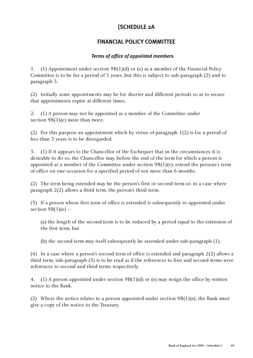# **[SCHEDULE 2A**

# **FINANCIAL POLICY COMMITTEE**

## *Terms of office of appointed members*

1. (1) Appointment under section 9B(1)(d) or (e) as a member of the Financial Policy Committee is to be for a period of 3 years, but this is subject to sub-paragraph (2) and to paragraph 3.

(2) Initially some appointments may be for shorter and different periods so as to secure that appointments expire at different times.

2. (1) A person may not be appointed as a member of the Committee under section 9B(1)(e) more than twice.

(2) For this purpose an appointment which by virtue of paragraph 1(2) is for a period of less than 3 years is to be disregarded.

3. (1) If it appears to the Chancellor of the Exchequer that in the circumstances it is desirable to do so, the Chancellor may, before the end of the term for which a person is appointed as a member of the Committee under section 9B(1)(e), extend the persons's term of office on one occasion for a specified period of not more than 6 months.

(2) The term being extended may be the person's first or second term or, in a case where paragraph 2(2) allows a third term, the person's third term.

(3) If a person whose first term of office is extended is subsequently re-appointed under section  $9B(1)(e)$  –

(a) the length of the second term is to be reduced by a period equal to the extension of the first term, but

(b) the second term may itself subsequently be extended under sub-paragraph (1).

(4) In a case where a person's second term of office is extended and paragraph 2(2) allows a third term, sub-paragraph (3) is to be read as if the references to first and second terms were references to second and third terms respectively.

4. (1) A person appointed under section 9B(1)(d) or (e) may resign the office by written notice to the Bank.

(2) Where the notice relates to a person appointed under section  $9B(1)(e)$ , the Bank must give a copy of the notice to the Treasury.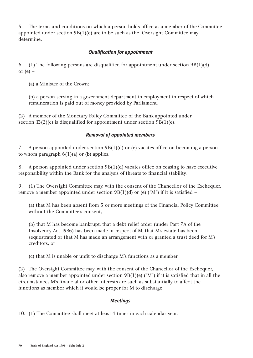5. The terms and conditions on which a person holds office as a member of the Committee appointed under section 9B(1)(e) are to be such as the Oversight Committee may determine.

# *Qualification for appointment*

6. (1) The following persons are disqualified for appointment under section 9B(1)(d) or  $(e)$  –

(a) a Minister of the Crown;

(b) a person serving in a government department in employment in respect of which remuneration is paid out of money provided by Parliament.

(2) A member of the Monetary Policy Committee of the Bank appointed under section  $13(2)(c)$  is disqualified for appointment under section  $9B(1)(e)$ .

## *Removal of appointed members*

7. A person appointed under section 9B(1)(d) or (e) vacates office on becoming a person to whom paragraph  $6(1)(a)$  or (b) applies.

8. A person appointed under section 9B(1)(d) vacates office on ceasing to have executive responsibility within the Bank for the analysis of threats to financial stability.

9. (1) The Oversight Committee may, with the consent of the Chancellor of the Exchequer, remove a member appointed under section  $9B(1)(d)$  or (e) ("M") if it is satisfied –

(a) that M has been absent from 3 or more meetings of the Financial Policy Committee without the Committee's consent,

(b) that M has become bankrupt, that a debt relief order (under Part 7A of the Insolvency Act 1986) has been made in respect of M, that M's estate has been sequestrated or that M has made an arrangement with or granted a trust deed for M's creditors, or

(c) that M is unable or unfit to discharge M's functions as a member.

(2) The Oversight Committee may, with the consent of the Chancellor of the Exchequer, also remove a member appointed under section 9B(1)(e) ("M") if it is satisfied that in all the circumstances M's financial or other interests are such as substantially to affect the functions as member which it would be proper for M to discharge.

## *Meetings*

10. (1) The Committee shall meet at least 4 times in each calendar year.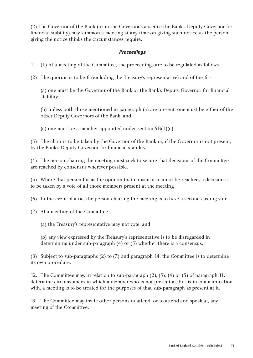(2) The Governor of the Bank (or in the Governor's absence the Bank's Deputy Governor for financial stability) may summon a meeting at any time on giving such notice as the person giving the notice thinks the circumstances require.

## *Proceedings*

11. (1) At a meeting of the Committee, the proceedings are to be regulated as follows.

(2) The quorum is to be 6 (excluding the Treasury's representative) and of the  $6 -$ 

(a) one must be the Governor of the Bank or the Bank's Deputy Governor for financial stability,

(b) unless both those mentioned in paragraph (a) are present, one must be either of the other Deputy Governors of the Bank, and

(c) one must be a member appointed under section 9B(1)(e).

(3) The chair is to be taken by the Governor of the Bank or, if the Governor is not present, by the Bank's Deputy Governor for financial stability.

(4) The person chairing the meeting must seek to secure that decisions of the Committee are reached by consensus wherever possible.

(5) Where that person forms the opinion that consensus cannot be reached, a decision is to be taken by a vote of all those members present at the meeting.

(6) In the event of a tie, the person chairing the meeting is to have a second casting vote.

(7) At a meeting of the Committee –

(a) the Treasury's representative may not vote, and

(b) any view expressed by the Treasury's representative is to be disregarded in determining under sub-paragraph (4) or (5) whether there is a consensus.

(8) Subject to sub-paragraphs (2) to (7) and paragraph 14, the Committee is to determine its own procedure.

12. The Committee may, in relation to sub-paragraph (2), (3), (4) or (5) of paragraph 11, determine circumstances in which a member who is not present at, but is in communication with, a meeting is to be treated for the purposes of that sub-paragraph as present at it.

13. The Committee may invite other persons to attend, or to attend and speak at, any meeting of the Committee.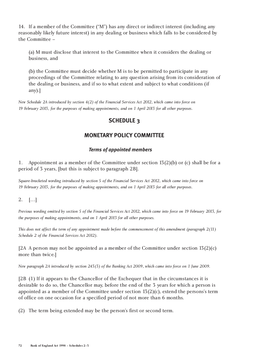14. If a member of the Committee ("M") has any direct or indirect interest (including any reasonably likely future interest) in any dealing or business which falls to be considered by the Committee –

(a) M must disclose that interest to the Committee when it considers the dealing or business, and

(b) the Committee must decide whether M is to be permitted to participate in any proceedings of the Committee relating to any question arising from its consideration of the dealing or business, and if so to what extent and subject to what conditions (if any).]

New Schedule 2A introduced by section  $4(2)$  of the Financial Services Act 2012, which came into force on 19 February 2013, for the purposes of making appointments, and on 1 April 2013 for all other purposes.

# **SCHEDULE 3**

# **MONETARY POLICY COMMITTEE**

## *Terms of appointed members*

1. Appointment as a member of the Committee under section 13(2)(b) or (c) shall be for a period of 3 years, [but this is subject to paragraph 2B].

Square-bracketed wording introduced by section 5 of the Financial Services Act 2012, which came into force on 19 February 2013, for the purposes of making appointments, and on 1 April 2013 for all other purposes.

2. […]

Previous wording omitted by section 5 of the Financial Services Act 2012, which came into force on 19 February 2013, for *the purposes of making appointments, and on 1 April 2013 for all other purposes.*

This does not affect the term of any appointment made before the commencement of this amendment (paragraph  $2(11)$ ) *Schedule 2 of the Financial Services Act 2012).*

[2A A person may not be appointed as a member of the Committee under section  $13(2)(c)$ ] more than twice.]

New paragraph 2A introduced by section 243(3) of the Banking Act 2009, which came into force on 1 June 2009.

[2B (1) If it appears to the Chancellor of the Exchequer that in the circumstances it is desirable to do so, the Chancellor may, before the end of the 3 years for which a person is appointed as a member of the Committee under section 13(2)(c), extend the persons's term of office on one occasion for a specified period of not more than 6 months.

(2) The term being extended may be the person's first or second term.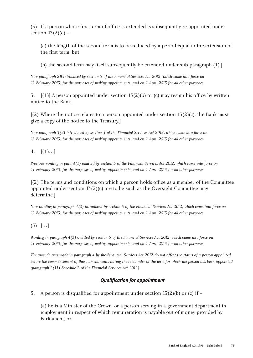(3) If a person whose first term of office is extended is subsequently re-appointed under section  $13(2)(c)$  –

(a) the length of the second term is to be reduced by a period equal to the extension of the first term, but

(b) the second term may itself subsequently be extended under sub-paragraph (1).]

New paragraph 2B introduced by section 5 of the Financial Services Act 2012, which came into force on 19 February 2013, for the purposes of making appointments, and on 1 April 2013 for all other purposes.

3.  $[(1)]$  A person appointed under section 13(2)(b) or (c) may resign his office by written notice to the Bank.

 $(2)$  Where the notice relates to a person appointed under section 13 $(2)(c)$ , the Bank must give a copy of the notice to the Treasury.]

New paragraph 3(2) introduced by section 5 of the Financial Services Act 2012, which came into force on 19 February 2013, for the purposes of making appointments, and on 1 April 2013 for all other purposes.

4.  $[(1)...]$ 

Previous wording in para 4(1) omitted by section 5 of the Financial Services Act 2012, which came into force on 19 February 2013, for the purposes of making appointments, and on 1 April 2013 for all other purposes.

[(2) The terms and conditions on which a person holds office as a member of the Committee appointed under section 13(2)(c) are to be such as the Oversight Committee may determine.]

New wording in paragraph 4(2) introduced by section 5 of the Financial Services Act 2012, which came into force on 19 February 2013, for the purposes of making appointments, and on 1 April 2013 for all other purposes.

(3) […]

Wording in paragraph 4(3) omitted by section 5 of the Financial Services Act 2012, which came into force on 19 February 2013, for the purposes of making appointments, and on 1 April 2013 for all other purposes.

The amendments made in paragraph 4 by the Financial Services Act 2012 do not affect the status of a person appointed before the commencement of those amendments during the remainder of the term for which the person has been appointed *(paragraph 2(11) Schedule 2 of the Financial Services Act 2012).*

## *Qualification for appointment*

5. A person is disqualified for appointment under section  $13(2)(b)$  or (c) if –

(a) he is a Minister of the Crown, or a person serving in a government department in employment in respect of which remuneration is payable out of money provided by Parliament, or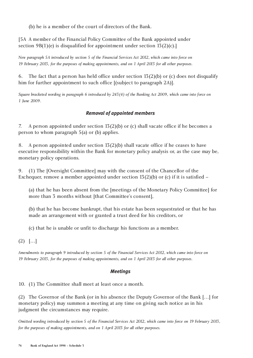(b) he is a member of the court of directors of the Bank.

[5A A member of the Financial Policy Committee of the Bank appointed under section  $9B(1)(e)$  is disqualified for appointment under section  $13(2)(c)$ .

New paragraph 5A introduced by section 5 of the Financial Services Act 2012, which came into force on 19 February 2013, for the purposes of making appointments, and on 1 April 2013 for all other purposes.

6. The fact that a person has held office under section  $13(2)(b)$  or (c) does not disqualify him for further appointment to such office [(subject to paragraph 2A)].

Square bracketed wording in paragraph 6 introduced by 243(4) of the Banking Act 2009, which came into force on *1 June 2009.*

## *Removal of appointed members*

7. A person appointed under section  $13(2)(b)$  or (c) shall vacate office if he becomes a person to whom paragraph 5(a) or (b) applies.

8. A person appointed under section 13(2)(b) shall vacate office if he ceases to have executive responsibility within the Bank for monetary policy analysis or, as the case may be, monetary policy operations.

9. (1) The [Oversight Committee] may with the consent of the Chancellor of the Exchequer, remove a member appointed under section  $13(2)(b)$  or (c) if it is satisfied –

(a) that he has been absent from the [meetings of the Monetary Policy Committee] for more than 3 months without [that Committee's consent],

(b) that he has become bankrupt, that his estate has been sequestrated or that he has made an arrangement with or granted a trust deed for his creditors, or

(c) that he is unable or unfit to discharge his functions as a member.

(2) […]

Amendments to paragraph 9 introduced by section 5 of the Financial Services Act 2012, which came into force on 19 February 2013, for the purposes of making appointments, and on 1 April 2013 for all other purposes.

## *Meetings*

10. (1) The Committee shall meet at least once a month.

(2) The Governor of the Bank (or in his absence the Deputy Governor of the Bank […] for monetary policy) may summon a meeting at any time on giving such notice as in his judgment the circumstances may require.

Omitted wording introduced by section 5 of the Financial Services Act 2012, which came into force on 19 February 2013, *for the purposes of making appointments, and on 1 April 2013 for all other purposes.*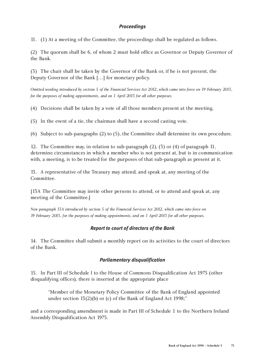## *Proceedings*

11. (1) At a meeting of the Committee, the proceedings shall be regulated as follows.

(2) The quorum shall be 6, of whom 2 must hold office as Governor or Deputy Governor of the Bank.

(3) The chair shall be taken by the Governor of the Bank or, if he is not present, the Deputy Governor of the Bank […] for monetary policy.

Omitted wording introduced by section 5 of the Financial Services Act 2012, which came into force on 19 February 2013, *for the purposes of making appointments, and on 1 April 2013 for all other purposes.*

(4) Decisions shall be taken by a vote of all those members present at the meeting.

(5) In the event of a tie, the chairman shall have a second casting vote.

(6) Subject to sub-paragraphs (2) to (5), the Committee shall determine its own procedure.

12. The Committee may, in relation to sub-paragraph (2), (3) or (4) of paragraph 11, determine circumstances in which a member who is not present at, but is in communication with, a meeting, is to be treated for the purposes of that sub-paragraph as present at it.

13. A representative of the Treasury may attend, and speak at, any meeting of the Committee.

[13A The Committee may invite other persons to attend, or to attend and speak at, any meeting of the Committee.]

New paragraph 13A introduced by section 5 of the Financial Services Act 2012, which came into force on 19 February 2013, for the purposes of making appointments, and on 1 April 2013 for all other purposes.

## *Report to court of directors of the Bank*

14. The Committee shall submit a monthly report on its activities to the court of directors of the Bank.

## *Parliamentary disqualification*

15. In Part III of Schedule I to the House of Commons Disqualification Act 1975 (other disqualifying offices), there is inserted at the appropriate place

"Member of the Monetary Policy Committee of the Bank of England appointed under section 13(2)(b) or (c) of the Bank of England Act 1998;"

and a corresponding amendment is made in Part III of Schedule 1 to the Northern Ireland Assembly Disqualification Act 1975.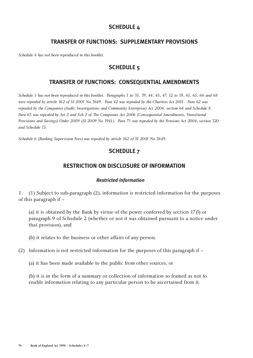# **SCHEDULE 4**

# **TRANSFER OF FUNCTIONS: SUPPLEMENTARY PROVISIONS**

*Schedule 4 has not been reproduced in this booklet.*

# **SCHEDULE 5**

# **TRANSFER OF FUNCTIONS: CONSEQUENTIAL AMENDMENTS**

Schedule 5 has not been reproduced in this booklet. Paragraphs 1 to 35, 39, 44, 45, 47, 52 to 59, 61, 65, 66 and 68 were repealed by article 162 of SI 2001 No.3649. Para 42 was repealed by the Charities Act 2011. Para 62 was *repealed by the Companies (Audit, Investigations and Community Enterprise) Act 2004, section 64 and Schedule 8.* Para 63 was repealed by Art 2 and Sch 2 of The Companies Act 2006 (Consequential Amendments, Transitional Provisions and Savings) Order 2009 (SI 2009 No 1941). Para 71 was repealed by the Pensions Act 2004, section 320 *and Schedule 13.*

*Schedule 6 (Banking Supervision Fees) was repealed by article 162 of SI 2001 No.3649.*

# **SCHEDULE 7**

# **RESTRICTION ON DISCLOSURE OF INFORMATION**

## *Restricted information*

1. (1) Subject to sub-paragraph (2), information is restricted information for the purposes of this paragraph if –

(a) it is obtained by the Bank by virtue of the power conferred by section 17(l) or paragraph 9 of Schedule 2 (whether or not it was obtained pursuant to a notice under that provision), and

(b) it relates to the business or other affairs of any person.

(2) Information is not restricted information for the purposes of this paragraph if –

(a) it has been made available to the public from other sources, or

(b) it is in the form of a summary or collection of information so framed as not to enable information relating to any particular person to be ascertained from it.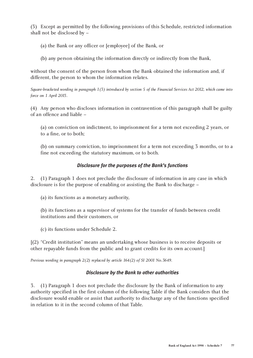(3) Except as permitted by the following provisions of this Schedule, restricted information shall not be disclosed by –

(a) the Bank or any officer or [employee] of the Bank, or

(b) any person obtaining the information directly or indirectly from the Bank,

without the consent of the person from whom the Bank obtained the information and, if different, the person to whom the information relates.

Square-bracketed wording in paragraph 1(3) introduced by section 5 of the Financial Services Act 2012, which came into *force on 1 April 2013.*

(4) Any person who discloses information in contravention of this paragraph shall be guilty of an offence and liable –

(a) on conviction on indictment, to imprisonment for a term not exceeding 2 years, or to a fine, or to both;

(b) on summary conviction, to imprisonment for a term not exceeding 3 months, or to a fine not exceeding the statutory maximum, or to both.

## *Disclosure for the purposes of the Bank's functions*

2. (1) Paragraph 1 does not preclude the disclosure of information in any case in which disclosure is for the purpose of enabling or assisting the Bank to discharge –

(a) its functions as a monetary authority,

(b) its functions as a supervisor of systems for the transfer of funds between credit institutions and their customers, or

(c) its functions under Schedule 2.

[(2) "Credit institution" means an undertaking whose business is to receive deposits or other repayable funds from the public and to grant credits for its own account.]

*Previous wording in paragraph 2(2) replaced by article 164(2) of SI 2001 No.3649.*

## *Disclosure by the Bank to other authorities*

3. (1) Paragraph 1 does not preclude the disclosure by the Bank of information to any authority specified in the first column of the following Table if the Bank considers that the disclosure would enable or assist that authority to discharge any of the functions specified in relation to it in the second column of that Table.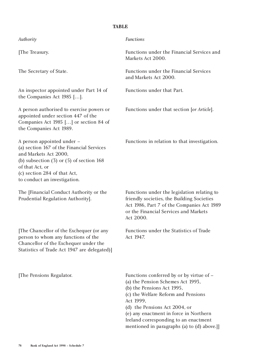# **TABLE**

| Authority                                                                                                                                                                                                                           | <b>Functions</b>                                                                                                                                                                                                                                                                                                                   |
|-------------------------------------------------------------------------------------------------------------------------------------------------------------------------------------------------------------------------------------|------------------------------------------------------------------------------------------------------------------------------------------------------------------------------------------------------------------------------------------------------------------------------------------------------------------------------------|
| [The Treasury.                                                                                                                                                                                                                      | Functions under the Financial Services and<br>Markets Act 2000.                                                                                                                                                                                                                                                                    |
| The Secretary of State.                                                                                                                                                                                                             | Functions under the Financial Services<br>and Markets Act 2000.                                                                                                                                                                                                                                                                    |
| An inspector appointed under Part 14 of<br>the Companies Act 1985 [].                                                                                                                                                               | Functions under that Part.                                                                                                                                                                                                                                                                                                         |
| A person authorised to exercise powers or<br>appointed under section 447 of the<br>Companies Act 1985 [] or section 84 of<br>the Companies Act 1989.                                                                                | Functions under that section [or Article].                                                                                                                                                                                                                                                                                         |
| A person appointed under -<br>(a) section 167 of the Financial Services<br>and Markets Act 2000,<br>(b) subsection $(3)$ or $(5)$ of section 168<br>of that Act, or<br>(c) section 284 of that Act,<br>to conduct an investigation. | Functions in relation to that investigation.                                                                                                                                                                                                                                                                                       |
| The [Financial Conduct Authority or the<br>Prudential Regulation Authority].                                                                                                                                                        | Functions under the legislation relating to<br>friendly societies, the Building Societies<br>Act 1986, Part 7 of the Companies Act 1989<br>or the Financial Services and Markets<br>Act 2000.                                                                                                                                      |
| The Chancellor of the Exchequer (or any<br>person to whom any functions of the<br>Chancellor of the Exchequer under the<br>Statistics of Trade Act 1947 are delegated)]                                                             | Functions under the Statistics of Trade<br>Act 1947.                                                                                                                                                                                                                                                                               |
| The Pensions Regulator.                                                                                                                                                                                                             | Functions conferred by or by virtue of -<br>(a) the Pension Schemes Act 1993,<br>(b) the Pensions Act 1995,<br>(c) the Welfare Reform and Pensions<br>Act 1999,<br>(d) the Pensions Act 2004, or<br>(e) any enactment in force in Northern<br>Ireland corresponding to an enactment<br>mentioned in paragraphs (a) to (d) above.]] |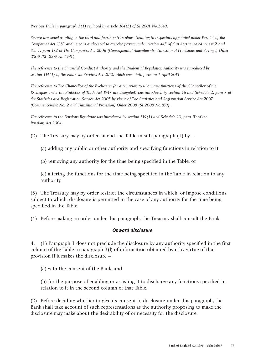*Previous Table in paragraph 3(1) replaced by article 164(3) of SI 2001 No.3649.*

Square-bracketed wording in the third and fourth entries above (relating to inspectors appointed under Part 14 of the Companies Act 1985 and persons authorised to exercise powers under section 447 of that Act) repealed by Art 2 and *Sch 1, para 172 of The Companies Act 2006 (Consequential Amendments, Transitional Provisions and Savings) Order 2009 (SI 2009 No 1941).*

*The reference to the Financial Conduct Authority and the Prudential Regulation Authority was introduced by section 114(1) of the Financial Services Act 2012, which came into force on 1 April 2013.*

The reference to The Chancellor of the Exchequer (or any person to whom any functions of the Chancellor of the Exchequer under the Statistics of Trade Act 1947 are delegated) was introduced by section 46 and Schedule 2, para 7 of the Statistics and Registration Service Act 2007 by virtue of The Statistics and Registration Service Act 2007 *(Commencement No. 2 and Transitional Provision) Order 2008 (SI 2008 No.839).*

The reference to the Pensions Regulator was introduced by section  $319(1)$  and Schedule 12, para 70 of the *Pensions Act 2004.*

(2) The Treasury may by order amend the Table in sub-paragraph  $(1)$  by  $-$ 

(a) adding any public or other authority and specifying functions in relation to it,

(b) removing any authority for the time being specified in the Table, or

(c) altering the functions for the time being specified in the Table in relation to any authority.

(3) The Treasury may by order restrict the circumstances in which, or impose conditions subject to which, disclosure is permitted in the case of any authority for the time being specified in the Table.

(4) Before making an order under this paragraph, the Treasury shall consult the Bank.

#### *Onward disclosure*

4. (1) Paragraph 1 does not preclude the disclosure by any authority specified in the first column of the Table in paragraph 3(l) of information obtained by it by virtue of that provision if it makes the disclosure –

(a) with the consent of the Bank, and

(b) for the purpose of enabling or assisting it to discharge any functions specified in relation to it in the second column of that Table.

(2) Before deciding whether to give its consent to disclosure under this paragraph, the Bank shall take account of such representations as the authority proposing to make the disclosure may make about the desirability of or necessity for the disclosure.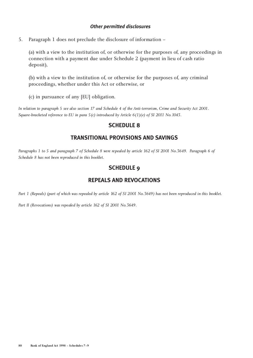#### *Other permitted disclosures*

5. Paragraph 1 does not preclude the disclosure of information –

(a) with a view to the institution of, or otherwise for the purposes of, any proceedings in connection with a payment due under Schedule 2 (payment in lieu of cash ratio deposit),

(b) with a view to the institution of, or otherwise for the purposes of, any criminal proceedings, whether under this Act or otherwise, or

(c) in pursuance of any [EU] obligation.

In relation to paragraph 5 see also section 17 and Schedule 4 of the Anti-terrorism, Crime and Security Act 2001. *Square-bracketed reference to EU in para 5(c) introduced by Article 6(1)(e) of SI 2011 No.1043.*

## **SCHEDULE 8**

## **TRANSITIONAL PROVISIONS AND SAVINGS**

Paragraphs 1 to 5 and paragraph 7 of Schedule 8 were repealed by article 162 of SI 2001 No.3649. Paragraph 6 of *Schedule 8 has not been reproduced in this booklet.*

## **SCHEDULE 9**

# **REPEALS AND REVOCATIONS**

Part 1 (Repeals) (part of which was repealed by article 162 of SI 2001 No.3649) has not been reproduced in this booklet.

*Part II (Revocations) was repealed by article 162 of SI 2001 No.3649.*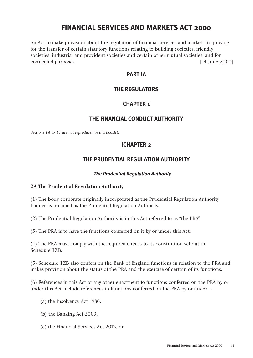# **FINANCIAL SERVICES AND MARKETS ACT 2000**

An Act to make provision about the regulation of financial services and markets; to provide for the transfer of certain statutory functions relating to building societies, friendly societies, industrial and provident societies and certain other mutual societies; and for connected purposes. [14 June 2000]

# **PART IA**

# **THE REGULATORS**

# **CHAPTER 1**

# **THE FINANCIAL CONDUCT AUTHORITY**

*Sections 1A to 1T are not reproduced in this booklet.*

# **[CHAPTER 2**

# **THE PRUDENTIAL REGULATION AUTHORITY**

## *The Prudential Regulation Authority*

## **2A The Prudential Regulation Authority**

(1) The body corporate originally incorporated as the Prudential Regulation Authority Limited is renamed as the Prudential Regulation Authority.

(2) The Prudential Regulation Authority is in this Act referred to as "the PRA".

(3) The PRA is to have the functions conferred on it by or under this Act.

(4) The PRA must comply with the requirements as to its constitution set out in Schedule 1ZB.

(5) Schedule 1ZB also confers on the Bank of England functions in relation to the PRA and makes provision about the status of the PRA and the exercise of certain of its functions.

(6) References in this Act or any other enactment to functions conferred on the PRA by or under this Act include references to functions conferred on the PRA by or under –

- (a) the Insolvency Act 1986,
- (b) the Banking Act 2009,
- (c) the Financial Services Act 2012, or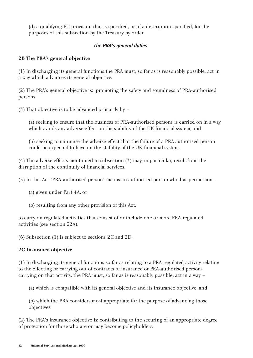(d) a qualifying EU provision that is specified, or of a description specified, for the purposes of this subsection by the Treasury by order.

## *The PRA's general duties*

## **2B The PRA's general objective**

(1) In discharging its general functions the PRA must, so far as is reasonably possible, act in a way which advances its general objective.

(2) The PRA's general objective is: promoting the safety and soundness of PRA-authorised persons.

(3) That objective is to be advanced primarily by –

(a) seeking to ensure that the business of PRA-authorised persons is carried on in a way which avoids any adverse effect on the stability of the UK financial system, and

(b) seeking to minimise the adverse effect that the failure of a PRA authorised person could be expected to have on the stability of the UK financial system.

(4) The adverse effects mentioned in subsection (3) may, in particular, result from the disruption of the continuity of financial services.

(5) In this Act "PRA-authorised person" means an authorised person who has permission –

- (a) given under Part 4A, or
- (b) resulting from any other provision of this Act,

to carry on regulated activities that consist of or include one or more PRA-regulated activities (see section 22A).

(6) Subsection (1) is subject to sections 2C and 2D.

## **2C Insurance objective**

(1) In discharging its general functions so far as relating to a PRA regulated activity relating to the effecting or carrying out of contracts of insurance or PRA-authorised persons carrying on that activity, the PRA must, so far as is reasonably possible, act in a way –

(a) which is compatible with its general objective and its insurance objective, and

(b) which the PRA considers most appropriate for the purpose of advancing those objectives.

(2) The PRA's insurance objective is: contributing to the securing of an appropriate degree of protection for those who are or may become policyholders.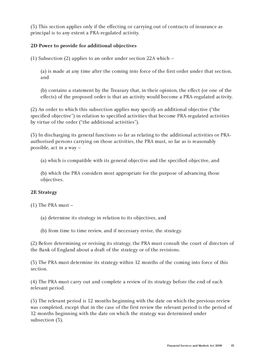(3) This section applies only if the effecting or carrying out of contracts of insurance as principal is to any extent a PRA-regulated activity.

# **2D Power to provide for additional objectives**

(1) Subsection (2) applies to an order under section 22A which –

(a) is made at any time after the coming into force of the first order under that section, and

(b) contains a statement by the Treasury that, in their opinion, the effect (or one of the effects) of the proposed order is that an activity would become a PRA-regulated activity.

(2) An order to which this subsection applies may specify an additional objective ("the specified objective") in relation to specified activities that become PRA-regulated activities by virtue of the order ("the additional activities").

(3) In discharging its general functions so far as relating to the additional activities or PRAauthorised persons carrying on those activities, the PRA must, so far as is reasonably possible, act in a way –

(a) which is compatible with its general objective and the specified objective, and

(b) which the PRA considers most appropriate for the purpose of advancing those objectives.

## **2E Strategy**

(1) The PRA must –

(a) determine its strategy in relation to its objectives, and

(b) from time to time review, and if necessary revise, the strategy.

(2) Before determining or revising its strategy, the PRA must consult the court of directors of the Bank of England about a draft of the strategy or of the revisions.

(3) The PRA must determine its strategy within 12 months of the coming into force of this section.

(4) The PRA must carry out and complete a review of its strategy before the end of each relevant period.

(5) The relevant period is 12 months beginning with the date on which the previous review was completed, except that in the case of the first review the relevant period is the period of 12 months beginning with the date on which the strategy was determined under subsection (3).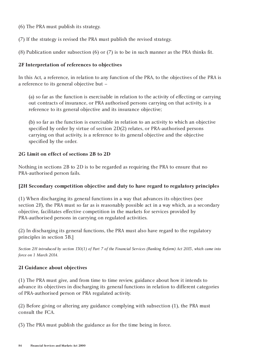(6) The PRA must publish its strategy.

(7) If the strategy is revised the PRA must publish the revised strategy.

(8) Publication under subsection (6) or (7) is to be in such manner as the PRA thinks fit.

## **2F Interpretation of references to objectives**

In this Act, a reference, in relation to any function of the PRA, to the objectives of the PRA is a reference to its general objective but –

(a) so far as the function is exercisable in relation to the activity of effecting or carrying out contracts of insurance, or PRA authorised persons carrying on that activity, is a reference to its general objective and its insurance objective;

(b) so far as the function is exercisable in relation to an activity to which an objective specified by order by virtue of section 2D(2) relates, or PRA-authorised persons carrying on that activity, is a reference to its general objective and the objective specified by the order.

## **2G Limit on effect of sections 2B to 2D**

Nothing in sections 2B to 2D is to be regarded as requiring the PRA to ensure that no PRA-authorised person fails.

## **[2H Secondary competition objective and duty to have regard to regulatory principles**

(1) When discharging its general functions in a way that advances its objectives (see section 2F), the PRA must so far as is reasonably possible act in a way which, as a secondary objective, facilitates effective competition in the markets for services provided by PRA-authorised persons in carrying on regulated activities.

(2) In discharging its general functions, the PRA must also have regard to the regulatory principles in section 3B.]

Section 2H introduced by section 130(1) of Part 7 of the Financial Services (Banking Reform) Act 2013, which came into *force on 1 March 2014.*

## **2I Guidance about objectives**

(1) The PRA must give, and from time to time review, guidance about how it intends to advance its objectives in discharging its general functions in relation to different categories of PRA-authorised person or PRA regulated activity.

(2) Before giving or altering any guidance complying with subsection (1), the PRA must consult the FCA.

(3) The PRA must publish the guidance as for the time being in force.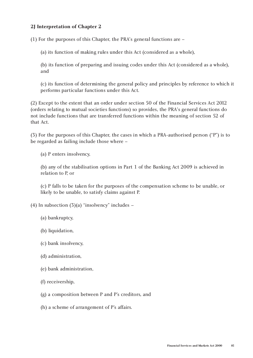## **2J Interpretation of Chapter 2**

(1) For the purposes of this Chapter, the PRA's general functions are –

(a) its function of making rules under this Act (considered as a whole),

(b) its function of preparing and issuing codes under this Act (considered as a whole), and

(c) its function of determining the general policy and principles by reference to which it performs particular functions under this Act.

(2) Except to the extent that an order under section 50 of the Financial Services Act 2012 (orders relating to mutual societies functions) so provides, the PRA's general functions do not include functions that are transferred functions within the meaning of section 52 of that Act.

(3) For the purposes of this Chapter, the cases in which a PRA-authorised person ("P") is to be regarded as failing include those where –

(a) P enters insolvency,

(b) any of the stabilisation options in Part 1 of the Banking Act 2009 is achieved in relation to P, or

(c) P falls to be taken for the purposes of the compensation scheme to be unable, or likely to be unable, to satisfy claims against P.

(4) In subsection  $(3)(a)$  "insolvency" includes –

- (b) liquidation,
- (c) bank insolvency,
- (d) administration,
- (e) bank administration,
- (f) receivership,
- (g) a composition between P and P's creditors, and
- (h) a scheme of arrangement of P's affairs.

<sup>(</sup>a) bankruptcy,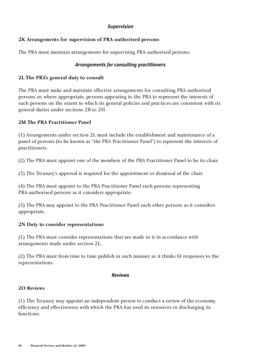## *Supervision*

# **2K Arrangements for supervision of PRA-authorised persons**

The PRA must maintain arrangements for supervising PRA-authorised persons.

## *Arrangements for consulting practitioners*

## **2L The PRA's general duty to consult**

The PRA must make and maintain effective arrangements for consulting PRA-authorised persons or, where appropriate, persons appearing to the PRA to represent the interests of such persons on the extent to which its general policies and practices are consistent with its general duties under sections 2B to 2H.

## **2M The PRA Practitioner Panel**

(1) Arrangements under section 2L must include the establishment and maintenance of a panel of persons (to be known as "the PRA Practitioner Panel") to represent the interests of practitioners.

(2) The PRA must appoint one of the members of the PRA Practitioner Panel to be its chair.

(3) The Treasury's approval is required for the appointment or dismissal of the chair.

(4) The PRA must appoint to the PRA Practitioner Panel such persons representing PRA-authorised persons as it considers appropriate.

(5) The PRA may appoint to the PRA Practitioner Panel such other persons as it considers appropriate.

## **2N Duty to consider representations**

(1) The PRA must consider representations that are made to it in accordance with arrangements made under section 2L.

(2) The PRA must from time to time publish in such manner as it thinks fit responses to the representations.

## *Reviews*

## **2O Reviews**

(1) The Treasury may appoint an independent person to conduct a review of the economy, efficiency and effectiveness with which the PRA has used its resources in discharging its functions.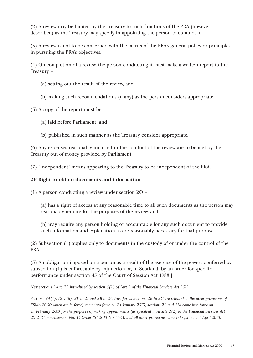(2) A review may be limited by the Treasury to such functions of the PRA (however described) as the Treasury may specify in appointing the person to conduct it.

(3) A review is not to be concerned with the merits of the PRA's general policy or principles in pursuing the PRA's objectives.

(4) On completion of a review, the person conducting it must make a written report to the Treasury –

- (a) setting out the result of the review, and
- (b) making such recommendations (if any) as the person considers appropriate.

(5) A copy of the report must be –

- (a) laid before Parliament, and
- (b) published in such manner as the Treasury consider appropriate.

(6) Any expenses reasonably incurred in the conduct of the review are to be met by the Treasury out of money provided by Parliament.

(7) "Independent" means appearing to the Treasury to be independent of the PRA.

#### **2P Right to obtain documents and information**

(1) A person conducting a review under section 2O –

(a) has a right of access at any reasonable time to all such documents as the person may reasonably require for the purposes of the review, and

(b) may require any person holding or accountable for any such document to provide such information and explanation as are reasonably necessary for that purpose.

(2) Subsection (1) applies only to documents in the custody of or under the control of the PRA.

(3) An obligation imposed on a person as a result of the exercise of the powers conferred by subsection (1) is enforceable by injunction or, in Scotland, by an order for specific performance under section 45 of the Court of Session Act 1988.]

*New sections 2A to 2P introduced by section 6(1) of Part 2 of the Financial Services Act 2012.*

Sections  $2A(1)$ , (2), (6), 2F to 2J and 2B to 2C (insofar as sections 2B to 2C are relevant to the other provisions of FSMA 2000 which are in force) came into force on 24 January 2013, sections 2L and 2M came into force on 19 February 2013 for the purposes of making appointments (as specified in Article  $2(2)$  of the Financial Services Act 2012 (Commencement No. 1) Order (SI 2013 No 113)), and all other provisions came into force on 1 April 2013.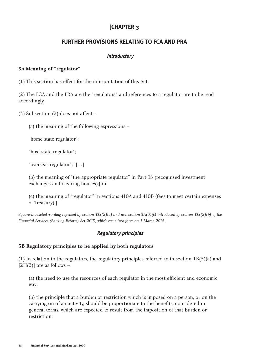# **[CHAPTER 3**

# **FURTHER PROVISIONS RELATING TO FCA AND PRA**

## *Introductory*

## **3A Meaning of "regulator"**

(1) This section has effect for the interpretation of this Act.

(2) The FCA and the PRA are the "regulators", and references to a regulator are to be read accordingly.

(3) Subsection (2) does not affect –

(a) the meaning of the following expressions –

"home state regulator";

"host state regulator";

"overseas regulator"; […]

(b) the meaning of "the appropriate regulator" in Part 18 (recognised investment exchanges and clearing houses);[ or

(c) the meaning of "regulator" in sections 410A and 410B (fees to meet certain expenses of Treasury).]

Square-bracketed wording repealed by section 135(2)(a) and new section  $3A(3)(c)$  introduced by section 135(2)(b) of the *Financial Services (Banking Reform) Act 2013, which came into force on 1 March 2014.*

## *Regulatory principles*

## **3B Regulatory principles to be applied by both regulators**

(1) In relation to the regulators, the regulatory principles referred to in section 1B(5)(a) and  $[2H(2)]$  are as follows –

(a) the need to use the resources of each regulator in the most efficient and economic way;

(b) the principle that a burden or restriction which is imposed on a person, or on the carrying on of an activity, should be proportionate to the benefits, considered in general terms, which are expected to result from the imposition of that burden or restriction;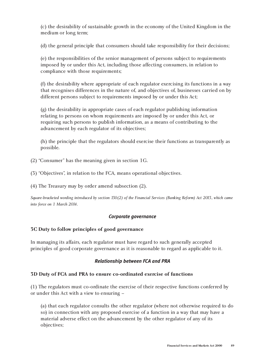(c) the desirability of sustainable growth in the economy of the United Kingdom in the medium or long term;

(d) the general principle that consumers should take responsibility for their decisions;

(e) the responsibilities of the senior management of persons subject to requirements imposed by or under this Act, including those affecting consumers, in relation to compliance with those requirements;

(f) the desirability where appropriate of each regulator exercising its functions in a way that recognises differences in the nature of, and objectives of, businesses carried on by different persons subject to requirements imposed by or under this Act;

(g) the desirability in appropriate cases of each regulator publishing information relating to persons on whom requirements are imposed by or under this Act, or requiring such persons to publish information, as a means of contributing to the advancement by each regulator of its objectives;

(h) the principle that the regulators should exercise their functions as transparently as possible.

- (2) "Consumer" has the meaning given in section 1G.
- (3) "Objectives", in relation to the FCA, means operational objectives.
- (4) The Treasury may by order amend subsection (2).

Square-bracketed wording introduced by section 130(2) of the Financial Services (Banking Reform) Act 2013, which came *into force on 1 March 2014.*

## *Corporate governance*

## **3C Duty to follow principles of good governance**

In managing its affairs, each regulator must have regard to such generally accepted principles of good corporate governance as it is reasonable to regard as applicable to it.

## *Relationship between FCA and PRA*

## **3D Duty of FCA and PRA to ensure co-ordinated exercise of functions**

(1) The regulators must co-ordinate the exercise of their respective functions conferred by or under this Act with a view to ensuring –

(a) that each regulator consults the other regulator (where not otherwise required to do so) in connection with any proposed exercise of a function in a way that may have a material adverse effect on the advancement by the other regulator of any of its objectives;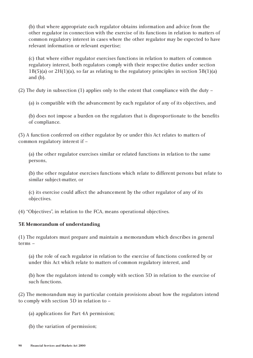(b) that where appropriate each regulator obtains information and advice from the other regulator in connection with the exercise of its functions in relation to matters of common regulatory interest in cases where the other regulator may be expected to have relevant information or relevant expertise;

(c) that where either regulator exercises functions in relation to matters of common regulatory interest, both regulators comply with their respective duties under section  $1B(5)(a)$  or  $2H(1)(a)$ , so far as relating to the regulatory principles in section  $3B(1)(a)$ and (b).

(2) The duty in subsection (1) applies only to the extent that compliance with the duty –

(a) is compatible with the advancement by each regulator of any of its objectives, and

(b) does not impose a burden on the regulators that is disproportionate to the benefits of compliance.

(3) A function conferred on either regulator by or under this Act relates to matters of common regulatory interest if –

(a) the other regulator exercises similar or related functions in relation to the same persons,

(b) the other regulator exercises functions which relate to different persons but relate to similar subject-matter, or

(c) its exercise could affect the advancement by the other regulator of any of its objectives.

(4) "Objectives", in relation to the FCA, means operational objectives.

## **3E Memorandum of understanding**

(1) The regulators must prepare and maintain a memorandum which describes in general terms –

(a) the role of each regulator in relation to the exercise of functions conferred by or under this Act which relate to matters of common regulatory interest, and

(b) how the regulators intend to comply with section 3D in relation to the exercise of such functions.

(2) The memorandum may in particular contain provisions about how the regulators intend to comply with section 3D in relation to –

(a) applications for Part 4A permission;

(b) the variation of permission;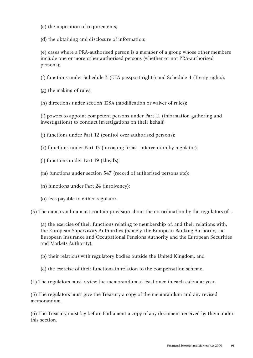- (c) the imposition of requirements;
- (d) the obtaining and disclosure of information;

(e) cases where a PRA-authorised person is a member of a group whose other members include one or more other authorised persons (whether or not PRA-authorised persons);

- (f) functions under Schedule 3 (EEA passport rights) and Schedule 4 (Treaty rights);
- (g) the making of rules;
- (h) directions under section 138A (modification or waiver of rules);

(i) powers to appoint competent persons under Part 11 (information gathering and investigations) to conduct investigations on their behalf;

- (j) functions under Part 12 (control over authorised persons);
- (k) functions under Part 13 (incoming firms: intervention by regulator);
- (l) functions under Part 19 (Lloyd's);
- (m) functions under section 347 (record of authorised persons etc);
- (n) functions under Part 24 (insolvency);
- (o) fees payable to either regulator.

(3) The memorandum must contain provision about the co-ordination by the regulators of –

(a) the exercise of their functions relating to membership of, and their relations with, the European Supervisory Authorities (namely, the European Banking Authority, the European Insurance and Occupational Pensions Authority and the European Securities and Markets Authority),

- (b) their relations with regulatory bodies outside the United Kingdom, and
- (c) the exercise of their functions in relation to the compensation scheme.
- (4) The regulators must review the memorandum at least once in each calendar year.

(5) The regulators must give the Treasury a copy of the memorandum and any revised memorandum.

(6) The Treasury must lay before Parliament a copy of any document received by them under this section.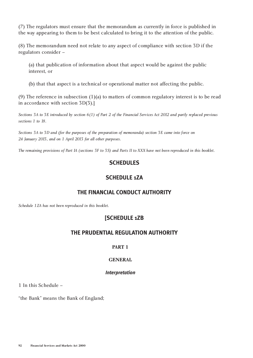(7) The regulators must ensure that the memorandum as currently in force is published in the way appearing to them to be best calculated to bring it to the attention of the public.

(8) The memorandum need not relate to any aspect of compliance with section 3D if the regulators consider –

(a) that publication of information about that aspect would be against the public interest, or

(b) that that aspect is a technical or operational matter not affecting the public.

(9) The reference in subsection  $(1)(a)$  to matters of common regulatory interest is to be read in accordance with section 3D(3).]

Sections 3A to 3E introduced by section 6(1) of Part 2 of the Financial Services Act 2012 and partly replaced previous *sections 1 to 18.*

Sections 3A to 3D and (for the purposes of the preparation of memoranda) section 3E came into force on *24 January 2013, and on 1 April 2013 for all other purposes.*

The remaining provisions of Part IA (sections 3F to 3S) and Parts II to XXX have not been reproduced in this booklet.

# **SCHEDULES**

# **SCHEDULE 1ZA**

# **THE FINANCIAL CONDUCT AUTHORITY**

*Schedule 1ZA has not been reproduced in this booklet.*

# **[SCHEDULE 1ZB**

# **THE PRUDENTIAL REGULATION AUTHORITY**

## **PART 1**

## **GENERAL**

## *Interpretation*

1 In this Schedule –

"the Bank" means the Bank of England;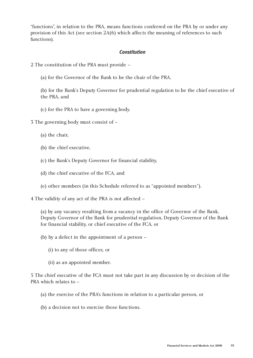"functions", in relation to the PRA, means functions conferred on the PRA by or under any provision of this Act (see section 2A(6) which affects the meaning of references to such functions).

#### *Constitution*

2 The constitution of the PRA must provide –

(a) for the Governor of the Bank to be the chair of the PRA,

(b) for the Bank's Deputy Governor for prudential regulation to be the chief executive of the PRA, and

(c) for the PRA to have a governing body.

- 3 The governing body must consist of
	- (a) the chair,
	- (b) the chief executive,
	- (c) the Bank's Deputy Governor for financial stability,
	- (d) the chief executive of the FCA, and
	- (e) other members (in this Schedule referred to as "appointed members").

4 The validity of any act of the PRA is not affected –

(a) by any vacancy resulting from a vacancy in the office of Governor of the Bank, Deputy Governor of the Bank for prudential regulation, Deputy Governor of the Bank for financial stability, or chief executive of the FCA, or

(b) by a defect in the appointment of a person –

- (i) to any of those offices, or
- (ii) as an appointed member.

5 The chief executive of the FCA must not take part in any discussion by or decision of the PRA which relates to –

- (a) the exercise of the PRA's functions in relation to a particular person, or
- (b) a decision not to exercise those functions.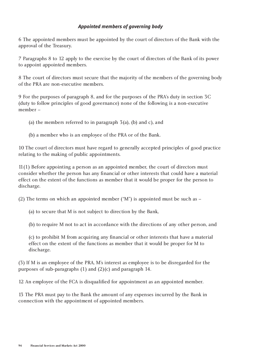## *Appointed members of governing body*

6 The appointed members must be appointed by the court of directors of the Bank with the approval of the Treasury.

7 Paragraphs 8 to 12 apply to the exercise by the court of directors of the Bank of its power to appoint appointed members.

8 The court of directors must secure that the majority of the members of the governing body of the PRA are non-executive members.

9 For the purposes of paragraph 8, and for the purposes of the PRA's duty in section 3C (duty to follow principles of good governance) none of the following is a non-executive member –

(a) the members referred to in paragraph 3(a), (b) and c), and

(b) a member who is an employee of the PRA or of the Bank.

10 The court of directors must have regard to generally accepted principles of good practice relating to the making of public appointments.

11(1) Before appointing a person as an appointed member, the court of directors must consider whether the person has any financial or other interests that could have a material effect on the extent of the functions as member that it would be proper for the person to discharge.

(2) The terms on which an appointed member ("M") is appointed must be such as –

(a) to secure that M is not subject to direction by the Bank,

(b) to require M not to act in accordance with the directions of any other person, and

(c) to prohibit M from acquiring any financial or other interests that have a material effect on the extent of the functions as member that it would be proper for M to discharge.

(3) If M is an employee of the PRA, M's interest as employee is to be disregarded for the purposes of sub-paragraphs (1) and (2)(c) and paragraph 14.

12 An employee of the FCA is disqualified for appointment as an appointed member.

13 The PRA must pay to the Bank the amount of any expenses incurred by the Bank in connection with the appointment of appointed members.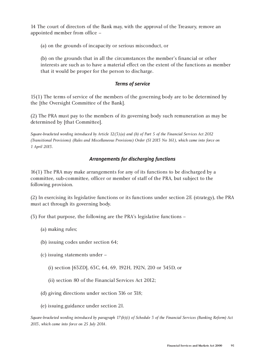14 The court of directors of the Bank may, with the approval of the Treasury, remove an appointed member from office –

(a) on the grounds of incapacity or serious misconduct, or

(b) on the grounds that in all the circumstances the member's financial or other interests are such as to have a material effect on the extent of the functions as member that it would be proper for the person to discharge.

## *Terms of service*

15(1) The terms of service of the members of the governing body are to be determined by the [the Oversight Committee of the Bank].

(2) The PRA must pay to the members of its governing body such remuneration as may be determined by [that Committee].

Square-bracketed wording introduced by Article  $12(3)(a)$  and (b) of Part 5 of the Financial Services Act 2012 *(Transitional Provisions) (Rules and Miscellaneous Provisions) Order (SI 2013 No 161), which came into force on 1 April 2013.*

## *Arrangements for discharging functions*

16(1) The PRA may make arrangements for any of its functions to be discharged by a committee, sub-committee, officer or member of staff of the PRA, but subject to the following provision.

(2) In exercising its legislative functions or its functions under section 2E (strategy), the PRA must act through its governing body.

(3) For that purpose, the following are the PRA's legislative functions –

- (a) making rules;
- (b) issuing codes under section 64;
- (c) issuing statements under
	- (i) section [63ZD], 63C, 64, 69, 192H, 192N, 210 or 345D, or
	- (ii) section 80 of the Financial Services Act 2012;
- (d) giving directions under section 316 or 318;
- (e) issuing guidance under section 2I.

Square-bracketed wording introduced by paragraph  $17(b)(i)$  of Schedule 3 of the Financial Services (Banking Reform) Act *2013, which came into force on 25 July 2014.*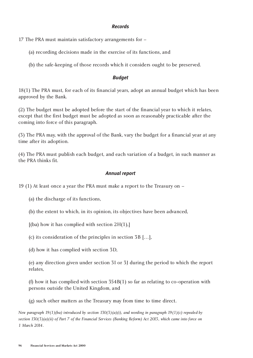## *Records*

17 The PRA must maintain satisfactory arrangements for –

(a) recording decisions made in the exercise of its functions, and

(b) the safe-keeping of those records which it considers ought to be preserved.

#### *Budget*

18(1) The PRA must, for each of its financial years, adopt an annual budget which has been approved by the Bank.

(2) The budget must be adopted before the start of the financial year to which it relates, except that the first budget must be adopted as soon as reasonably practicable after the coming into force of this paragraph.

(3) The PRA may, with the approval of the Bank, vary the budget for a financial year at any time after its adoption.

(4) The PRA must publish each budget, and each variation of a budget, in such manner as the PRA thinks fit.

#### *Annual report*

19 (1) At least once a year the PRA must make a report to the Treasury on –

(a) the discharge of its functions,

(b) the extent to which, in its opinion, its objectives have been advanced,

 $[(ba)$  how it has complied with section  $2H(1)$ ,

(c) its consideration of the principles in section 3B […],

(d) how it has complied with section 3D,

(e) any direction given under section 3I or 3J during the period to which the report relates,

(f) how it has complied with section 354B(1) so far as relating to co-operation with persons outside the United Kingdom, and

(g) such other matters as the Treasury may from time to time direct.

*New paragraph 19(1)(ba) introduced by section 130(3)(a)(i), and wording in paragraph 19(1)(c) repealed by* section  $130(3)(a)(ii)$  of Part 7 of the Financial Services (Banking Reform) Act 2013, which came into force on *1 March 2014.*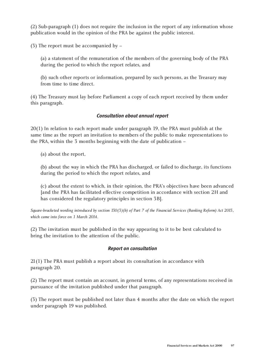(2) Sub-paragraph (1) does not require the inclusion in the report of any information whose publication would in the opinion of the PRA be against the public interest.

(3) The report must be accompanied by –

(a) a statement of the remuneration of the members of the governing body of the PRA during the period to which the report relates, and

(b) such other reports or information, prepared by such persons, as the Treasury may from time to time direct.

(4) The Treasury must lay before Parliament a copy of each report received by them under this paragraph.

## *Consultation about annual report*

20(1) In relation to each report made under paragraph 19, the PRA must publish at the same time as the report an invitation to members of the public to make representations to the PRA, within the 3 months beginning with the date of publication –

(a) about the report,

(b) about the way in which the PRA has discharged, or failed to discharge, its functions during the period to which the report relates, and

(c) about the extent to which, in their opinion, the PRA's objectives have been advanced [and the PRA has facilitated effective competition in accordance with section 2H and has considered the regulatory principles in section 3B].

Square-bracketed wording introduced by section 130(3)(b) of Part 7 of the Financial Services (Banking Reform) Act 2013, *which came into force on 1 March 2014.*

(2) The invitation must be published in the way appearing to it to be best calculated to bring the invitation to the attention of the public.

## *Report on consultation*

21(1) The PRA must publish a report about its consultation in accordance with paragraph 20.

(2) The report must contain an account, in general terms, of any representations received in pursuance of the invitation published under that paragraph.

(3) The report must be published not later than 4 months after the date on which the report under paragraph 19 was published.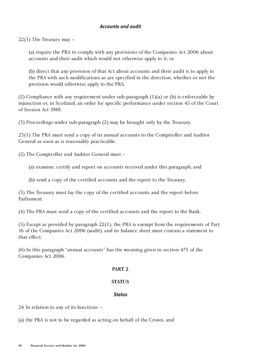## *Accounts and audit*

22(1) The Treasury may –

(a) require the PRA to comply with any provisions of the Companies Act 2006 about accounts and their audit which would not otherwise apply to it, or

(b) direct that any provision of that Act about accounts and their audit is to apply to the PRA with such modifications as are specified in the direction, whether or not the provision would otherwise apply to the PRA.

(2) Compliance with any requirement under sub-paragraph (1)(a) or (b) is enforceable by injunction or, in Scotland, an order for specific performance under section 45 of the Court of Session Act 1988.

(3) Proceedings under sub-paragraph (2) may be brought only by the Treasury.

23(1) The PRA must send a copy of its annual accounts to the Comptroller and Auditor General as soon as is reasonably practicable.

(2) The Comptroller and Auditor General must –

- (a) examine, certify and report on accounts received under this paragraph, and
- (b) send a copy of the certified accounts and the report to the Treasury.

(3) The Treasury must lay the copy of the certified accounts and the report before Parliament.

(4) The PRA must send a copy of the certified accounts and the report to the Bank.

(5) Except as provided by paragraph 22(1), the PRA is exempt from the requirements of Part 16 of the Companies Act 2006 (audit), and its balance sheet must contain a statement to that effect.

(6) In this paragraph "annual accounts" has the meaning given in section 471 of the Companies Act 2006.

## **PART 2**

## **STATUS**

#### *Status*

24 In relation to any of its functions –

(a) the PRA is not to be regarded as acting on behalf of the Crown, and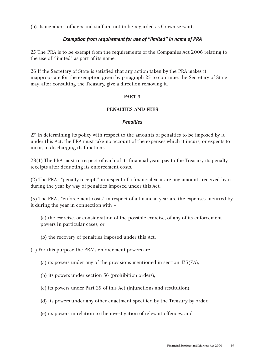(b) its members, officers and staff are not to be regarded as Crown servants.

#### *Exemption from requirement for use of "limited" in name of PRA*

25 The PRA is to be exempt from the requirements of the Companies Act 2006 relating to the use of "limited" as part of its name.

26 If the Secretary of State is satisfied that any action taken by the PRA makes it inappropriate for the exemption given by paragraph 25 to continue, the Secretary of State may, after consulting the Treasury, give a direction removing it.

#### **PART 3**

#### **PENALTIES AND FEES**

#### *Penalties*

27 In determining its policy with respect to the amounts of penalties to be imposed by it under this Act, the PRA must take no account of the expenses which it incurs, or expects to incur, in discharging its functions.

28(1) The PRA must in respect of each of its financial years pay to the Treasury its penalty receipts after deducting its enforcement costs.

(2) The PRA's "penalty receipts" in respect of a financial year are any amounts received by it during the year by way of penalties imposed under this Act.

(3) The PRA's "enforcement costs" in respect of a financial year are the expenses incurred by it during the year in connection with –

- (a) the exercise, or consideration of the possible exercise, of any of its enforcement powers in particular cases, or
- (b) the recovery of penalties imposed under this Act.

(4) For this purpose the PRA's enforcement powers are –

- (a) its powers under any of the provisions mentioned in section 133(7A),
- (b) its powers under section 56 (prohibition orders),
- (c) its powers under Part 25 of this Act (injunctions and restitution),
- (d) its powers under any other enactment specified by the Treasury by order,
- (e) its powers in relation to the investigation of relevant offences, and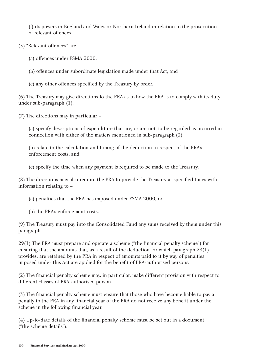(f) its powers in England and Wales or Northern Ireland in relation to the prosecution of relevant offences.

(5) "Relevant offences" are –

(a) offences under FSMA 2000,

(b) offences under subordinate legislation made under that Act, and

(c) any other offences specified by the Treasury by order.

(6) The Treasury may give directions to the PRA as to how the PRA is to comply with its duty under sub-paragraph (1).

(7) The directions may in particular –

(a) specify descriptions of expenditure that are, or are not, to be regarded as incurred in connection with either of the matters mentioned in sub-paragraph (3),

(b) relate to the calculation and timing of the deduction in respect of the PRA's enforcement costs, and

(c) specify the time when any payment is required to be made to the Treasury.

(8) The directions may also require the PRA to provide the Treasury at specified times with information relating to –

(a) penalties that the PRA has imposed under FSMA 2000, or

(b) the PRA's enforcement costs.

(9) The Treasury must pay into the Consolidated Fund any sums received by them under this paragraph.

29(1) The PRA must prepare and operate a scheme ("the financial penalty scheme") for ensuring that the amounts that, as a result of the deduction for which paragraph 28(1) provides, are retained by the PRA in respect of amounts paid to it by way of penalties imposed under this Act are applied for the benefit of PRA-authorised persons.

(2) The financial penalty scheme may, in particular, make different provision with respect to different classes of PRA-authorised person.

(3) The financial penalty scheme must ensure that those who have become liable to pay a penalty to the PRA in any financial year of the PRA do not receive any benefit under the scheme in the following financial year.

(4) Up-to-date details of the financial penalty scheme must be set out in a document ("the scheme details").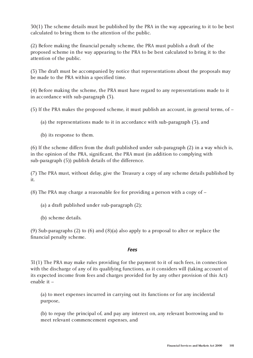30(1) The scheme details must be published by the PRA in the way appearing to it to be best calculated to bring them to the attention of the public.

(2) Before making the financial penalty scheme, the PRA must publish a draft of the proposed scheme in the way appearing to the PRA to be best calculated to bring it to the attention of the public.

(3) The draft must be accompanied by notice that representations about the proposals may be made to the PRA within a specified time.

(4) Before making the scheme, the PRA must have regard to any representations made to it in accordance with sub-paragraph (3).

(5) If the PRA makes the proposed scheme, it must publish an account, in general terms, of –

(a) the representations made to it in accordance with sub-paragraph (3), and

(b) its response to them.

(6) If the scheme differs from the draft published under sub-paragraph (2) in a way which is, in the opinion of the PRA, significant, the PRA must (in addition to complying with sub-paragraph (5)) publish details of the difference.

(7) The PRA must, without delay, give the Treasury a copy of any scheme details published by it.

(8) The PRA may charge a reasonable fee for providing a person with a copy of –

(a) a draft published under sub-paragraph (2);

(b) scheme details.

(9) Sub-paragraphs (2) to (6) and (8)(a) also apply to a proposal to alter or replace the financial penalty scheme.

## *Fees*

31(1) The PRA may make rules providing for the payment to it of such fees, in connection with the discharge of any of its qualifying functions, as it considers will (taking account of its expected income from fees and charges provided for by any other provision of this Act) enable it –

(a) to meet expenses incurred in carrying out its functions or for any incidental purpose,

(b) to repay the principal of, and pay any interest on, any relevant borrowing and to meet relevant commencement expenses, and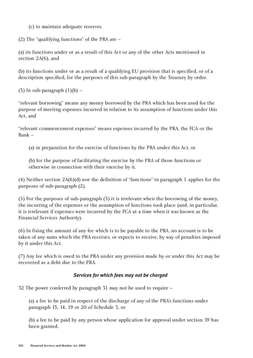(c) to maintain adequate reserves.

(2) The "qualifying functions" of the PRA are –

(a) its functions under or as a result of this Act or any of the other Acts mentioned in section 2A(6), and

(b) its functions under or as a result of a qualifying EU provision that is specified, or of a description specified, for the purposes of this sub-paragraph by the Treasury by order.

(3) In sub-paragraph  $(1)(b)$  –

"relevant borrowing" means any money borrowed by the PRA which has been used for the purpose of meeting expenses incurred in relation to its assumption of functions under this Act, and

"relevant commencement expenses" means expenses incurred by the PRA, the FCA or the Bank –

(a) in preparation for the exercise of functions by the PRA under this Act, or

(b) for the purpose of facilitating the exercise by the PRA of those functions or otherwise in connection with their exercise by it.

(4) Neither section 2A(6)(d) nor the definition of "functions" in paragraph 1 applies for the purposes of sub-paragraph (2).

(5) For the purposes of sub-paragraph (3) it is irrelevant when the borrowing of the money, the incurring of the expenses or the assumption of functions took place (and, in particular, it is irrelevant if expenses were incurred by the FCA at a time when it was known as the Financial Services Authority).

(6) In fixing the amount of any fee which is to be payable to the PRA, no account is to be taken of any sums which the PRA receives, or expects to receive, by way of penalties imposed by it under this Act.

(7) Any fee which is owed to the PRA under any provision made by or under this Act may be recovered as a debt due to the PRA.

## *Services for which fees may not be charged*

32 The power conferred by paragraph 31 may not be used to require –

(a) a fee to be paid in respect of the discharge of any of the PRA's functions under paragraph 13, 14, 19 or 20 of Schedule 3, or

(b) a fee to be paid by any person whose application for approval under section 59 has been granted.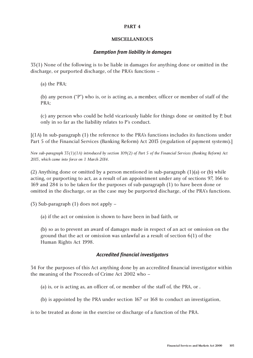#### **PART 4**

#### **MISCELLANEOUS**

## *Exemption from liability in damages*

33(1) None of the following is to be liable in damages for anything done or omitted in the discharge, or purported discharge, of the PRA's functions –

(a) the PRA;

(b) any person ("P") who is, or is acting as, a member, officer or member of staff of the PRA;

(c) any person who could be held vicariously liable for things done or omitted by P, but only in so far as the liability relates to P's conduct.

[(1A) In sub-paragraph (1) the reference to the PRA's functions includes its functions under Part 5 of the Financial Services (Banking Reform) Act 2013 (regulation of payment systems).]

New sub-paragraph  $33(1)(1)$  introduced by section  $109(2)$  of Part 5 of the Financial Services (Banking Reform) Act *2013, which came into force on 1 March 2014.*

(2) Anything done or omitted by a person mentioned in sub-paragraph (1)(a) or (b) while acting, or purporting to act, as a result of an appointment under any of sections 97, 166 to 169 and 284 is to be taken for the purposes of sub-paragraph (1) to have been done or omitted in the discharge, or as the case may be purported discharge, of the PRA's functions.

(3) Sub-paragraph (1) does not apply –

(a) if the act or omission is shown to have been in bad faith, or

(b) so as to prevent an award of damages made in respect of an act or omission on the ground that the act or omission was unlawful as a result of section 6(1) of the Human Rights Act 1998.

#### *Accredited financial investigators*

34 For the purposes of this Act anything done by an accredited financial investigator within the meaning of the Proceeds of Crime Act 2002 who –

(a) is, or is acting as, an officer of, or member of the staff of, the PRA, or .

(b) is appointed by the PRA under section 167 or 168 to conduct an investigation,

is to be treated as done in the exercise or discharge of a function of the PRA.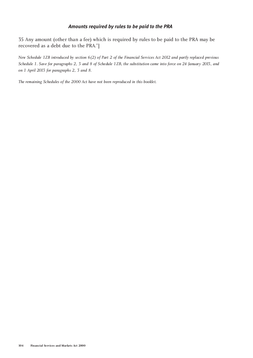#### *Amounts required by rules to be paid to the PRA*

35 Any amount (other than a fee) which is required by rules to be paid to the PRA may be recovered as a debt due to the PRA."]

New Schedule 1ZB introduced by section 6(2) of Part 2 of the Financial Services Act 2012 and partly replaced previous Schedule 1. Save for paragraphs 2, 3 and 8 of Schedule 1ZB, the substitution came into force on 24 January 2013, and *on 1 April 2013 for paragraphs 2, 3 and 8.*

*The remaining Schedules of the 2000 Act have not been reproduced in this booklet.*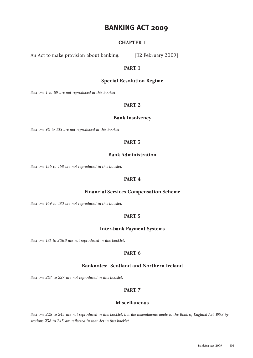# **BANKING ACT 2009**

#### **CHAPTER 1**

An Act to make provision about banking. [12 February 2009]

## **PART 1**

#### **Special Resolution Regime**

*Sections 1 to 89 are not reproduced in this booklet.*

#### **PART 2**

#### **Bank Insolvency**

*Sections 90 to 135 are not reproduced in this booklet.*

#### **PART 3**

#### **Bank Administration**

*Sections 136 to 168 are not reproduced in this booklet.*

#### **PART 4**

#### **Financial Services Compensation Scheme**

*Sections 169 to 180 are not reproduced in this booklet.*

#### **PART 5**

#### **Inter-bank Payment Systems**

*Sections 181 to 206B are not reproduced in this booklet.*

#### **PART 6**

#### **Banknotes: Scotland and Northern Ireland**

*Sections 207 to 227 are not reproduced in this booklet.*

#### **PART 7**

#### **Miscellaneous**

Sections 228 to 243 are not reproduced in this booklet, but the amendments made to the Bank of England Act 1998 by *sections 238 to 243 are reflected in that Act in this booklet.*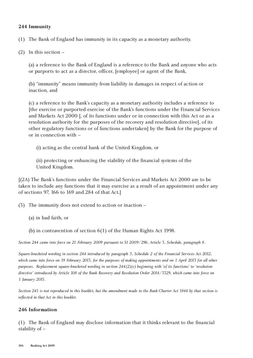#### **244 Immunity**

- (1) The Bank of England has immunity in its capacity as a monetary authority.
- (2) In this section –

(a) a reference to the Bank of England is a reference to the Bank and anyone who acts or purports to act as a director, officer, [employee] or agent of the Bank,

(b) "immunity" means immunity from liability in damages in respect of action or inaction, and

(c) a reference to the Bank's capacity as a monetary authority includes a reference to [the exercise or purported exercise of the Bank's functions under the Financial Services and Markets Act 2000 [, of its functions under or in connection with this Act or as a resolution authority for the purposes of the recovery and resolution directive], of its other regulatory functions or of functions undertaken] by the Bank for the purpose of or in connection with –

(i) acting as the central bank of the United Kingdom, or

(ii) protecting or enhancing the stability of the financial systems of the United Kingdom.

[(2A) The Bank's functions under the Financial Services and Markets Act 2000 are to be taken to include any functions that it may exercise as a result of an appointment under any of sections 97, 166 to 169 and 284 of that Act.]

(3) The immunity does not extend to action or inaction –

- (a) in bad faith, or
- (b) in contravention of section 6(1) of the Human Rights Act 1998.

Section 244 came into force on 21 February 2009 pursuant to SI 2009/296, Article 3, Schedule, paragraph 8.

Square-bracketed wording in section 244 introduced by paragraph 3, Schedule 2 of the Financial Services Act 2012, which came into force on 19 February 2013, for the purposes of making appointments and on 1 April 2013 for all other *purposes. Replacement square-bracketed wording in section 244(2)(c) beginning with 'of its functions' to 'resolution* directive' introduced by Article 108 of the Bank Recovery and Resolution Order 2014/3329, which came into force on *1 January 2015.*

Section 245 is not reproduced in this booklet, but the amendment made to the Bank Charter Act 1844 by that section is *reflected in that Act in this booklet.*

#### **246 Information**

(1) The Bank of England may disclose information that it thinks relevant to the financial stability of –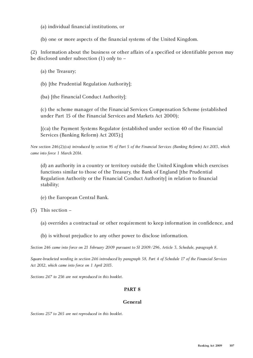- (a) individual financial institutions, or
- (b) one or more aspects of the financial systems of the United Kingdom.

(2) Information about the business or other affairs of a specified or identifiable person may be disclosed under subsection (1) only to –

(a) the Treasury;

- (b) [the Prudential Regulation Authority];
- (ba) [the Financial Conduct Authority];

(c) the scheme manager of the Financial Services Compensation Scheme (established under Part 15 of the Financial Services and Markets Act 2000);

[(ca) the Payment Systems Regulator (established under section 40 of the Financial Services (Banking Reform) Act 2013);]

New section 246(2)(ca) introduced by section 95 of Part 5 of the Financial Services (Banking Reform) Act 2013, which *came into force 1 March 2014.*

(d) an authority in a country or territory outside the United Kingdom which exercises functions similar to those of the Treasury, the Bank of England [the Prudential Regulation Authority or the Financial Conduct Authority] in relation to financial stability;

- (e) the European Central Bank.
- (3) This section
	- (a) overrides a contractual or other requirement to keep information in confidence, and
	- (b) is without prejudice to any other power to disclose information.

Section 246 came into force on 21 February 2009 pursuant to SI 2009/296, Article 3, Schedule, paragraph 8.

Square-bracketed wording in section 246 introduced by paragraph 58, Part 4 of Schedule 17 of the Financial Services *Act 2012, which came into force on 1 April 2013.*

*Sections 247 to 256 are not reproduced in this booklet*.

#### **PART 8**

#### **General**

*Sections 257 to 265 are not reproduced in this booklet.*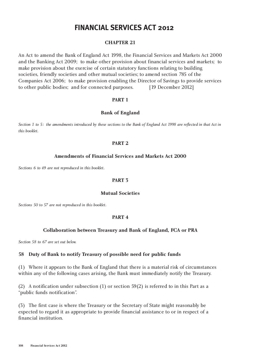# **FINANCIAL SERVICES ACT 2012**

#### **CHAPTER 21**

An Act to amend the Bank of England Act 1998, the Financial Services and Markets Act 2000 and the Banking Act 2009; to make other provision about financial services and markets; to make provision about the exercise of certain statutory functions relating to building societies, friendly societies and other mutual societies; to amend section 785 of the Companies Act 2006; to make provision enabling the Director of Savings to provide services to other public bodies; and for connected purposes. [19 December 2012]

#### **PART 1**

#### **Bank of England**

Section 1 to 5: the amendments introduced by these sections to the Bank of England Act 1998 are reflected in that Act in *this booklet.*

#### **PART 2**

#### **Amendments of Financial Services and Markets Act 2000**

*Sections 6 to 49 are not reproduced in this booklet.*

#### **PART 3**

#### **Mutual Societies**

*Sections 50 to 57 are not reproduced in this booklet.*

#### **PART 4**

#### **Collaboration between Treasury and Bank of England, FCA or PRA**

*Section 58 to 67 are set out below.*

#### **58 Duty of Bank to notify Treasury of possible need for public funds**

(1) Where it appears to the Bank of England that there is a material risk of circumstances within any of the following cases arising, the Bank must immediately notify the Treasury.

(2) A notification under subsection (1) or section 59(2) is referred to in this Part as a "public funds notification".

(3) The first case is where the Treasury or the Secretary of State might reasonably be expected to regard it as appropriate to provide financial assistance to or in respect of a financial institution.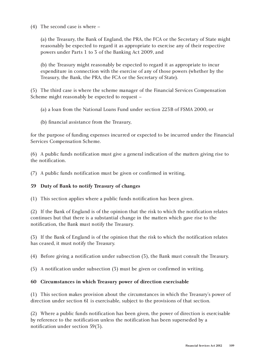(4) The second case is where –

(a) the Treasury, the Bank of England, the PRA, the FCA or the Secretary of State might reasonably be expected to regard it as appropriate to exercise any of their respective powers under Parts 1 to 3 of the Banking Act 2009, and

(b) the Treasury might reasonably be expected to regard it as appropriate to incur expenditure in connection with the exercise of any of those powers (whether by the Treasury, the Bank, the PRA, the FCA or the Secretary of State).

(5) The third case is where the scheme manager of the Financial Services Compensation Scheme might reasonably be expected to request –

(a) a loan from the National Loans Fund under section 223B of FSMA 2000, or

(b) financial assistance from the Treasury,

for the purpose of funding expenses incurred or expected to be incurred under the Financial Services Compensation Scheme.

(6) A public funds notification must give a general indication of the matters giving rise to the notification.

(7) A public funds notification must be given or confirmed in writing.

#### **59 Duty of Bank to notify Treasury of changes**

(1) This section applies where a public funds notification has been given.

(2) If the Bank of England is of the opinion that the risk to which the notification relates continues but that there is a substantial change in the matters which gave rise to the notification, the Bank must notify the Treasury.

(3) If the Bank of England is of the opinion that the risk to which the notification relates has ceased, it must notify the Treasury.

(4) Before giving a notification under subsection (3), the Bank must consult the Treasury.

(5) A notification under subsection (3) must be given or confirmed in writing.

#### **60 Circumstances in which Treasury power of direction exercisable**

(1) This section makes provision about the circumstances in which the Treasury's power of direction under section 61 is exercisable, subject to the provisions of that section.

(2) Where a public funds notification has been given, the power of direction is exercisable by reference to the notification unless the notification has been superseded by a notification under section 59(3).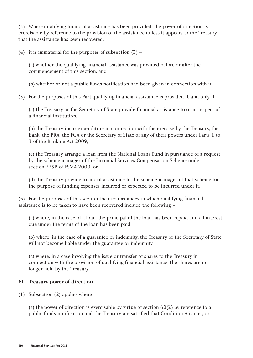(3) Where qualifying financial assistance has been provided, the power of direction is exercisable by reference to the provision of the assistance unless it appears to the Treasury that the assistance has been recovered.

(4) it is immaterial for the purposes of subsection  $(3)$  –

(a) whether the qualifying financial assistance was provided before or after the commencement of this section, and

(b) whether or not a public funds notification had been given in connection with it.

(5) For the purposes of this Part qualifying financial assistance is provided if, and only if –

(a) the Treasury or the Secretary of State provide financial assistance to or in respect of a financial institution,

(b) the Treasury incur expenditure in connection with the exercise by the Treasury, the Bank, the PRA, the FCA or the Secretary of State of any of their powers under Parts 1 to 3 of the Banking Act 2009,

(c) the Treasury arrange a loan from the National Loans Fund in pursuance of a request by the scheme manager of the Financial Services Compensation Scheme under section 223B of FSMA 2000, or

(d) the Treasury provide financial assistance to the scheme manager of that scheme for the purpose of funding expenses incurred or expected to be incurred under it.

(6) For the purposes of this section the circumstances in which qualifying financial assistance is to be taken to have been recovered include the following –

(a) where, in the case of a loan, the principal of the loan has been repaid and all interest due under the terms of the loan has been paid,

(b) where, in the case of a guarantee or indemnity, the Treasury or the Secretary of State will not become liable under the guarantee or indemnity,

(c) where, in a case involving the issue or transfer of shares to the Treasury in connection with the provision of qualifying financial assistance, the shares are no longer held by the Treasury.

#### **61 Treasury power of direction**

(1) Subsection (2) applies where –

(a) the power of direction is exercisable by virtue of section 60(2) by reference to a public funds notification and the Treasury are satisfied that Condition A is met, or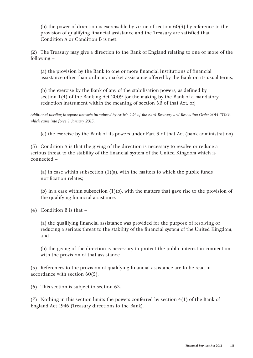(b) the power of direction is exercisable by virtue of section 60(3) by reference to the provision of qualifying financial assistance and the Treasury are satisfied that Condition A or Condition B is met.

(2) The Treasury may give a direction to the Bank of England relating to one or more of the following –

(a) the provision by the Bank to one or more financial institutions of financial assistance other than ordinary market assistance offered by the Bank on its usual terms,

(b) the exercise by the Bank of any of the stabilisation powers, as defined by section 1(4) of the Banking Act 2009 [or the making by the Bank of a mandatory reduction instrument within the meaning of section 6B of that Act, or]

Additional wording in square brackets introduced by Article 124 of the Bank Recovery and Resolution Order 2014/3329, *which came into force 1 January 2015.*

(c) the exercise by the Bank of its powers under Part 3 of that Act (bank administration).

(3) Condition A is that the giving of the direction is necessary to resolve or reduce a serious threat to the stability of the financial system of the United Kingdom which is connected –

(a) in case within subsection  $(1)(a)$ , with the matters to which the public funds notification relates;

(b) in a case within subsection (1)(b), with the matters that gave rise to the provision of the qualifying financial assistance.

(4) Condition B is that –

(a) the qualifying financial assistance was provided for the purpose of resolving or reducing a serious threat to the stability of the financial system of the United Kingdom, and

(b) the giving of the direction is necessary to protect the public interest in connection with the provision of that assistance.

(5) References to the provision of qualifying financial assistance are to be read in accordance with section 60(5).

(6) This section is subject to section 62.

(7) Nothing in this section limits the powers conferred by section 4(1) of the Bank of England Act 1946 (Treasury directions to the Bank).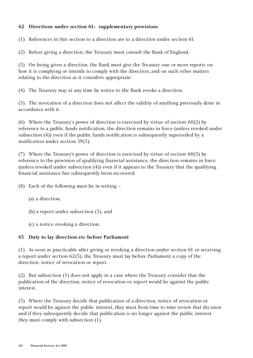## **62 Directions under section 61: supplementary provisions**

(1) References in this section to a direction are to a direction under section 61.

(2) Before giving a direction, the Treasury must consult the Bank of England.

(3) On being given a direction, the Bank must give the Treasury one or more reports on how it is complying or intends to comply with the direction, and on such other matters relating to the direction as it considers appropriate.

(4) The Treasury may at any time by notice to the Bank revoke a direction.

(5) The revocation of a direction does not affect the validity of anything previously done in accordance with it.

(6) Where the Treasury's power of direction is exercised by virtue of section 60(2) by reference to a public funds notification, the direction remains in force (unless revoked under subsection (4)) even if the public funds notification is subsequently superseded by a notification under section 59(3).

(7) Where the Treasury's power of direction is exercised by virtue of section 60(3) by reference to the provision of qualifying financial assistance, the direction remains in force (unless revoked under subsection (4)) even if it appears to the Treasury that the qualifying financial assistance has subsequently been recovered.

(8) Each of the following must be in writing –

- (a) a direction,
- (b) a report under subsection (3), and
- (c) a notice revoking a direction.

#### **63 Duty to lay direction etc before Parliament**

(1) As soon as practicable after giving or revoking a direction under section 61 or receiving a report under section 62(3), the Treasury must lay before Parliament a copy of the direction, notice of revocation or report.

(2) But subsection (1) does not apply in a case where the Treasury consider that the publication of the direction, notice of revocation or report would be against the public interest.

(3) Where the Treasury decide that publication of a direction, notice of revocation or report would be against the public interest, they must from time to time review that decision and if they subsequently decide that publication is no longer against the public interest they must comply with subsection (1).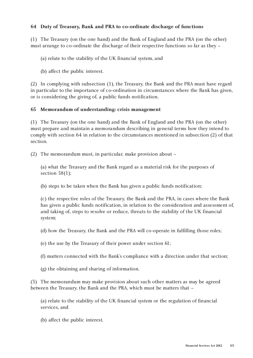#### **64 Duty of Treasury, Bank and PRA to co-ordinate discharge of functions**

(1) The Treasury (on the one hand) and the Bank of England and the PRA (on the other) must arrange to co-ordinate the discharge of their respective functions so far as they –

(a) relate to the stability of the UK financial system, and

(b) affect the public interest.

(2) In complying with subsection (1), the Treasury, the Bank and the PRA must have regard in particular to the importance of co-ordination in circumstances where the Bank has given, or is considering the giving of, a public funds notification.

#### **65 Memorandum of understanding: crisis management**

(1) The Treasury (on the one hand) and the Bank of England and the PRA (on the other) must prepare and maintain a memorandum describing in general terms how they intend to comply with section 64 in relation to the circumstances mentioned in subsection (2) of that section.

(2) The memorandum must, in particular, make provision about –

(a) what the Treasury and the Bank regard as a material risk for the purposes of section  $58(1)$ ;

(b) steps to be taken when the Bank has given a public funds notification;

(c) the respective roles of the Treasury, the Bank and the PRA, in cases where the Bank has given a public funds notification, in relation to the consideration and assessment of, and taking of, steps to resolve or reduce, threats to the stability of the UK financial system;

(d) how the Treasury, the Bank and the PRA will co-operate in fulfilling those roles;

(e) the use by the Treasury of their power under section 61;

(f) matters connected with the Bank's compliance with a direction under that section;

(g) the obtaining and sharing of information.

(3) The memorandum may make provision about such other matters as may be agreed between the Treasury, the Bank and the PRA, which must be matters that –

(a) relate to the stability of the UK financial system or the regulation of financial services, and

(b) affect the public interest.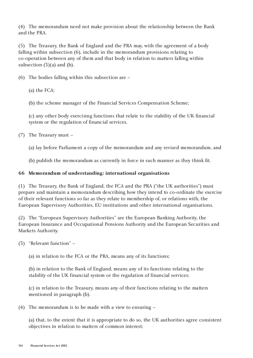(4) The memorandum need not make provision about the relationship between the Bank and the PRA.

(5) The Treasury, the Bank of England and the PRA may, with the agreement of a body falling within subsection (6), include in the memorandum provisions relating to co-operation between any of them and that body in relation to matters falling within subsection  $(3)(a)$  and  $(b)$ .

(6) The bodies falling within this subsection are –

(a) the FCA;

(b) the scheme manager of the Financial Services Compensation Scheme;

(c) any other body exercising functions that relate to the stability of the UK financial system or the regulation of financial services.

(7) The Treasury must –

(a) lay before Parliament a copy of the memorandum and any revised memorandum, and

(b) publish the memorandum as currently in force in such manner as they think fit.

#### **66 Memorandum of understanding: international organisations**

(1) The Treasury, the Bank of England, the FCA and the PRA ("the UK authorities") must prepare and maintain a memorandum describing how they intend to co-ordinate the exercise of their relevant functions so far as they relate to membership of, or relations with, the European Supervisory Authorities, EU institutions and other international organisations.

(2) The "European Supervisory Authorities" are the European Banking Authority, the European Insurance and Occupational Pensions Authority and the European Securities and Markets Authority.

(3) "Relevant function" –

(a) in relation to the FCA or the PRA, means any of its functions;

(b) in relation to the Bank of England, means any of its functions relating to the stability of the UK financial system or the regulation of financial services;

(c) in relation to the Treasury, means any of their functions relating to the matters mentioned in paragraph (b).

(4) The memorandum is to be made with a view to ensuring –

(a) that, to the extent that it is appropriate to do so, the UK authorities agree consistent objectives in relation to matters of common interest;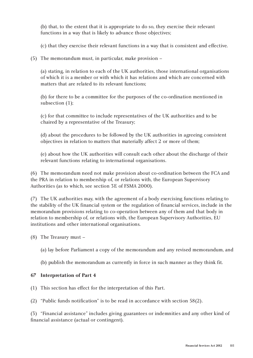(b) that, to the extent that it is appropriate to do so, they exercise their relevant functions in a way that is likely to advance those objectives;

(c) that they exercise their relevant functions in a way that is consistent and effective.

(5) The memorandum must, in particular, make provision –

(a) stating, in relation to each of the UK authorities, those international organisations of which it is a member or with which it has relations and which are concerned with matters that are related to its relevant functions;

(b) for there to be a committee for the purposes of the co-ordination mentioned in subsection (1);

(c) for that committee to include representatives of the UK authorities and to be chaired by a representative of the Treasury;

(d) about the procedures to be followed by the UK authorities in agreeing consistent objectives in relation to matters that materially affect 2 or more of them;

(e) about how the UK authorities will consult each other about the discharge of their relevant functions relating to international organisations.

(6) The memorandum need not make provision about co-ordination between the FCA and the PRA in relation to membership of, or relations with, the European Supervisory Authorities (as to which, see section 3E of FSMA 2000).

(7) The UK authorities may, with the agreement of a body exercising functions relating to the stability of the UK financial system or the regulation of financial services, include in the memorandum provisions relating to co-operation between any of them and that body in relation to membership of, or relations with, the European Supervisory Authorities, EU institutions and other international organisations.

(8) The Treasury must –

(a) lay before Parliament a copy of the memorandum and any revised memorandum, and

(b) publish the memorandum as currently in force in such manner as they think fit.

# **67 Interpretation of Part 4**

(1) This section has effect for the interpretation of this Part.

(2) "Public funds notification" is to be read in accordance with section 58(2).

(3) "Financial assistance" includes giving guarantees or indemnities and any other kind of financial assistance (actual or contingent).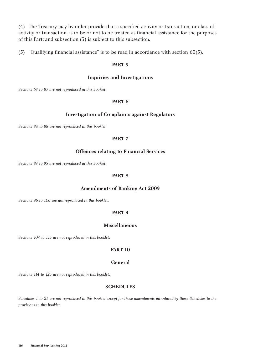(4) The Treasury may by order provide that a specified activity or transaction, or class of activity or transaction, is to be or not to be treated as financial assistance for the purposes of this Part; and subsection (3) is subject to this subsection.

(5) "Qualifying financial assistance" is to be read in accordance with section 60(5).

#### **PART 5**

#### **Inquiries and Investigations**

*Sections 68 to 83 are not reproduced in this booklet.*

#### **PART 6**

#### **Investigation of Complaints against Regulators**

*Sections 84 to 88 are not reproduced in this booklet.*

#### **PART 7**

#### **Offences relating to Financial Services**

*Sections 89 to 95 are not reproduced in this booklet.*

#### **PART 8**

#### **Amendments of Banking Act 2009**

*Sections 96 to 106 are not reproduced in this booklet.*

#### **PART 9**

#### **Miscellaneous**

*Sections 107 to 113 are not reproduced in this booklet.*

#### **PART 10**

#### **General**

*Sections 114 to 123 are not reproduced in this booklet.*

#### **SCHEDULES**

Schedules 1 to 21 are not reproduced in this booklet except for those amendments introduced by those Schedules to the *provisions in this booklet.*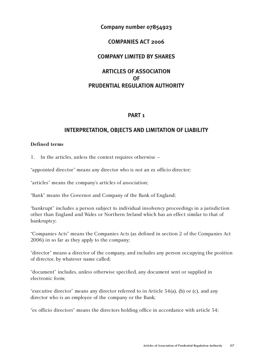# **Company number 07854923**

# **COMPANIES ACT 2006**

# **COMPANY LIMITED BY SHARES**

# **ARTICLES OF ASSOCIATION OF PRUDENTIAL REGULATION AUTHORITY**

# **PART 1**

# **INTERPRETATION, OBJECTS AND LIMITATION OF LIABILITY**

#### **Defined terms**

1. In the articles, unless the context requires otherwise –

"appointed director" means any director who is not an ex officio director;

"articles" means the company's articles of association;

"Bank" means the Governor and Company of the Bank of England;

"bankrupt" includes a person subject to individual insolvency proceedings in a jurisdiction other than England and Wales or Northern Ireland which has an effect similar to that of bankruptcy;

"Companies Acts" means the Companies Acts (as defined in section 2 of the Companies Act 2006) in so far as they apply to the company;

"director" means a director of the company, and includes any person occupying the position of director, by whatever name called;

"document" includes, unless otherwise specified, any document sent or supplied in electronic form;

"executive director" means any director referred to in Article 54(a), (b) or (c), and any director who is an employee of the company or the Bank;

"ex officio directors" means the directors holding office in accordance with article 54;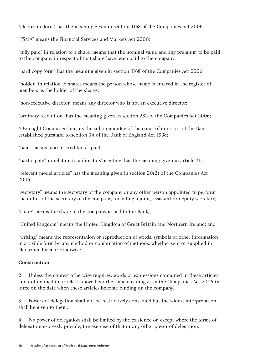"electronic form" has the meaning given in section 1168 of the Companies Act 2006;

"FSMA" means the Financial Services and Markets Act 2000;

"fully paid" in relation to a share, means that the nominal value and any premium to be paid to the company in respect of that share have been paid to the company;

"hard copy form" has the meaning given in section 1168 of the Companies Act 2006;

"holder" in relation to shares means the person whose name is entered in the register of members as the holder of the shares;

"non-executive director" means any director who is not an executive director;

"ordinary resolution" has the meaning given in section 282 of the Companies Act 2006;

"Oversight Committee" means the sub-committee of the court of directors of the Bank established pursuant to section 3A of the Bank of England Act 1998;

"paid" means paid or credited as paid;

"participate", in relation to a directors' meeting, has the meaning given in article 31;

"relevant model articles" has the meaning given in section 20(2) of the Companies Act 2006;

"secretary" means the secretary of the company or any other person appointed to perform the duties of the secretary of the company, including a joint, assistant or deputy secretary;

"share" means the share in the company issued to the Bank;

"United Kingdom" means the United Kingdom of Great Britain and Northern Ireland; and

"writing" means the representation or reproduction of words, symbols or other information in a visible form by any method or combination of methods, whether sent or supplied in electronic form or otherwise.

# **Construction**

2. Unless the context otherwise requires, words or expressions contained in these articles and not defined in article 1 above bear the same meaning as in the Companies Act 2006 in force on the date when these articles become binding on the company.

3. Powers of delegation shall not be restrictively construed but the widest interpretation shall be given to them.

4. No power of delegation shall be limited by the existence or, except where the terms of delegation expressly provide, the exercise of that or any other power of delegation.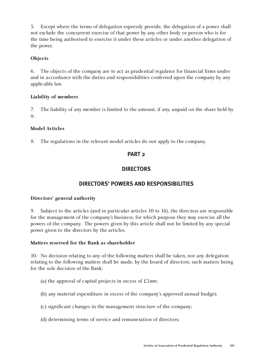5. Except where the terms of delegation expressly provide, the delegation of a power shall not exclude the concurrent exercise of that power by any other body or person who is for the time being authorised to exercise it under these articles or under another delegation of the power.

## **Objects**

6. The objects of the company are to act as prudential regulator for financial firms under and in accordance with the duties and responsibilities conferred upon the company by any applicable law.

#### **Liability of members**

7. The liability of any member is limited to the amount, if any, unpaid on the share held by it.

#### **Model Articles**

8. The regulations in the relevant model articles do not apply to the company.

# **PART 2**

# **DIRECTORS**

# **DIRECTORS' POWERS AND RESPONSIBILITIES**

#### **Directors' general authority**

9. Subject to the articles (and in particular articles 10 to 14), the directors are responsible for the management of the company's business, for which purpose they may exercise all the powers of the company. The powers given by this article shall not be limited by any special power given to the directors by the articles.

#### **Matters reserved for the Bank as shareholder**

10. No decision relating to any of the following matters shall be taken, nor any delegation relating to the following matters shall be made, by the board of directors; such matters being for the sole decision of the Bank:

- (a) the approval of capital projects in excess of £5mn;
- (b) any material expenditure in excess of the company's approved annual budget;
- (c) significant changes in the management structure of the company;
- (d) determining terms of service and remuneration of directors;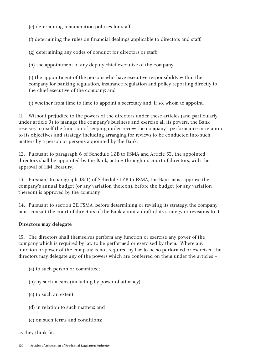(e) determining remuneration policies for staff;

(f) determining the rules on financial dealings applicable to directors and staff;

(g) determining any codes of conduct for directors or staff;

(h) the appointment of any deputy chief executive of the company;

(i) the appointment of the persons who have executive responsibility within the company for banking regulation, insurance regulation and policy reporting directly to the chief executive of the company; and

(j) whether from time to time to appoint a secretary and, if so, whom to appoint.

11. Without prejudice to the powers of the directors under these articles (and particularly under article 9) to manage the company's business and exercise all its powers, the Bank reserves to itself the function of keeping under review the company's performance in relation to its objectives and strategy, including arranging for reviews to be conducted into such matters by a person or persons appointed by the Bank.

12. Pursuant to paragraph 6 of Schedule 1ZB to FSMA and Article 53, the appointed directors shall be appointed by the Bank, acting through its court of directors, with the approval of HM Treasury.

13. Pursuant to paragraph 18(1) of Schedule 1ZB to FSMA, the Bank must approve the company's annual budget (or any variation thereon), before the budget (or any variation thereon) is approved by the company.

14. Pursuant to section 2E FSMA, before determining or revising its strategy, the company must consult the court of directors of the Bank about a draft of its strategy or revisions to it.

# **Directors may delegate**

15. The directors shall themselves perform any function or exercise any power of the company which is required by law to be performed or exercised by them. Where any function or power of the company is not required by law to be so performed or exercised the directors may delegate any of the powers which are conferred on them under the articles –

- (a) to such person or committee;
- (b) by such means (including by power of attorney);
- (c) to such an extent;
- (d) in relation to such matters; and
- (e) on such terms and conditions;

as they think fit.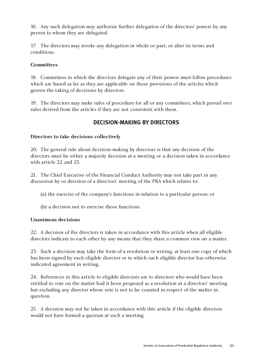16. Any such delegation may authorise further delegation of the directors' powers by any person to whom they are delegated.

17. The directors may revoke any delegation in whole or part, or alter its terms and conditions.

## **Committees**

18. Committees to which the directors delegate any of their powers must follow procedures which are based as far as they are applicable on those provisions of the articles which govern the taking of decisions by directors.

19. The directors may make rules of procedure for all or any committees, which prevail over rules derived from the articles if they are not consistent with them.

# **DECISION-MAKING BY DIRECTORS**

#### **Directors to take decisions collectively**

20. The general rule about decision-making by directors is that any decision of the directors must be either a majority decision at a meeting or a decision taken in accordance with article 22 and 23.

21. The Chief Executive of the Financial Conduct Authority may not take part in any discussion by or decision of a directors' meeting of the PRA which relates to:

(a) the exercise of the company's functions in relation to a particular person; or

(b) a decision not to exercise those functions.

#### **Unanimous decisions**

22. A decision of the directors is taken in accordance with this article when all eligible directors indicate to each other by any means that they share a common view on a matter.

23. Such a decision may take the form of a resolution in writing, at least one copy of which has been signed by each eligible director or to which each eligible director has otherwise indicated agreement in writing.

24. References in this article to eligible directors are to directors who would have been entitled to vote on the matter had it been proposed as a resolution at a directors' meeting but excluding any director whose vote is not to be counted in respect of the matter in question.

25. A decision may not be taken in accordance with this article if the eligible directors would not have formed a quorum at such a meeting.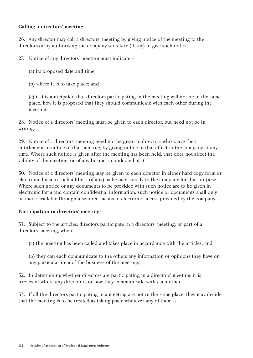#### **Calling a directors' meeting**

26. Any director may call a directors' meeting by giving notice of the meeting to the directors or by authorising the company secretary (if any) to give such notice.

27. Notice of any directors' meeting must indicate –

(a) its proposed date and time;

(b) where it is to take place; and

(c) if it is anticipated that directors participating in the meeting will not be in the same place, how it is proposed that they should communicate with each other during the meeting.

28. Notice of a directors' meeting must be given to each director, but need not be in writing.

29. Notice of a directors' meeting need not be given to directors who waive their entitlement to notice of that meeting, by giving notice to that effect to the company at any time. Where such notice is given after the meeting has been held, that does not affect the validity of the meeting, or of any business conducted at it.

30. Notice of a directors' meeting may be given to each director in either hard copy form or electronic form to such address (if any) as he may specify to the company for that purpose. Where such notice or any documents to be provided with such notice are to be given in electronic form and contain confidential information, such notice or documents shall only be made available through a secured means of electronic access provided by the company.

#### **Participation in directors' meetings**

31. Subject to the articles, directors participate in a directors' meeting, or part of a directors' meeting, when –

(a) the meeting has been called and takes place in accordance with the articles, and

(b) they can each communicate to the others any information or opinions they have on any particular item of the business of the meeting.

32. In determining whether directors are participating in a directors' meeting, it is irrelevant where any director is or how they communicate with each other.

33. If all the directors participating in a meeting are not in the same place, they may decide that the meeting is to be treated as taking place wherever any of them is.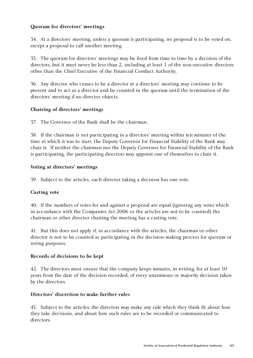# **Quorum for directors' meetings**

34. At a directors' meeting, unless a quorum is participating, no proposal is to be voted on, except a proposal to call another meeting.

35. The quorum for directors' meetings may be fixed from time to time by a decision of the directors, but it must never be less than 2, including at least 1 of the non-executive directors other than the Chief Executive of the Financial Conduct Authority.

36. Any director who ceases to be a director at a directors' meeting may continue to be present and to act as a director and be counted in the quorum until the termination of the directors' meeting if no director objects.

#### **Chairing of directors' meetings**

37. The Governor of the Bank shall be the chairman.

38. If the chairman is not participating in a directors' meeting within ten minutes of the time at which it was to start, the Deputy Governor for Financial Stability of the Bank may chair it. If neither the chairman nor the Deputy Governor for Financial Stability of the Bank is participating, the participating directors may appoint one of themselves to chair it.

#### **Voting at directors' meetings**

39. Subject to the articles, each director taking a decision has one vote.

#### **Casting vote**

40. If the numbers of votes for and against a proposal are equal (ignoring any votes which in accordance with the Companies Act 2006 or the articles are not to be counted) the chairman or other director chairing the meeting has a casting vote.

41. But this does not apply if, in accordance with the articles, the chairman or other director is not to be counted as participating in the decision-making process for quorum or voting purposes.

#### **Records of decisions to be kept**

42. The directors must ensure that the company keeps minutes, in writing, for at least 10 years from the date of the decision recorded, of every unanimous or majority decision taken by the directors.

#### **Directors' discretion to make further rules**

43. Subject to the articles, the directors may make any rule which they think fit about how they take decisions, and about how such rules are to be recorded or communicated to directors.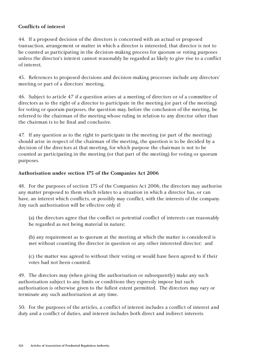## **Conflicts of interest**

44. If a proposed decision of the directors is concerned with an actual or proposed transaction, arrangement or matter in which a director is interested, that director is not to be counted as participating in the decision-making process for quorum or voting purposes unless the director's interest cannot reasonably be regarded as likely to give rise to a conflict of interest.

45. References to proposed decisions and decision-making processes include any directors' meeting or part of a directors' meeting.

46. Subject to article 47 if a question arises at a meeting of directors or of a committee of directors as to the right of a director to participate in the meeting (or part of the meeting) for voting or quorum purposes, the question may, before the conclusion of the meeting, be referred to the chairman of the meeting whose ruling in relation to any director other than the chairman is to be final and conclusive.

47. If any question as to the right to participate in the meeting (or part of the meeting) should arise in respect of the chairman of the meeting, the question is to be decided by a decision of the directors at that meeting, for which purpose the chairman is not to be counted as participating in the meeting (or that part of the meeting) for voting or quorum purposes.

#### **Authorisation under section 175 of the Companies Act 2006**

48. For the purposes of section 175 of the Companies Act 2006, the directors may authorise any matter proposed to them which relates to a situation in which a director has, or can have, an interest which conflicts, or possibly may conflict, with the interests of the company. Any such authorisation will be effective only if:

(a) the directors agree that the conflict or potential conflict of interests can reasonably be regarded as not being material in nature;

(b) any requirement as to quorum at the meeting at which the matter is considered is met without counting the director in question or any other interested director; and

(c) the matter was agreed to without their voting or would have been agreed to if their votes had not been counted.

49. The directors may (when giving the authorisation or subsequently) make any such authorisation subject to any limits or conditions they expressly impose but such authorisation is otherwise given to the fullest extent permitted. The directors may vary or terminate any such authorisation at any time.

50. For the purposes of the articles, a conflict of interest includes a conflict of interest and duty and a conflict of duties, and interest includes both direct and indirect interests.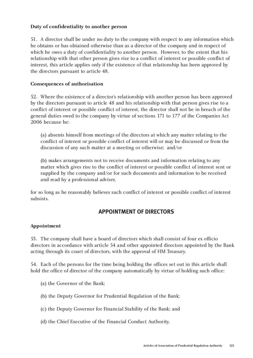#### **Duty of confidentiality to another person**

51. A director shall be under no duty to the company with respect to any information which he obtains or has obtained otherwise than as a director of the company and in respect of which he owes a duty of confidentiality to another person. However, to the extent that his relationship with that other person gives rise to a conflict of interest or possible conflict of interest, this article applies only if the existence of that relationship has been approved by the directors pursuant to article 48.

#### **Consequences of authorisation**

52. Where the existence of a director's relationship with another person has been approved by the directors pursuant to article 48 and his relationship with that person gives rise to a conflict of interest or possible conflict of interest, the director shall not be in breach of the general duties owed to the company by virtue of sections 171 to 177 of the Companies Act 2006 because he:

(a) absents himself from meetings of the directors at which any matter relating to the conflict of interest or possible conflict of interest will or may be discussed or from the discussion of any such matter at a meeting or otherwise; and/or

(b) makes arrangements not to receive documents and information relating to any matter which gives rise to the conflict of interest or possible conflict of interest sent or supplied by the company and/or for such documents and information to be received and read by a professional adviser,

for so long as he reasonably believes such conflict of interest or possible conflict of interest subsists.

# **APPOINTMENT OF DIRECTORS**

# **Appointment**

53. The company shall have a board of directors which shall consist of four ex officio directors in accordance with article 54 and other appointed directors appointed by the Bank acting through its court of directors, with the approval of HM Treasury.

54. Each of the persons for the time being holding the offices set out in this article shall hold the office of director of the company automatically by virtue of holding such office:

- (a) the Governor of the Bank;
- (b) the Deputy Governor for Prudential Regulation of the Bank;
- (c) the Deputy Governor for Financial Stability of the Bank; and
- (d) the Chief Executive of the Financial Conduct Authority,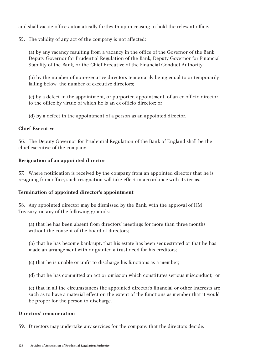and shall vacate office automatically forthwith upon ceasing to hold the relevant office.

55. The validity of any act of the company is not affected:

(a) by any vacancy resulting from a vacancy in the office of the Governor of the Bank, Deputy Governor for Prudential Regulation of the Bank, Deputy Governor for Financial Stability of the Bank, or the Chief Executive of the Financial Conduct Authority;

(b) by the number of non-executive directors temporarily being equal to or temporarily falling below the number of executive directors;

(c) by a defect in the appointment, or purported appointment, of an ex officio director to the office by virtue of which he is an ex officio director; or

(d) by a defect in the appointment of a person as an appointed director.

#### **Chief Executive**

56. The Deputy Governor for Prudential Regulation of the Bank of England shall be the chief executive of the company.

#### **Resignation of an appointed director**

57. Where notification is received by the company from an appointed director that he is resigning from office, such resignation will take effect in accordance with its terms.

#### **Termination of appointed director's appointment**

58. Any appointed director may be dismissed by the Bank, with the approval of HM Treasury, on any of the following grounds:

(a) that he has been absent from directors' meetings for more than three months without the consent of the board of directors;

(b) that he has become bankrupt, that his estate has been sequestrated or that he has made an arrangement with or granted a trust deed for his creditors;

(c) that he is unable or unfit to discharge his functions as a member;

(d) that he has committed an act or omission which constitutes serious misconduct; or

(e) that in all the circumstances the appointed director's financial or other interests are such as to have a material effect on the extent of the functions as member that it would be proper for the person to discharge.

#### **Directors' remuneration**

59. Directors may undertake any services for the company that the directors decide.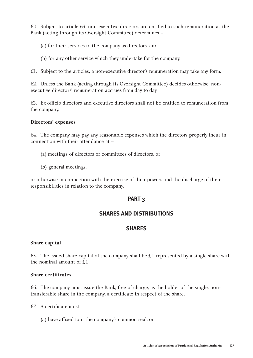60. Subject to article 63, non-executive directors are entitled to such remuneration as the Bank (acting through its Oversight Committee) determines –

- (a) for their services to the company as directors, and
- (b) for any other service which they undertake for the company.
- 61. Subject to the articles, a non-executive director's remuneration may take any form.

62. Unless the Bank (acting through its Oversight Committee) decides otherwise, nonexecutive directors' remuneration accrues from day to day.

63. Ex officio directors and executive directors shall not be entitled to remuneration from the company.

#### **Directors' expenses**

64. The company may pay any reasonable expenses which the directors properly incur in connection with their attendance at –

- (a) meetings of directors or committees of directors, or
- (b) general meetings,

or otherwise in connection with the exercise of their powers and the discharge of their responsibilities in relation to the company.

# **PART 3**

# **SHARES AND DISTRIBUTIONS**

# **SHARES**

#### **Share capital**

65. The issued share capital of the company shall be  $£1$  represented by a single share with the nominal amount of £1.

#### **Share certificates**

66. The company must issue the Bank, free of charge, as the holder of the single, nontransferable share in the company, a certificate in respect of the share.

67. A certificate must –

(a) have affixed to it the company's common seal, or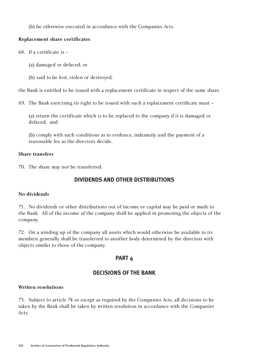(b) be otherwise executed in accordance with the Companies Acts.

## **Replacement share certificates**

- 68. If a certificate is
	- (a) damaged or defaced, or
	- (b) said to be lost, stolen or destroyed,

the Bank is entitled to be issued with a replacement certificate in respect of the same share.

69. The Bank exercising its right to be issued with such a replacement certificate must –

(a) return the certificate which is to be replaced to the company if it is damaged or defaced; and

(b) comply with such conditions as to evidence, indemnity and the payment of a reasonable fee as the directors decide.

#### **Share transfers**

70. The share may not be transferred.

# **DIVIDENDS AND OTHER DISTRIBUTIONS**

# **No dividends**

71. No dividends or other distributions out of income or capital may be paid or made to the Bank. All of the income of the company shall be applied in promoting the objects of the company.

72. On a winding up of the company all assets which would otherwise be available to its members generally shall be transferred to another body determined by the directors with objects similar to those of the company.

# **PART 4**

# **DECISIONS OF THE BANK**

# **Written resolutions**

73. Subject to article 74 or except as required by the Companies Acts, all decisions to be taken by the Bank shall be taken by written resolution in accordance with the Companies Acts.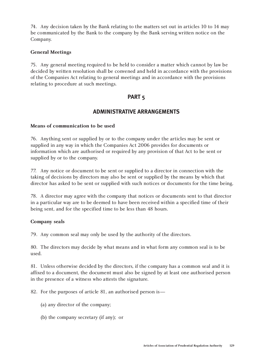74. Any decision taken by the Bank relating to the matters set out in articles 10 to 14 may be communicated by the Bank to the company by the Bank serving written notice on the Company.

#### **General Meetings**

75. Any general meeting required to be held to consider a matter which cannot by law be decided by written resolution shall be convened and held in accordance with the provisions of the Companies Act relating to general meetings and in accordance with the provisions relating to procedure at such meetings.

# **PART 5**

# **ADMINISTRATIVE ARRANGEMENTS**

#### **Means of communication to be used**

76. Anything sent or supplied by or to the company under the articles may be sent or supplied in any way in which the Companies Act 2006 provides for documents or information which are authorised or required by any provision of that Act to be sent or supplied by or to the company.

77. Any notice or document to be sent or supplied to a director in connection with the taking of decisions by directors may also be sent or supplied by the means by which that director has asked to be sent or supplied with such notices or documents for the time being.

78. A director may agree with the company that notices or documents sent to that director in a particular way are to be deemed to have been received within a specified time of their being sent, and for the specified time to be less than 48 hours.

#### **Company seals**

79. Any common seal may only be used by the authority of the directors.

80. The directors may decide by what means and in what form any common seal is to be used.

81. Unless otherwise decided by the directors, if the company has a common seal and it is affixed to a document, the document must also be signed by at least one authorised person in the presence of a witness who attests the signature.

82. For the purposes of article 81, an authorised person is—

- (a) any director of the company;
- (b) the company secretary (if any); or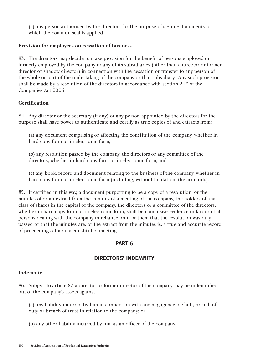(c) any person authorised by the directors for the purpose of signing documents to which the common seal is applied.

#### **Provision for employees on cessation of business**

83. The directors may decide to make provision for the benefit of persons employed or formerly employed by the company or any of its subsidiaries (other than a director or former director or shadow director) in connection with the cessation or transfer to any person of the whole or part of the undertaking of the company or that subsidiary. Any such provision shall be made by a resolution of the directors in accordance with section 247 of the Companies Act 2006.

#### **Certification**

84. Any director or the secretary (if any) or any person appointed by the directors for the purpose shall have power to authenticate and certify as true copies of and extracts from:

(a) any document comprising or affecting the constitution of the company, whether in hard copy form or in electronic form;

(b) any resolution passed by the company, the directors or any committee of the directors, whether in hard copy form or in electronic form; and

(c) any book, record and document relating to the business of the company, whether in hard copy form or in electronic form (including, without limitation, the accounts).

85. If certified in this way, a document purporting to be a copy of a resolution, or the minutes of or an extract from the minutes of a meeting of the company, the holders of any class of shares in the capital of the company, the directors or a committee of the directors, whether in hard copy form or in electronic form, shall be conclusive evidence in favour of all persons dealing with the company in reliance on it or them that the resolution was duly passed or that the minutes are, or the extract from the minutes is, a true and accurate record of proceedings at a duly constituted meeting.

# **PART 6**

# **DIRECTORS' INDEMNITY**

#### **Indemnity**

86. Subject to article 87 a director or former director of the company may be indemnified out of the company's assets against –

(a) any liability incurred by him in connection with any negligence, default, breach of duty or breach of trust in relation to the company; or

(b) any other liability incurred by him as an officer of the company.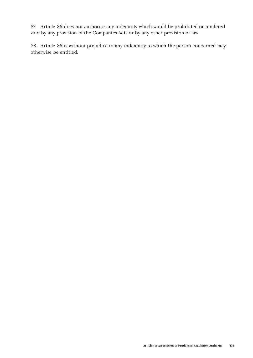87. Article 86 does not authorise any indemnity which would be prohibited or rendered void by any provision of the Companies Acts or by any other provision of law.

88. Article 86 is without prejudice to any indemnity to which the person concerned may otherwise be entitled.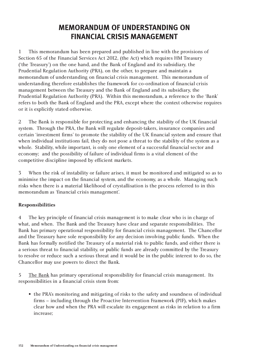# **MEMORANDUM OF UNDERSTANDING ON FINANCIAL CRISIS MANAGEMENT**

1 This memorandum has been prepared and published in line with the provisions of Section 65 of the Financial Services Act 2012, (the Act) which requires HM Treasury ('the Treasury') on the one hand, and the Bank of England and its subsidiary, the Prudential Regulation Authority (PRA), on the other, to prepare and maintain a memorandum of understanding on financial crisis management. This memorandum of understanding therefore establishes the framework for co-ordination of financial crisis management between the Treasury and the Bank of England and its subsidiary, the Prudential Regulation Authority (PRA). Within this memorandum, a reference to the 'Bank' refers to both the Bank of England and the PRA, except where the context otherwise requires or it is explicitly stated otherwise.

2 The Bank is responsible for protecting and enhancing the stability of the UK financial system. Through the PRA, the Bank will regulate deposit-takers, insurance companies and certain 'investment firms' to promote the stability of the UK financial system and ensure that when individual institutions fail, they do not pose a threat to the stability of the system as a whole. Stability, while important, is only one element of a successful financial sector and economy; and the possibility of failure of individual firms is a vital element of the competitive discipline imposed by efficient markets.

3 When the risk of instability or failure arises, it must be monitored and mitigated so as to minimise the impact on the financial system, and the economy, as a whole. Managing such risks when there is a material likelihood of crystallisation is the process referred to in this memorandum as 'financial crisis management'.

# **Responsibilities**

4 The key principle of financial crisis management is to make clear who is in charge of what, and when. The Bank and the Treasury have clear and separate responsibilities. The Bank has primary operational responsibility for financial crisis management. The Chancellor and the Treasury have sole responsibility for any decision involving public funds. When the Bank has formally notified the Treasury of a material risk to public funds, and either there is a serious threat to financial stability, or public funds are already committed by the Treasury to resolve or reduce such a serious threat and it would be in the public interest to do so, the Chancellor may use powers to direct the Bank.

5 The Bank has primary operational responsibility for financial crisis management. Its responsibilities in a financial crisis stem from:

• the PRA's monitoring and mitigating of risks to the safety and soundness of individual firms – including through the Proactive Intervention Framework (PIF), which makes clear how and when the PRA will escalate its engagement as risks in relation to a firm increase;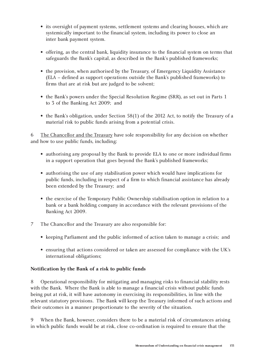- its oversight of payment systems, settlement systems and clearing houses, which are systemically important to the financial system, including its power to close an inter bank payment system.
- offering, as the central bank, liquidity insurance to the financial system on terms that safeguards the Bank's capital, as described in the Bank's published frameworks;
- the provision, when authorised by the Treasury, of Emergency Liquidity Assistance (ELA – defined as support operations outside the Bank's published frameworks) to firms that are at risk but are judged to be solvent;
- the Bank's powers under the Special Resolution Regime (SRR), as set out in Parts 1 to 3 of the Banking Act 2009; and
- the Bank's obligation, under Section 58(1) of the 2012 Act, to notify the Treasury of a material risk to public funds arising from a potential crisis.

6 The Chancellor and the Treasury have sole responsibility for any decision on whether and how to use public funds, including:

- authorising any proposal by the Bank to provide ELA to one or more individual firms in a support operation that goes beyond the Bank's published frameworks;
- authorising the use of any stabilisation power which would have implications for public funds, including in respect of a firm to which financial assistance has already been extended by the Treasury; and
- the exercise of the Temporary Public Ownership stabilisation option in relation to a bank or a bank holding company in accordance with the relevant provisions of the Banking Act 2009.
- 7 The Chancellor and the Treasury are also responsible for:
	- keeping Parliament and the public informed of action taken to manage a crisis; and
	- ensuring that actions considered or taken are assessed for compliance with the UK's international obligations;

# **Notification by the Bank of a risk to public funds**

8 Operational responsibility for mitigating and managing risks to financial stability rests with the Bank. Where the Bank is able to manage a financial crisis without public funds being put at risk, it will have autonomy in exercising its responsibilities, in line with the relevant statutory provisions. The Bank will keep the Treasury informed of such actions and their outcomes in a manner proportionate to the severity of the situation.

9 When the Bank, however, considers there to be a material risk of circumstances arising in which public funds would be at risk, close co-ordination is required to ensure that the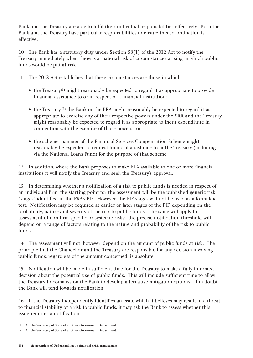Bank and the Treasury are able to fulfil their individual responsibilities effectively. Both the Bank and the Treasury have particular responsibilities to ensure this co-ordination is effective.

10 The Bank has a statutory duty under Section 58(1) of the 2012 Act to notify the Treasury immediately when there is a material risk of circumstances arising in which public funds would be put at risk.

11 The 2012 Act establishes that these circumstances are those in which:

- the Treasury<sup>(1)</sup> might reasonably be expected to regard it as appropriate to provide financial assistance to or in respect of a financial institution;
- the Treasury, (2) the Bank or the PRA might reasonably be expected to regard it as appropriate to exercise any of their respective powers under the SRR and the Treasury might reasonably be expected to regard it as appropriate to incur expenditure in connection with the exercise of those powers; or
- the scheme manager of the Financial Services Compensation Scheme might reasonably be expected to request financial assistance from the Treasury (including via the National Loans Fund) for the purpose of that scheme.

12 In addition, where the Bank proposes to make ELA available to one or more financial institutions it will notify the Treasury and seek the Treasury's approval.

13 In determining whether a notification of a risk to public funds is needed in respect of an individual firm, the starting point for the assessment will be the published generic risk "stages" identified in the PRA's PIF. However, the PIF stages will not be used as a formulaic test. Notification may be required at earlier or later stages of the PIF, depending on the probability, nature and severity of the risk to public funds. The same will apply to assessment of non firm-specific or systemic risks: the precise notification threshold will depend on a range of factors relating to the nature and probability of the risk to public funds.

14 The assessment will not, however, depend on the amount of public funds at risk. The principle that the Chancellor and the Treasury are responsible for any decision involving public funds, regardless of the amount concerned, is absolute.

15 Notification will be made in sufficient time for the Treasury to make a fully informed decision about the potential use of public funds. This will include sufficient time to allow the Treasury to commission the Bank to develop alternative mitigation options. If in doubt, the Bank will tend towards notification.

16 If the Treasury independently identifies an issue which it believes may result in a threat to financial stability or a risk to public funds, it may ask the Bank to assess whether this issue requires a notification.

<sup>(1)</sup> Or the Secretary of State of another Government Department.

<sup>(2)</sup> Or the Secretary of State of another Government Department.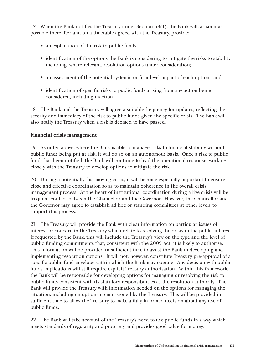17 When the Bank notifies the Treasury under Section 58(1), the Bank will, as soon as possible thereafter and on a timetable agreed with the Treasury, provide:

- an explanation of the risk to public funds;
- identification of the options the Bank is considering to mitigate the risks to stability including, where relevant, resolution options under consideration;
- an assessment of the potential systemic or firm-level impact of each option; and
- identification of specific risks to public funds arising from any action being considered, including inaction.

18 The Bank and the Treasury will agree a suitable frequency for updates, reflecting the severity and immediacy of the risk to public funds given the specific crisis. The Bank will also notify the Treasury when a risk is deemed to have passed.

# **Financial crisis management**

19 As noted above, where the Bank is able to manage risks to financial stability without public funds being put at risk, it will do so on an autonomous basis. Once a risk to public funds has been notified, the Bank will continue to lead the operational response, working closely with the Treasury to develop options to mitigate the risk.

20 During a potentially fast-moving crisis, it will become especially important to ensure close and effective coordination so as to maintain coherence in the overall crisis management process. At the heart of institutional coordination during a live crisis will be frequent contact between the Chancellor and the Governor. However, the Chancellor and the Governor may agree to establish ad hoc or standing committees at other levels to support this process.

21 The Treasury will provide the Bank with clear information on particular issues of interest or concern to the Treasury which relate to resolving the crisis in the public interest. If requested by the Bank, this will include the Treasury's view on the type and the level of public funding commitments that, consistent with the 2009 Act, it is likely to authorise. This information will be provided in sufficient time to assist the Bank in developing and implementing resolution options. It will not, however, constitute Treasury pre-approval of a specific public fund envelope within which the Bank may operate. Any decision with public funds implications will still require explicit Treasury authorisation. Within this framework, the Bank will be responsible for developing options for managing or resolving the risk to public funds consistent with its statutory responsibilities as the resolution authority. The Bank will provide the Treasury with information needed on the options for managing the situation, including on options commissioned by the Treasury. This will be provided in sufficient time to allow the Treasury to make a fully informed decision about any use of public funds.

22 The Bank will take account of the Treasury's need to use public funds in a way which meets standards of regularity and propriety and provides good value for money.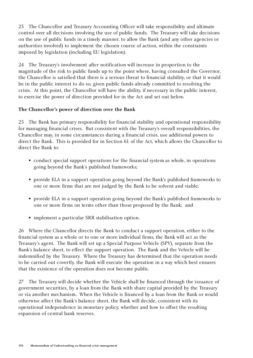23 The Chancellor and Treasury Accounting Officer will take responsibility and ultimate control over all decisions involving the use of public funds. The Treasury will take decisions on the use of public funds in a timely manner, to allow the Bank (and any other agencies or authorities involved) to implement the chosen course of action, within the constraints imposed by legislation (including EU legislation).

24 The Treasury's involvement after notification will increase in proportion to the magnitude of the risk to public funds up to the point where, having consulted the Governor, the Chancellor is satisfied that there is a serious threat to financial stability, or that it would be in the public interest to do so, given public funds already committed to resolving the crisis. At this point, the Chancellor will have the ability, if necessary in the public interest, to exercise the power of direction provided for in the Act and set out below.

# **The Chancellor's power of direction over the Bank**

25 The Bank has primary responsibility for financial stability and operational responsibility for managing financial crises. But consistent with the Treasury's overall responsibilities, the Chancellor may, in some circumstances during a financial crisis, use additional powers to direct the Bank. This is provided for in Section 61 of the Act, which allows the Chancellor to direct the Bank to:

- conduct special support operations for the financial system as whole, in operations going beyond the Bank's published frameworks;
- provide ELA in a support operation going beyond the Bank's published frameworks to one or more firms that are not judged by the Bank to be solvent and viable;
- provide ELA in a support operation going beyond the Bank's published frameworks to one or more firms on terms other than those proposed by the Bank; and
- implement a particular SRR stabilisation option.

26 Where the Chancellor directs the Bank to conduct a support operation, either to the financial system as a whole or to one or more individual firms, the Bank will act as the Treasury's agent. The Bank will set up a Special Purpose Vehicle (SPV), separate from the Bank's balance sheet, to effect the support operation. The Bank and the Vehicle will be indemnified by the Treasury. Where the Treasury has determined that the operation needs to be carried out covertly, the Bank will execute the operation in a way which best ensures that the existence of the operation does not become public.

27 The Treasury will decide whether the Vehicle shall be financed through the issuance of government securities, by a loan from the Bank with share capital provided by the Treasury or via another mechanism. When the Vehicle is financed by a loan from the Bank or would otherwise affect the Bank's balance sheet, the Bank will decide, consistent with its operational independence in monetary policy, whether and how to offset the resulting expansion of central bank reserves.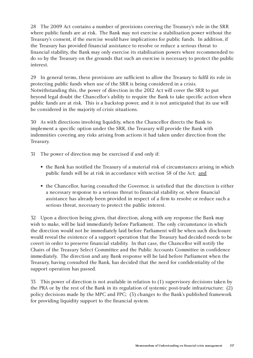28 The 2009 Act contains a number of provisions covering the Treasury's role in the SRR where public funds are at risk. The Bank may not exercise a stabilisation power without the Treasury's consent, if the exercise would have implications for public funds. In addition, if the Treasury has provided financial assistance to resolve or reduce a serious threat to financial stability, the Bank may only exercise its stabilisation powers where recommended to do so by the Treasury on the grounds that such an exercise is necessary to protect the public interest.

29 In general terms, these provisions are sufficient to allow the Treasury to fulfil its role in protecting public funds when use of the SRR is being considered in a crisis. Notwithstanding this, the power of direction in the 2012 Act will cover the SRR to put beyond legal doubt the Chancellor's ability to require the Bank to take specific action when public funds are at risk. This is a backstop power, and it is not anticipated that its use will be considered in the majority of crisis situations.

30 As with directions involving liquidity, when the Chancellor directs the Bank to implement a specific option under the SRR, the Treasury will provide the Bank with indemnities covering any risks arising from actions it had taken under direction from the Treasury.

- 31 The power of direction may be exercised if and only if:
	- the Bank has notified the Treasury of a material risk of circumstances arising in which public funds will be at risk in accordance with section 58 of the Act; and
	- the Chancellor, having consulted the Governor, is satisfied that the direction is either a necessary response to a serious threat to financial stability or, where financial assistance has already been provided in respect of a firm to resolve or reduce such a serious threat, necessary to protect the public interest.

32 Upon a direction being given, that direction, along with any response the Bank may wish to make, will be laid immediately before Parliament. The only circumstance in which the direction would not be immediately laid before Parliament will be when such disclosure would reveal the existence of a support operation that the Treasury had decided needs to be covert in order to preserve financial stability. In that case, the Chancellor will notify the Chairs of the Treasury Select Committee and the Public Accounts Committee in confidence immediately. The direction and any Bank response will be laid before Parliament when the Treasury, having consulted the Bank, has decided that the need for confidentiality of the support operation has passed.

33 This power of direction is not available in relation to (1) supervisory decisions taken by the PRA or by the rest of the Bank in its regulation of systemic post-trade infrastructure; (2) policy decisions made by the MPC and FPC; (3) changes to the Bank's published framework for providing liquidity support to the financial system.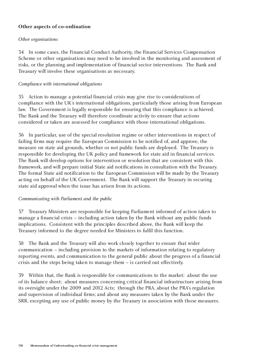#### **Other aspects of co-ordination**

#### *Other organisations*

34 In some cases, the Financial Conduct Authority, the Financial Services Compensation Scheme or other organisations may need to be involved in the monitoring and assessment of risks, or the planning and implementation of financial sector interventions. The Bank and Treasury will involve these organisations as necessary.

#### *Compliance with international obligations*

35 Action to manage a potential financial crisis may give rise to considerations of compliance with the UK's international obligations, particularly those arising from European law. The Government is legally responsible for ensuring that this compliance is achieved. The Bank and the Treasury will therefore coordinate activity to ensure that actions considered or taken are assessed for compliance with those international obligations.

36 In particular, use of the special resolution regime or other interventions in respect of failing firms may require the European Commission to be notified of, and approve, the measure on state aid grounds, whether or not public funds are deployed. The Treasury is responsible for developing the UK policy and framework for state aid in financial services. The Bank will develop options for intervention or resolution that are consistent with this framework, and will prepare initial State aid notifications in consultation with the Treasury. The formal State aid notification to the European Commission will be made by the Treasury acting on behalf of the UK Government. The Bank will support the Treasury in securing state aid approval when the issue has arisen from its actions.

#### *Communicating with Parliament and the public*

37 Treasury Ministers are responsible for keeping Parliament informed of action taken to manage a financial crisis – including action taken by the Bank without any public funds implications. Consistent with the principles described above, the Bank will keep the Treasury informed to the degree needed for Ministers to fulfil this function.

38 The Bank and the Treasury will also work closely together to ensure that wider communication – including provision to the markets of information relating to regulatory reporting events, and communication to the general public about the progress of a financial crisis and the steps being taken to manage them – is carried out effectively.

39 Within that, the Bank is responsible for communications to the market: about the use of its balance sheet; about measures concerning critical financial infrastructure arising from its oversight under the 2009 and 2012 Acts; through the PRA, about the PRA's regulation and supervision of individual firms; and about any measures taken by the Bank under the SRR, excepting any use of public money by the Treasury in association with those measures.